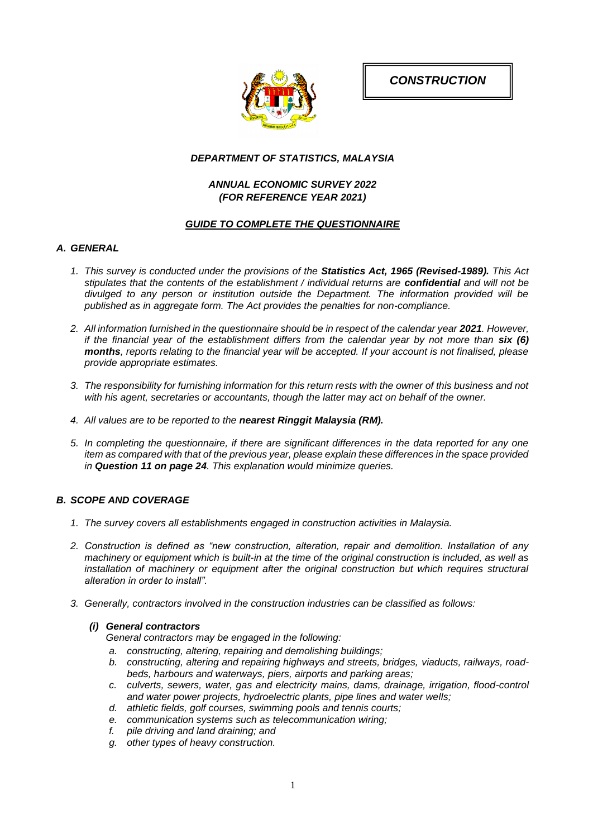*CONSTRUCTION*



# *DEPARTMENT OF STATISTICS, MALAYSIA*

# *ANNUAL ECONOMIC SURVEY 2022 (FOR REFERENCE YEAR 2021)*

# *GUIDE TO COMPLETE THE QUESTIONNAIRE*

# *A. GENERAL*

- *1. This survey is conducted under the provisions of the Statistics Act, 1965 (Revised-1989). This Act stipulates that the contents of the establishment / individual returns are confidential and will not be divulged to any person or institution outside the Department. The information provided will be published as in aggregate form. The Act provides the penalties for non-compliance.*
- 2. All information furnished in the questionnaire should be in respect of the calendar year 2021. However, *if the financial year of the establishment differs from the calendar year by not more than six (6) months, reports relating to the financial year will be accepted. If your account is not finalised, please provide appropriate estimates.*
- *3. The responsibility for furnishing information for this return rests with the owner of this business and not with his agent, secretaries or accountants, though the latter may act on behalf of the owner.*
- *4. All values are to be reported to the nearest Ringgit Malaysia (RM).*
- *5. In completing the questionnaire, if there are significant differences in the data reported for any one item as compared with that of the previous year, please explain these differences in the space provided in Question 11 on page 24. This explanation would minimize queries.*

# *B. SCOPE AND COVERAGE*

- *1. The survey covers all establishments engaged in construction activities in Malaysia.*
- *2. Construction is defined as "new construction, alteration, repair and demolition. Installation of any machinery or equipment which is built-in at the time of the original construction is included, as well as installation of machinery or equipment after the original construction but which requires structural alteration in order to install".*
- *3. Generally, contractors involved in the construction industries can be classified as follows:*

### *(i) General contractors*

*General contractors may be engaged in the following:*

- *a. constructing, altering, repairing and demolishing buildings;*
- *b. constructing, altering and repairing highways and streets, bridges, viaducts, railways, roadbeds, harbours and waterways, piers, airports and parking areas;*
- *c. culverts, sewers, water, gas and electricity mains, dams, drainage, irrigation, flood-control and water power projects, hydroelectric plants, pipe lines and water wells;*
- *d. athletic fields, golf courses, swimming pools and tennis courts;*
- *e. communication systems such as telecommunication wiring;*
- *f. pile driving and land draining; and*
- *g. other types of heavy construction.*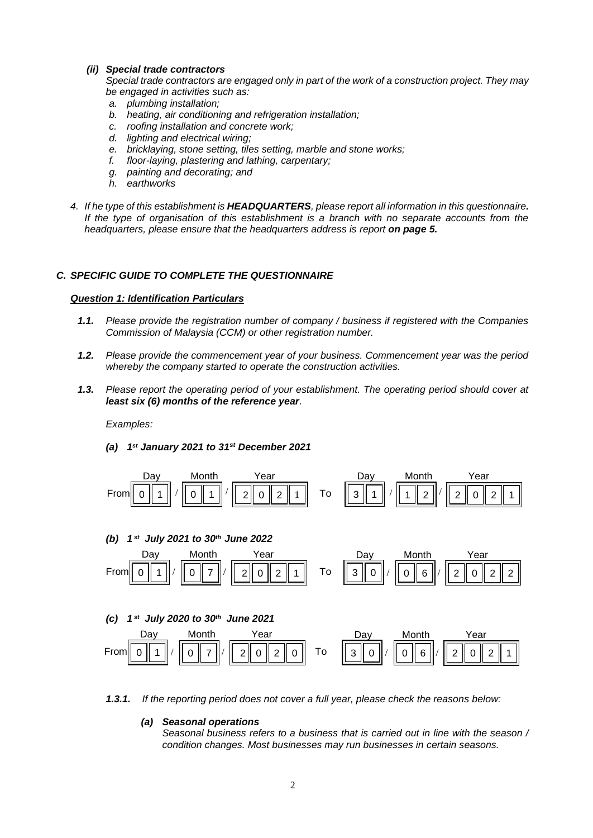### *(ii) Special trade contractors*

*Special trade contractors are engaged only in part of the work of a construction project. They may be engaged in activities such as:*

- *a. plumbing installation;*
- *b. heating, air conditioning and refrigeration installation;*
- *c. roofing installation and concrete work;*
- *d. lighting and electrical wiring;*
- *e. bricklaying, stone setting, tiles setting, marble and stone works;*
- *f. floor-laying, plastering and lathing, carpentary;*
- *g. painting and decorating; and*
- *h. earthworks*
- *4. If he type of this establishment is HEADQUARTERS, please report all information in this questionnaire.* If the type of organisation of this establishment is a branch with no separate accounts from the *headquarters, please ensure that the headquarters address is report on page 5.*

# *C. SPECIFIC GUIDE TO COMPLETE THE QUESTIONNAIRE*

### *Question 1: Identification Particulars*

- *1.1. Please provide the registration number of company / business if registered with the Companies Commission of Malaysia (CCM) or other registration number.*
- *1.2. Please provide the commencement year of your business. Commencement year was the period whereby the company started to operate the construction activities.*
- *1.3. Please report the operating period of your establishment. The operating period should cover at least six (6) months of the reference year.*

*Examples:*

*(a) 1 st January 2021 to 31st December 2021*



**1.3.1.** If the reporting period does not cover a full year, please check the reasons below:

# *(a) Seasonal operations*

*Seasonal business refers to a business that is carried out in line with the season / condition changes. Most businesses may run businesses in certain seasons.*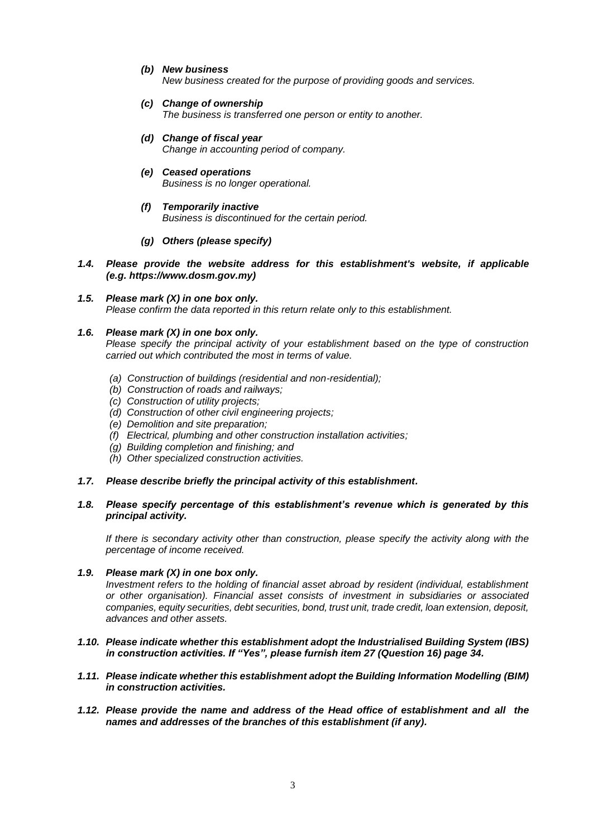- *(b) New business New business created for the purpose of providing goods and services.*
- *(c) Change of ownership The business is transferred one person or entity to another.*
- *(d) Change of fiscal year Change in accounting period of company.*
- *(e) Ceased operations Business is no longer operational.*
- *(f) Temporarily inactive Business is discontinued for the certain period.*
- *(g) Others (please specify)*
- *1.4. Please provide the website address for this establishment's website, if applicable (e.g. https://www.dosm.gov.my)*

# *1.5. Please mark (X) in one box only.*

*Please confirm the data reported in this return relate only to this establishment.*

# *1.6. Please mark (X) in one box only.*

*Please specify the principal activity of your establishment based on the type of construction carried out which contributed the most in terms of value.* 

- *(a) Construction of buildings (residential and non-residential);*
- *(b) Construction of roads and railways;*
- *(c) Construction of utility projects;*
- *(d) Construction of other civil engineering projects;*
- *(e) Demolition and site preparation;*
- *(f) Electrical, plumbing and other construction installation activities;*
- *(g) Building completion and finishing; and*
- *(h) Other specialized construction activities.*
- *1.7. Please describe briefly the principal activity of this establishment.*

# *1.8. Please specify percentage of this establishment's revenue which is generated by this principal activity.*

*If there is secondary activity other than construction, please specify the activity along with the percentage of income received.*

- *1.9. Please mark (X) in one box only. Investment refers to the holding of financial asset abroad by resident (individual, establishment or other organisation). Financial asset consists of investment in subsidiaries or associated companies, equity securities, debt securities, bond, trust unit, trade credit, loan extension, deposit, advances and other assets.*
- *1.10. Please indicate whether this establishment adopt the Industrialised Building System (IBS) in construction activities. If "Yes", please furnish item 27 (Question 16) page 34.*
- *1.11. Please indicate whether this establishment adopt the Building Information Modelling (BIM) in construction activities.*
- *1.12. Please provide the name and address of the Head office of establishment and all the names and addresses of the branches of this establishment (if any).*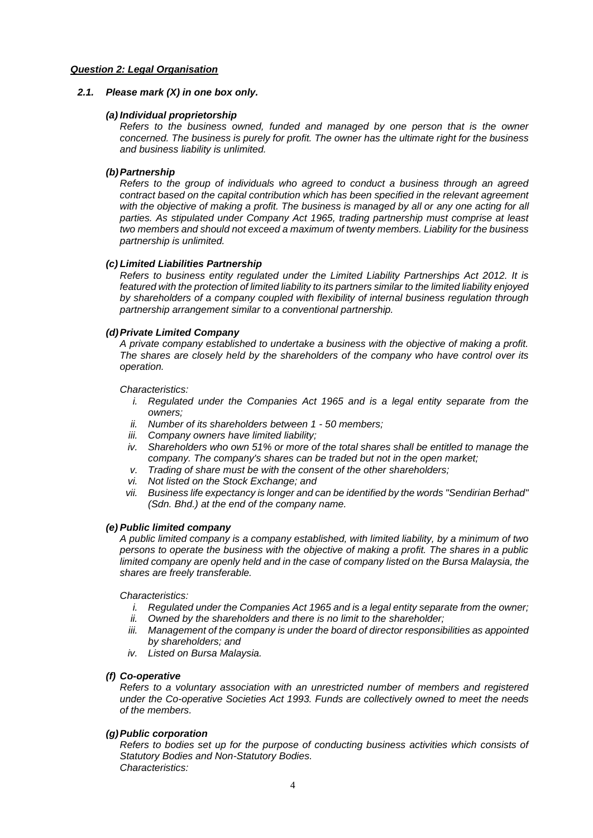#### *Question 2: Legal Organisation*

#### *2.1. Please mark (X) in one box only.*

#### *(a) Individual proprietorship*

*Refers to the business owned, funded and managed by one person that is the owner concerned. The business is purely for profit. The owner has the ultimate right for the business and business liability is unlimited.*

#### *(b)Partnership*

*Refers to the group of individuals who agreed to conduct a business through an agreed contract based on the capital contribution which has been specified in the relevant agreement*  with the objective of making a profit. The business is managed by all or any one acting for all *parties. As stipulated under Company Act 1965, trading partnership must comprise at least two members and should not exceed a maximum of twenty members. Liability for the business partnership is unlimited.*

#### *(c) Limited Liabilities Partnership*

*Refers to business entity regulated under the Limited Liability Partnerships Act 2012. It is featured with the protection of limited liability to its partners similar to the limited liability enjoyed by shareholders of a company coupled with flexibility of internal business regulation through partnership arrangement similar to a conventional partnership.*

#### *(d)Private Limited Company*

*A private company established to undertake a business with the objective of making a profit. The shares are closely held by the shareholders of the company who have control over its operation.*

### *Characteristics:*

- *i.* Regulated under the Companies Act 1965 and is a legal entity separate from the *owners;*
- *ii. Number of its shareholders between 1 - 50 members;*
- *iii. Company owners have limited liability;*
- *iv. Shareholders who own 51% or more of the total shares shall be entitled to manage the company. The company's shares can be traded but not in the open market;*
- *v. Trading of share must be with the consent of the other shareholders;*
- *vi. Not listed on the Stock Exchange; and*
- *vii. Business life expectancy is longer and can be identified by the words "Sendirian Berhad" (Sdn. Bhd.) at the end of the company name.*

#### *(e) Public limited company*

*A public limited company is a company established, with limited liability, by a minimum of two persons to operate the business with the objective of making a profit. The shares in a public limited company are openly held and in the case of company listed on the Bursa Malaysia, the shares are freely transferable.* 

#### *Characteristics:*

- *i. Regulated under the Companies Act 1965 and is a legal entity separate from the owner;*
- *ii. Owned by the shareholders and there is no limit to the shareholder;*
- *iii. Management of the company is under the board of director responsibilities as appointed by shareholders; and*
- *iv. Listed on Bursa Malaysia.*

#### *(f) Co-operative*

*Refers to a voluntary association with an unrestricted number of members and registered under the Co-operative Societies Act 1993. Funds are collectively owned to meet the needs of the members.*

### *(g)Public corporation*

*Refers to bodies set up for the purpose of conducting business activities which consists of Statutory Bodies and Non-Statutory Bodies. Characteristics:*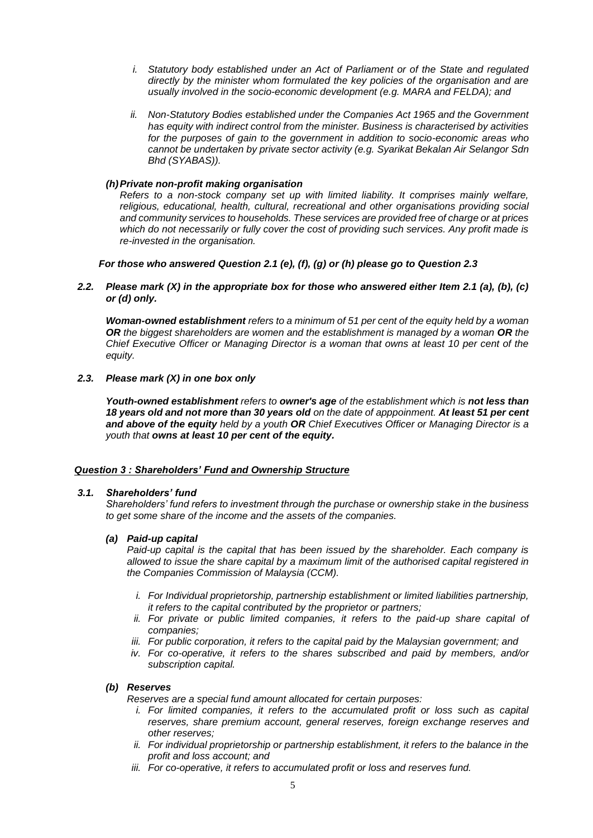- *i. Statutory body established under an Act of Parliament or of the State and regulated directly by the minister whom formulated the key policies of the organisation and are usually involved in the socio-economic development (e.g. MARA and FELDA); and*
- *ii. Non-Statutory Bodies established under the Companies Act 1965 and the Government has equity with indirect control from the minister. Business is characterised by activities for the purposes of gain to the government in addition to socio-economic areas who cannot be undertaken by private sector activity (e.g. Syarikat Bekalan Air Selangor Sdn Bhd (SYABAS)).*

### *(h)Private non-profit making organisation*

*Refers to a non-stock company set up with limited liability. It comprises mainly welfare, religious, educational, health, cultural, recreational and other organisations providing social and community services to households. These services are provided free of charge or at prices which do not necessarily or fully cover the cost of providing such services. Any profit made is re-invested in the organisation.*

### *For those who answered Question 2.1 (e), (f), (g) or (h) please go to Question 2.3*

### *2.2. Please mark (X) in the appropriate box for those who answered either Item 2.1 (a), (b), (c) or (d) only.*

*Woman-owned establishment refers to a minimum of 51 per cent of the equity held by a woman*  **OR** the biggest shareholders are women and the establishment is managed by a woman **OR** the *Chief Executive Officer or Managing Director is a woman that owns at least 10 per cent of the equity.*

### *2.3. Please mark (X) in one box only*

*Youth-owned establishment refers to owner's age of the establishment which is not less than 18 years old and not more than 30 years old on the date of apppoinment. At least 51 per cent and above of the equity held by a youth OR Chief Executives Officer or Managing Director is a youth that owns at least 10 per cent of the equity.*

#### *Question 3 : Shareholders' Fund and Ownership Structure*

#### *3.1. Shareholders' fund*

*Shareholders' fund refers to investment through the purchase or ownership stake in the business to get some share of the income and the assets of the companies.*

#### *(a) Paid-up capital*

*Paid-up capital is the capital that has been issued by the shareholder. Each company is allowed to issue the share capital by a maximum limit of the authorised capital registered in the Companies Commission of Malaysia (CCM).*

- *i. For Individual proprietorship, partnership establishment or limited liabilities partnership, it refers to the capital contributed by the proprietor or partners;*
- ii. For private or public limited companies, it refers to the paid-up share capital of *companies;*
- *iii. For public corporation, it refers to the capital paid by the Malaysian government; and*
- *iv. For co-operative, it refers to the shares subscribed and paid by members, and/or subscription capital.*

#### *(b) Reserves*

*Reserves are a special fund amount allocated for certain purposes:*

- *i.* For limited companies, it refers to the accumulated profit or loss such as capital *reserves, share premium account, general reserves, foreign exchange reserves and other reserves;*
- *ii. For individual proprietorship or partnership establishment, it refers to the balance in the profit and loss account; and*
- *iii. For co-operative, it refers to accumulated profit or loss and reserves fund.*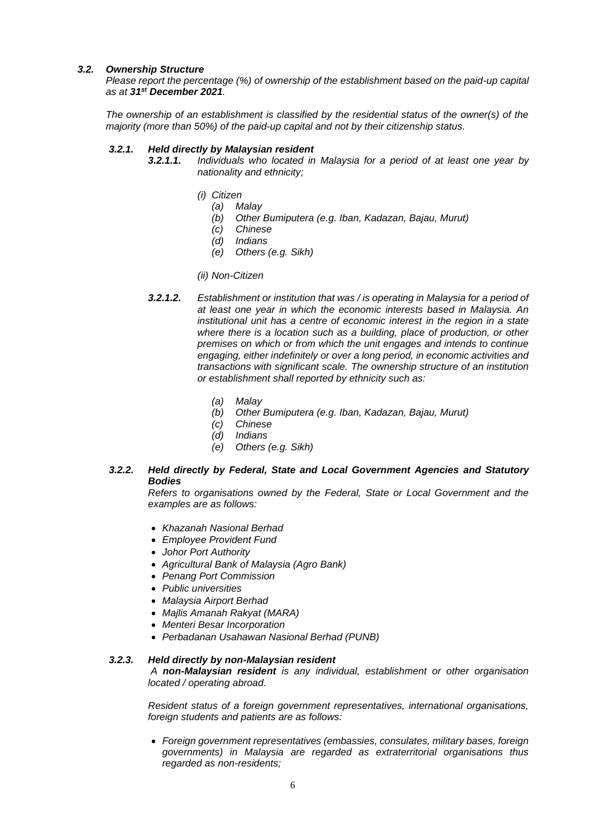### *3.2. Ownership Structure*

*Please report the percentage (%) of ownership of the establishment based on the paid-up capital as at 31st December 2021.*

*The ownership of an establishment is classified by the residential status of the owner(s) of the majority (more than 50%) of the paid-up capital and not by their citizenship status.*

### *3.2.1. Held directly by Malaysian resident*

- *3.2.1.1. Individuals who located in Malaysia for a period of at least one year by nationality and ethnicity;*
	- *(i) Citizen*
		- *(a) Malay*
		- *(b) Other Bumiputera (e.g. Iban, Kadazan, Bajau, Murut)*
		- *(c) Chinese*
		- *(d) Indians*
		- *(e) Others (e.g. Sikh)*

# *(ii) Non-Citizen*

- *3.2.1.2. Establishment or institution that was / is operating in Malaysia for a period of at least one year in which the economic interests based in Malaysia. An institutional unit has a centre of economic interest in the region in a state where there is a location such as a building, place of production, or other premises on which or from which the unit engages and intends to continue engaging, either indefinitely or over a long period, in economic activities and transactions with significant scale. The ownership structure of an institution or establishment shall reported by ethnicity such as:*
	- *(a) Malay*
	- *(b) Other Bumiputera (e.g. Iban, Kadazan, Bajau, Murut)*
	- *(c) Chinese*
	- *(d) Indians*
	- *(e) Others (e.g. Sikh)*

# *3.2.2. Held directly by Federal, State and Local Government Agencies and Statutory Bodies*

*Refers to organisations owned by the Federal, State or Local Government and the examples are as follows:*

- *Khazanah Nasional Berhad*
- *Employee Provident Fund*
- *Johor Port Authority*
- *Agricultural Bank of Malaysia (Agro Bank)*
- *Penang Port Commission*
- *Public universities*
- *Malaysia Airport Berhad*
- *Majlis Amanah Rakyat (MARA)*
- *Menteri Besar Incorporation*
- *Perbadanan Usahawan Nasional Berhad (PUNB)*

# *3.2.3. Held directly by non-Malaysian resident*

*A non-Malaysian resident is any individual, establishment or other organisation located / operating abroad.* 

*Resident status of a foreign government representatives, international organisations, foreign students and patients are as follows:*

 *Foreign government representatives (embassies, consulates, military bases, foreign governments) in Malaysia are regarded as extraterritorial organisations thus regarded as non-residents;*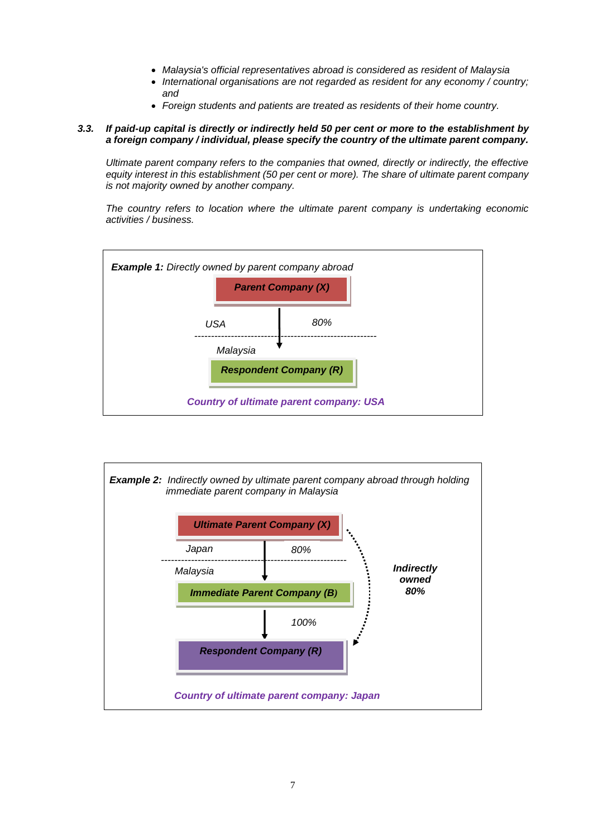- *Malaysia's official representatives abroad is considered as resident of Malaysia*
- *International organisations are not regarded as resident for any economy / country; and*
- *Foreign students and patients are treated as residents of their home country.*

# *3.3. If paid-up capital is directly or indirectly held 50 per cent or more to the establishment by a foreign company / individual, please specify the country of the ultimate parent company.*

*Ultimate parent company refers to the companies that owned, directly or indirectly, the effective equity interest in this establishment (50 per cent or more). The share of ultimate parent company is not majority owned by another company.*

*The country refers to location where the ultimate parent company is undertaking economic activities / business.*



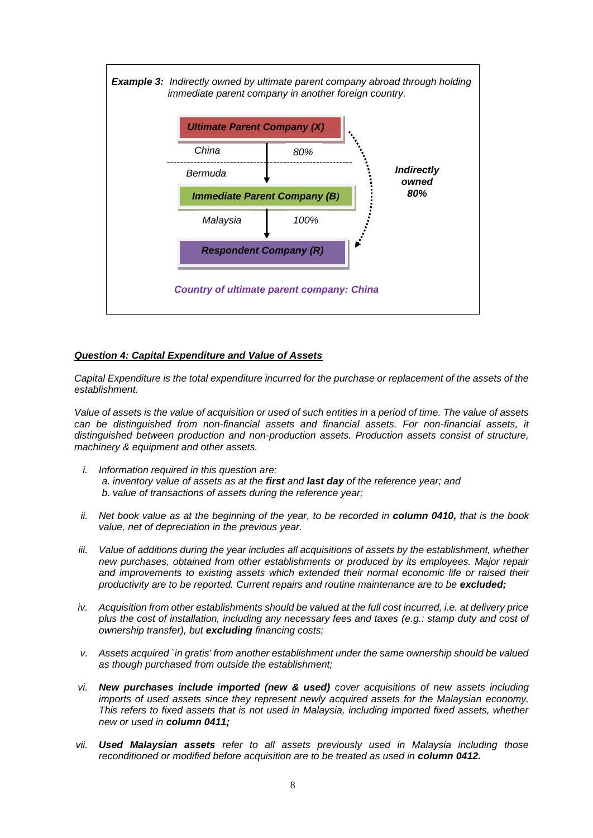

# *Question 4: Capital Expenditure and Value of Assets*

*Capital Expenditure is the total expenditure incurred for the purchase or replacement of the assets of the establishment.* 

*Value of assets is the value of acquisition or used of such entities in a period of time. The value of assets can be distinguished from non-financial assets and financial assets. For non-financial assets, it distinguished between production and non-production assets. Production assets consist of structure, machinery & equipment and other assets.*

- *i. Information required in this question are: a. inventory value of assets as at the first and last day of the reference year; and b. value of transactions of assets during the reference year;*
- *ii. Net book value as at the beginning of the year, to be recorded in column 0410, that is the book value, net of depreciation in the previous year.*
- *iii. Value of additions during the year includes all acquisitions of assets by the establishment, whether new purchases, obtained from other establishments or produced by its employees. Major repair and improvements to existing assets which extended their normal economic life or raised their productivity are to be reported. Current repairs and routine maintenance are to be excluded;*
- *iv. Acquisition from other establishments should be valued at the full cost incurred, i.e. at delivery price plus the cost of installation, including any necessary fees and taxes (e.g.: stamp duty and cost of ownership transfer), but excluding financing costs;*
- *v. Assets acquired `in gratis' from another establishment under the same ownership should be valued as though purchased from outside the establishment;*
- *vi. New purchases include imported (new & used) cover acquisitions of new assets including imports of used assets since they represent newly acquired assets for the Malaysian economy. This refers to fixed assets that is not used in Malaysia, including imported fixed assets, whether new or used in column 0411;*
- *vii. Used Malaysian assets refer to all assets previously used in Malaysia including those reconditioned or modified before acquisition are to be treated as used in column 0412.*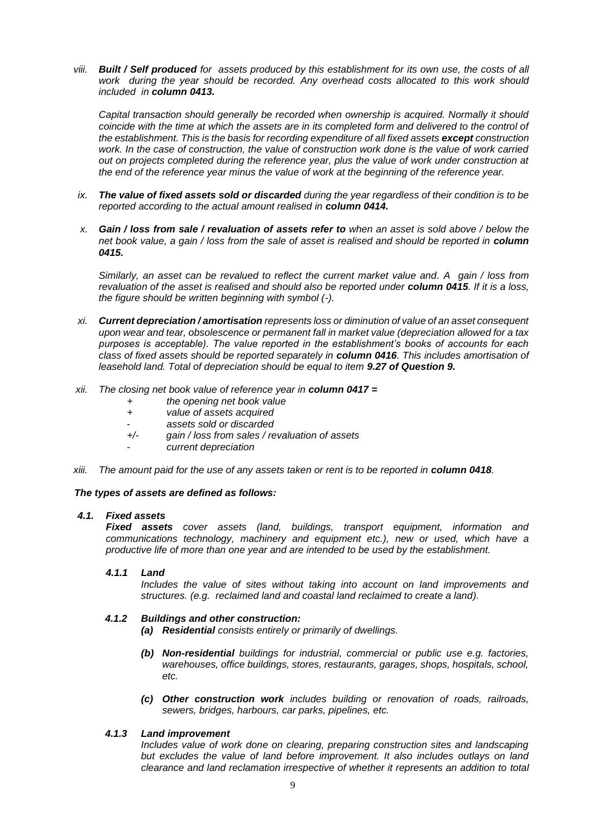*viii. Built / Self produced for assets produced by this establishment for its own use, the costs of all work during the year should be recorded. Any overhead costs allocated to this work should included in column 0413.*

*Capital transaction should generally be recorded when ownership is acquired. Normally it should coincide with the time at which the assets are in its completed form and delivered to the control of the establishment. This is the basis for recording expenditure of all fixed assets except construction*  work. In the case of construction, the value of construction work done is the value of work carried *out on projects completed during the reference year, plus the value of work under construction at the end of the reference year minus the value of work at the beginning of the reference year.*

- *ix. The value of fixed assets sold or discarded during the year regardless of their condition is to be reported according to the actual amount realised in column 0414.*
- *x. Gain / loss from sale / revaluation of assets refer to when an asset is sold above / below the net book value, a gain / loss from the sale of asset is realised and should be reported in column 0415.*

*Similarly, an asset can be revalued to reflect the current market value and. A gain / loss from revaluation of the asset is realised and should also be reported under column 0415. If it is a loss, the figure should be written beginning with symbol (-).*

- *xi. Current depreciation / amortisation represents loss or diminution of value of an asset consequent upon wear and tear, obsolescence or permanent fall in market value (depreciation allowed for a tax purposes is acceptable). The value reported in the establishment's books of accounts for each class of fixed assets should be reported separately in column 0416. This includes amortisation of leasehold land. Total of depreciation should be equal to item 9.27 of Question 9.*
- *xii. The closing net book value of reference year in column 0417 =*
	- *+ the opening net book value*
	- *+ value of assets acquired*
	- *assets sold or discarded*
	- *+/- gain / loss from sales / revaluation of assets*
	- *current depreciation*
- *xiii.* The amount paid for the use of any assets taken or rent is to be reported in **column 0418**.

### *The types of assets are defined as follows:*

#### *4.1. Fixed assets*

*Fixed assets cover assets (land, buildings, transport equipment, information and communications technology, machinery and equipment etc.), new or used, which have a productive life of more than one year and are intended to be used by the establishment.*

### *4.1.1 Land*

*Includes the value of sites without taking into account on land improvements and structures. (e.g. reclaimed land and coastal land reclaimed to create a land).*

### *4.1.2 Buildings and other construction:*

- *(a) Residential consists entirely or primarily of dwellings.*
- *(b) Non-residential buildings for industrial, commercial or public use e.g. factories, warehouses, office buildings, stores, restaurants, garages, shops, hospitals, school, etc.*
- *(c) Other construction work includes building or renovation of roads, railroads, sewers, bridges, harbours, car parks, pipelines, etc.*

### *4.1.3 Land improvement*

*Includes value of work done on clearing, preparing construction sites and landscaping but excludes the value of land before improvement. It also includes outlays on land clearance and land reclamation irrespective of whether it represents an addition to total*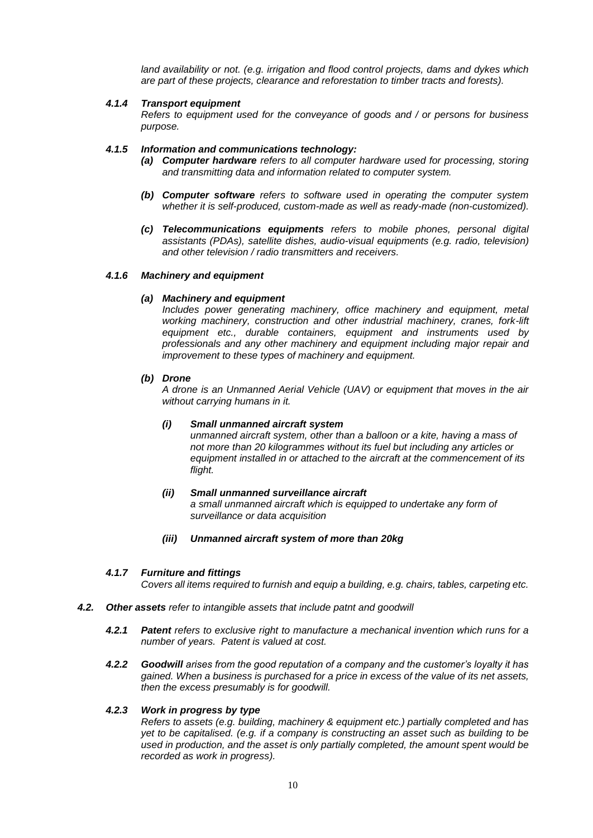*land availability or not. (e.g. irrigation and flood control projects, dams and dykes which are part of these projects, clearance and reforestation to timber tracts and forests).*

#### *4.1.4 Transport equipment*

*Refers to equipment used for the conveyance of goods and / or persons for business purpose.*

#### *4.1.5 Information and communications technology:*

- *(a) Computer hardware refers to all computer hardware used for processing, storing and transmitting data and information related to computer system.*
- *(b) Computer software refers to software used in operating the computer system whether it is self-produced, custom-made as well as ready-made (non-customized).*
- *(c) Telecommunications equipments refers to mobile phones, personal digital assistants (PDAs), satellite dishes, audio-visual equipments (e.g. radio, television) and other television / radio transmitters and receivers.*

#### *4.1.6 Machinery and equipment*

### *(a) Machinery and equipment*

*Includes power generating machinery, office machinery and equipment, metal working machinery, construction and other industrial machinery, cranes, fork-lift equipment etc., durable containers, equipment and instruments used by professionals and any other machinery and equipment including major repair and improvement to these types of machinery and equipment.*

#### *(b) Drone*

*A drone is an Unmanned Aerial Vehicle (UAV) or equipment that moves in the air without carrying humans in it.*

#### *(i) Small unmanned aircraft system*

*unmanned aircraft system, other than a balloon or a kite, having a mass of not more than 20 kilogrammes without its fuel but including any articles or equipment installed in or attached to the aircraft at the commencement of its flight.*

# *(ii) Small unmanned surveillance aircraft a small unmanned aircraft which is equipped to undertake any form of surveillance or data acquisition*

*(iii) Unmanned aircraft system of more than 20kg*

### *4.1.7 Furniture and fittings*

*Covers all items required to furnish and equip a building, e.g. chairs, tables, carpeting etc.*

- *4.2. Other assets refer to intangible assets that include patnt and goodwill*
	- *4.2.1 Patent refers to exclusive right to manufacture a mechanical invention which runs for a number of years. Patent is valued at cost.*
	- *4.2.2 Goodwill arises from the good reputation of a company and the customer's loyalty it has gained. When a business is purchased for a price in excess of the value of its net assets, then the excess presumably is for goodwill.*

### *4.2.3 Work in progress by type*

*Refers to assets (e.g. building, machinery & equipment etc.) partially completed and has yet to be capitalised. (e.g. if a company is constructing an asset such as building to be used in production, and the asset is only partially completed, the amount spent would be recorded as work in progress).*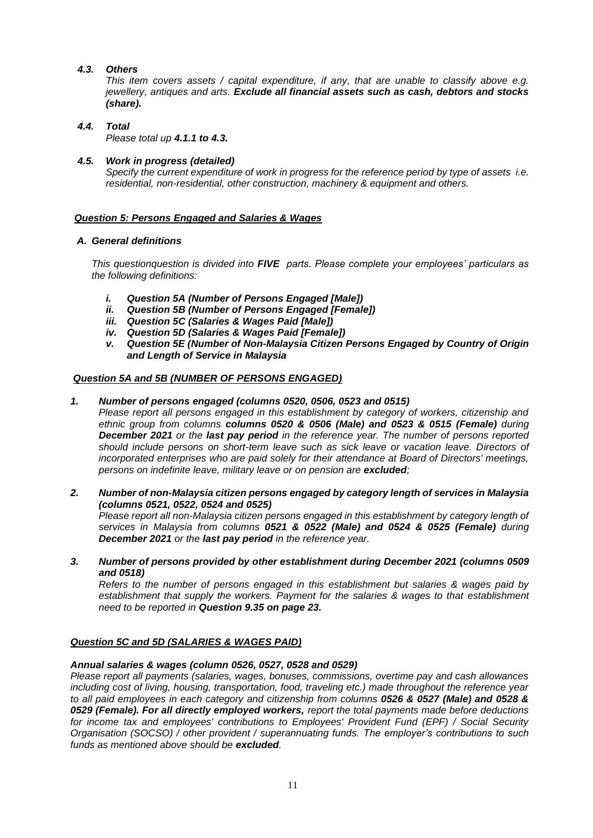# *4.3. Others*

*This item covers assets / capital expenditure, if any, that are unable to classify above e.g. jewellery, antiques and arts. Exclude all financial assets such as cash, debtors and stocks (share).*

# *4.4. Total*

*Please total up 4.1.1 to 4.3.*

# *4.5. Work in progress (detailed)*

*Specify the current expenditure of work in progress for the reference period by type of assets i.e. residential, non-residential, other construction, machinery & equipment and others.*

# *Question 5: Persons Engaged and Salaries & Wages*

# *A. General definitions*

*This questionquestion is divided into FIVE parts. Please complete your employees' particulars as the following definitions:*

- *i. Question 5A (Number of Persons Engaged [Male])*
- *ii. Question 5B (Number of Persons Engaged [Female])*
- *iii. Question 5C (Salaries & Wages Paid [Male])*
- *iv. Question 5D (Salaries & Wages Paid [Female])*
- *v. Question 5E (Number of Non-Malaysia Citizen Persons Engaged by Country of Origin and Length of Service in Malaysia*

# *Question 5A and 5B (NUMBER OF PERSONS ENGAGED)*

# *1. Number of persons engaged (columns 0520, 0506, 0523 and 0515)*

*Please report all persons engaged in this establishment by category of workers, citizenship and ethnic group from columns columns 0520 & 0506 (Male) and 0523 & 0515 (Female) during December 2021 or the last pay period in the reference year. The number of persons reported should include persons on short-term leave such as sick leave or vacation leave. Directors of incorporated enterprises who are paid solely for their attendance at Board of Directors' meetings, persons on indefinite leave, military leave or on pension are excluded;*

*2. Number of non-Malaysia citizen persons engaged by category length of services in Malaysia (columns 0521, 0522, 0524 and 0525) Please report all non-Malaysia citizen persons engaged in this establishment by category length of services in Malaysia from columns 0521 & 0522 (Male) and 0524 & 0525 (Female) during* 

*December 2021 or the last pay period in the reference year. 3. Number of persons provided by other establishment during December 2021 (columns 0509* 

*and 0518) Refers to the number of persons engaged in this establishment but salaries & wages paid by* 

*establishment that supply the workers. Payment for the salaries & wages to that establishment need to be reported in Question 9.35 on page 23.*

# *Question 5C and 5D (SALARIES & WAGES PAID)*

# *Annual salaries & wages (column 0526, 0527, 0528 and 0529)*

*Please report all payments (salaries, wages, bonuses, commissions, overtime pay and cash allowances including cost of living, housing, transportation, food, traveling etc.) made throughout the reference year to all paid employees in each category and citizenship from columns 0526 & 0527 (Male) and 0528 & 0529 (Female). For all directly employed workers, report the total payments made before deductions for income tax and employees' contributions to Employees' Provident Fund (EPF) / Social Security Organisation (SOCSO) / other provident / superannuating funds. The employer's contributions to such funds as mentioned above should be excluded.*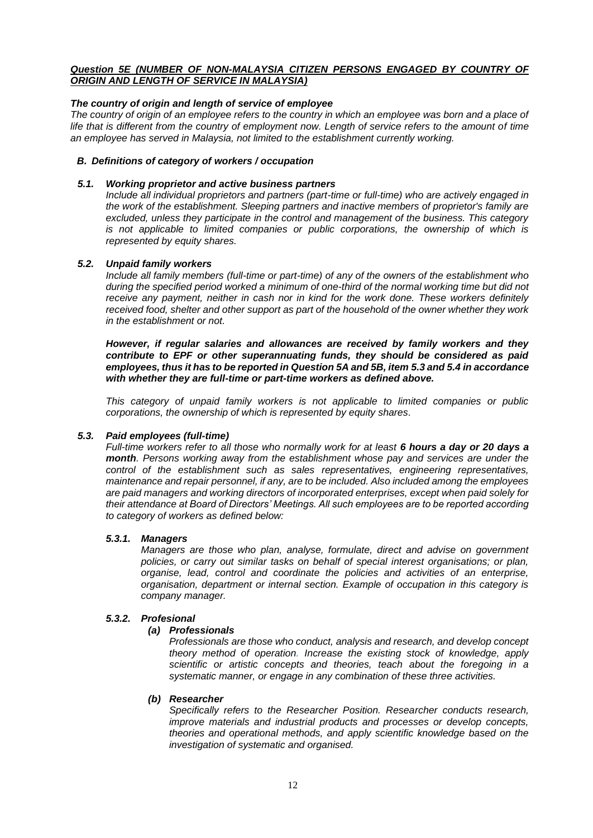# *Question 5E (NUMBER OF NON-MALAYSIA CITIZEN PERSONS ENGAGED BY COUNTRY OF ORIGIN AND LENGTH OF SERVICE IN MALAYSIA)*

# *The country of origin and length of service of employee*

*The country of origin of an employee refers to the country in which an employee was born and a place of*  life that is different from the country of employment now. Length of service refers to the amount of time *an employee has served in Malaysia, not limited to the establishment currently working.*

### *B. Definitions of category of workers / occupation*

### *5.1. Working proprietor and active business partners*

*Include all individual proprietors and partners (part-time or full-time) who are actively engaged in the work of the establishment. Sleeping partners and inactive members of proprietor's family are excluded, unless they participate in the control and management of the business. This category is not applicable to limited companies or public corporations, the ownership of which is represented by equity shares.*

### *5.2. Unpaid family workers*

*Include all family members (full-time or part-time) of any of the owners of the establishment who during the specified period worked a minimum of one-third of the normal working time but did not*  receive any payment, neither in cash nor in kind for the work done. These workers definitely *received food, shelter and other support as part of the household of the owner whether they work in the establishment or not.*

*However, if regular salaries and allowances are received by family workers and they contribute to EPF or other superannuating funds, they should be considered as paid employees, thus it has to be reported in Question 5A and 5B, item 5.3 and 5.4 in accordance with whether they are full-time or part-time workers as defined above.*

*This category of unpaid family workers is not applicable to limited companies or public corporations, the ownership of which is represented by equity shares.*

### *5.3. Paid employees (full-time)*

*Full-time workers refer to all those who normally work for at least 6 hours a day or 20 days a month. Persons working away from the establishment whose pay and services are under the control of the establishment such as sales representatives, engineering representatives, maintenance and repair personnel, if any, are to be included. Also included among the employees are paid managers and working directors of incorporated enterprises, except when paid solely for their attendance at Board of Directors' Meetings. All such employees are to be reported according to category of workers as defined below:*

### *5.3.1. Managers*

*Managers are those who plan, analyse, formulate, direct and advise on government policies, or carry out similar tasks on behalf of special interest organisations; or plan, organise, lead, control and coordinate the policies and activities of an enterprise, organisation, department or internal section. Example of occupation in this category is company manager.*

### *5.3.2. Profesional*

# *(a) Professionals*

*Professionals are those who conduct, analysis and research, and develop concept theory method of operation. Increase the existing stock of knowledge, apply scientific or artistic concepts and theories, teach about the foregoing in a systematic manner, or engage in any combination of these three activities.*

### *(b) Researcher*

*Specifically refers to the Researcher Position. Researcher conducts research, improve materials and industrial products and processes or develop concepts, theories and operational methods, and apply scientific knowledge based on the investigation of systematic and organised.*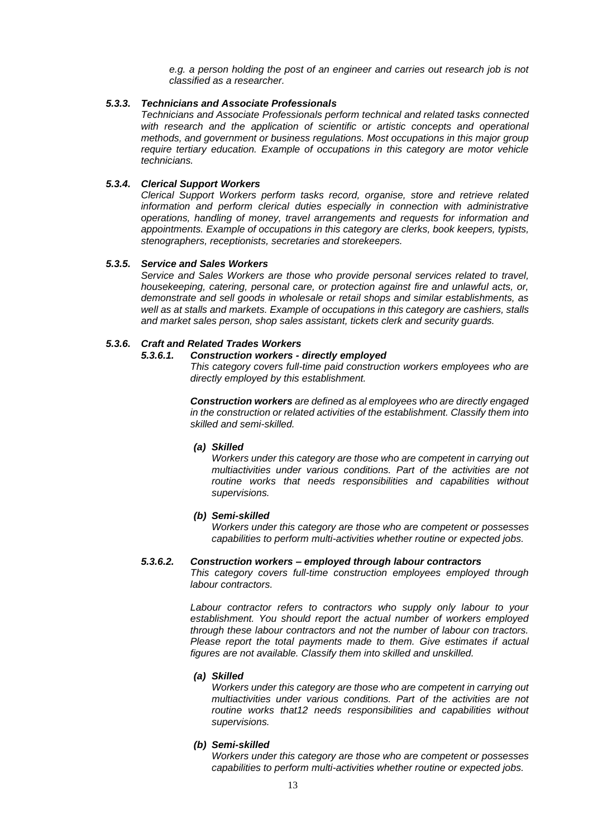*e.g. a person holding the post of an engineer and carries out research job is not classified as a researcher.* 

#### *5.3.3. Technicians and Associate Professionals*

*Technicians and Associate Professionals perform technical and related tasks connected*  with research and the application of scientific or artistic concepts and operational *methods, and government or business regulations. Most occupations in this major group require tertiary education. Example of occupations in this category are motor vehicle technicians.*

#### *5.3.4. Clerical Support Workers*

*Clerical Support Workers perform tasks record, organise, store and retrieve related information and perform clerical duties especially in connection with administrative operations, handling of money, travel arrangements and requests for information and appointments. Example of occupations in this category are clerks, book keepers, typists, stenographers, receptionists, secretaries and storekeepers.*

#### *5.3.5. Service and Sales Workers*

*Service and Sales Workers are those who provide personal services related to travel, housekeeping, catering, personal care, or protection against fire and unlawful acts, or, demonstrate and sell goods in wholesale or retail shops and similar establishments, as well as at stalls and markets. Example of occupations in this category are cashiers, stalls and market sales person, shop sales assistant, tickets clerk and security guards.*

# *5.3.6. Craft and Related Trades Workers*

# *5.3.6.1. Construction workers - directly employed*

*This category covers full-time paid construction workers employees who are directly employed by this establishment.*

*Construction workers are defined as al employees who are directly engaged in the construction or related activities of the establishment. Classify them into skilled and semi-skilled.*

#### *(a) Skilled*

*Workers under this category are those who are competent in carrying out multiactivities under various conditions. Part of the activities are not routine works that needs responsibilities and capabilities without supervisions.*

#### *(b) Semi-skilled*

*Workers under this category are those who are competent or possesses capabilities to perform multi-activities whether routine or expected jobs.*

#### *5.3.6.2. Construction workers – employed through labour contractors*

*This category covers full-time construction employees employed through labour contractors.*

*Labour contractor refers to contractors who supply only labour to your establishment. You should report the actual number of workers employed through these labour contractors and not the number of labour con tractors. Please report the total payments made to them. Give estimates if actual figures are not available. Classify them into skilled and unskilled.*

# *(a) Skilled*

*Workers under this category are those who are competent in carrying out multiactivities under various conditions. Part of the activities are not routine works that12 needs responsibilities and capabilities without supervisions.*

#### *(b) Semi-skilled*

*Workers under this category are those who are competent or possesses capabilities to perform multi-activities whether routine or expected jobs.*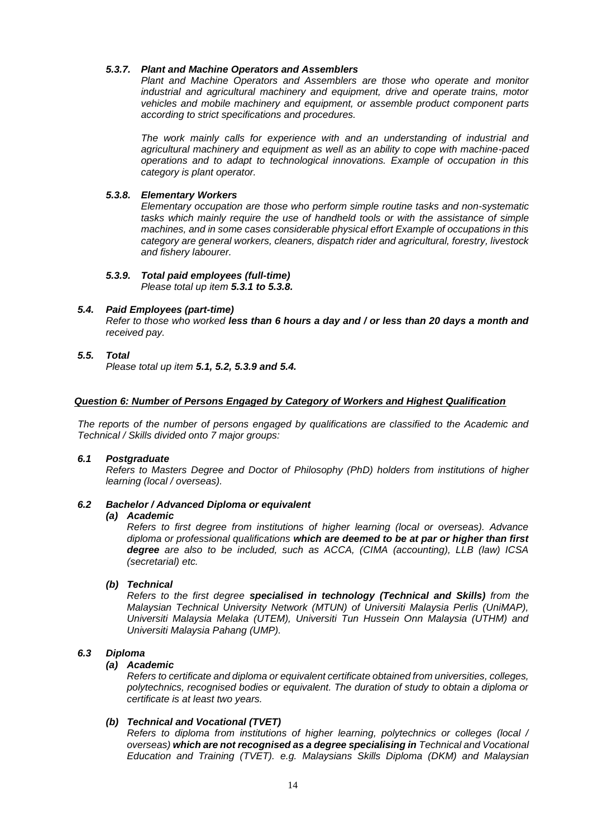# *5.3.7. Plant and Machine Operators and Assemblers*

*Plant and Machine Operators and Assemblers are those who operate and monitor industrial and agricultural machinery and equipment, drive and operate trains, motor vehicles and mobile machinery and equipment, or assemble product component parts according to strict specifications and procedures.* 

*The work mainly calls for experience with and an understanding of industrial and agricultural machinery and equipment as well as an ability to cope with machine-paced operations and to adapt to technological innovations. Example of occupation in this category is plant operator.*

# *5.3.8. Elementary Workers*

*Elementary occupation are those who perform simple routine tasks and non-systematic tasks which mainly require the use of handheld tools or with the assistance of simple machines, and in some cases considerable physical effort Example of occupations in this category are general workers, cleaners, dispatch rider and agricultural, forestry, livestock and fishery labourer.*

# *5.3.9. Total paid employees (full-time)*

*Please total up item 5.3.1 to 5.3.8.*

# *5.4. Paid Employees (part-time)*

*Refer to those who worked less than 6 hours a day and / or less than 20 days a month and received pay.*

# *5.5. Total*

*Please total up item 5.1, 5.2, 5.3.9 and 5.4.*

### *Question 6: Number of Persons Engaged by Category of Workers and Highest Qualification*

*The reports of the number of persons engaged by qualifications are classified to the Academic and Technical / Skills divided onto 7 major groups:* 

### *6.1 Postgraduate*

*Refers to Masters Degree and Doctor of Philosophy (PhD) holders from institutions of higher learning (local / overseas).*

# *6.2 Bachelor / Advanced Diploma or equivalent*

### *(a) Academic*

*Refers to first degree from institutions of higher learning (local or overseas). Advance diploma or professional qualifications which are deemed to be at par or higher than first degree are also to be included, such as ACCA, (CIMA (accounting), LLB (law) ICSA (secretarial) etc.*

### *(b) Technical*

*Refers to the first degree specialised in technology (Technical and Skills) from the Malaysian Technical University Network (MTUN) of Universiti Malaysia Perlis (UniMAP), Universiti Malaysia Melaka (UTEM), Universiti Tun Hussein Onn Malaysia (UTHM) and Universiti Malaysia Pahang (UMP).*

# *6.3 Diploma*

### *(a) Academic*

*Refers to certificate and diploma or equivalent certificate obtained from universities, colleges, polytechnics, recognised bodies or equivalent. The duration of study to obtain a diploma or certificate is at least two years.*

### *(b) Technical and Vocational (TVET)*

*Refers to diploma from institutions of higher learning, polytechnics or colleges (local / overseas) which are not recognised as a degree specialising in Technical and Vocational Education and Training (TVET). e.g. Malaysians Skills Diploma (DKM) and Malaysian*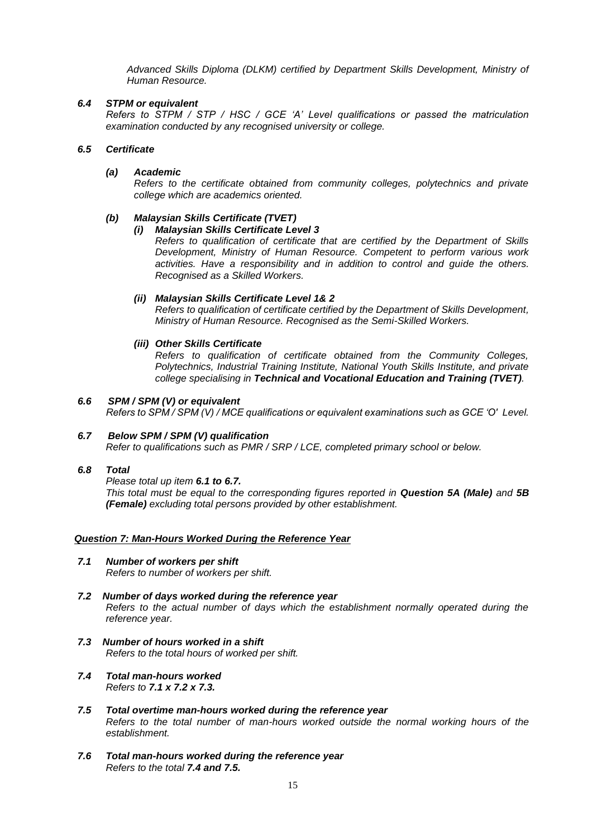*Advanced Skills Diploma (DLKM) certified by Department Skills Development, Ministry of Human Resource.*

# *6.4 STPM or equivalent*

*Refers to STPM / STP / HSC / GCE 'A' Level qualifications or passed the matriculation examination conducted by any recognised university or college.*

# *6.5 Certificate*

# *(a) Academic*

*Refers to the certificate obtained from community colleges, polytechnics and private college which are academics oriented.*

# *(b) Malaysian Skills Certificate (TVET)*

# *(i) Malaysian Skills Certificate Level 3*

*Refers to qualification of certificate that are certified by the Department of Skills Development, Ministry of Human Resource. Competent to perform various work activities. Have a responsibility and in addition to control and guide the others. Recognised as a Skilled Workers.*

# *(ii) Malaysian Skills Certificate Level 1& 2*

*Refers to qualification of certificate certified by the Department of Skills Development, Ministry of Human Resource. Recognised as the Semi-Skilled Workers.*

# *(iii) Other Skills Certificate*

*Refers to qualification of certificate obtained from the Community Colleges, Polytechnics, Industrial Training Institute, National Youth Skills Institute, and private college specialising in Technical and Vocational Education and Training (TVET).*

# *6.6 SPM / SPM (V) or equivalent*

*Refers to SPM / SPM (V) / MCE qualifications or equivalent examinations such as GCE 'O' Level.* 

# *6.7 Below SPM / SPM (V) qualification*

*Refer to qualifications such as PMR / SRP / LCE, completed primary school or below.*

# *6.8 Total*

*Please total up item 6.1 to 6.7.*

*This total must be equal to the corresponding figures reported in Question 5A (Male) and 5B (Female) excluding total persons provided by other establishment.*

### *Question 7: Man-Hours Worked During the Reference Year*

- *7.1 Number of workers per shift Refers to number of workers per shift.*
- *7.2 Number of days worked during the reference year Refers to the actual number of days which the establishment normally operated during the reference year.*
- *7.3 Number of hours worked in a shift Refers to the total hours of worked per shift.*
- *7.4 Total man-hours worked Refers to 7.1 x 7.2 x 7.3.*
- *7.5 Total overtime man-hours worked during the reference year Refers to the total number of man-hours worked outside the normal working hours of the establishment.*
- *7.6 Total man-hours worked during the reference year Refers to the total 7.4 and 7.5.*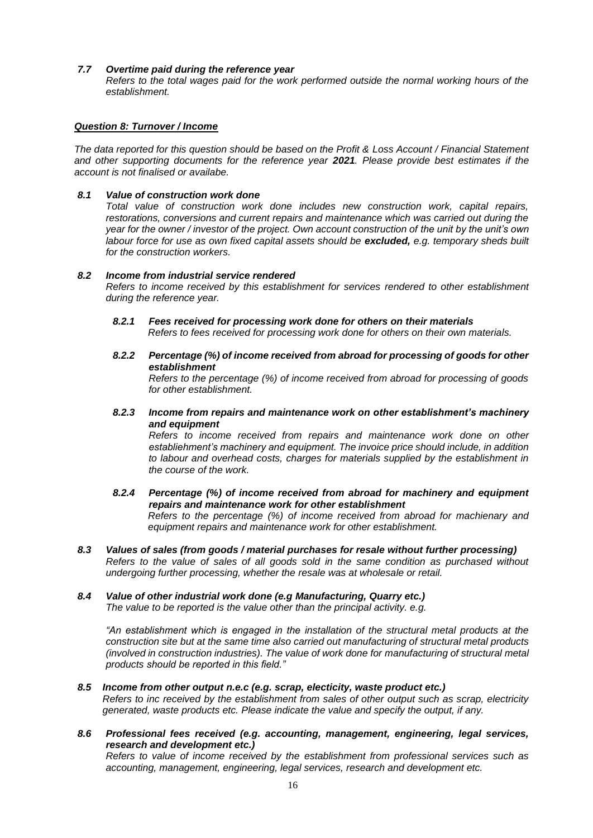### *7.7 Overtime paid during the reference year*

*Refers to the total wages paid for the work performed outside the normal working hours of the establishment.*

### *Question 8: Turnover / Income*

*The data reported for this question should be based on the Profit & Loss Account / Financial Statement and other supporting documents for the reference year 2021. Please provide best estimates if the account is not finalised or availabe.*

### *8.1 Value of construction work done*

*Total value of construction work done includes new construction work, capital repairs, restorations, conversions and current repairs and maintenance which was carried out during the year for the owner / investor of the project. Own account construction of the unit by the unit's own labour force for use as own fixed capital assets should be excluded, e.g. temporary sheds built for the construction workers.*

#### *8.2 Income from industrial service rendered*

*Refers to income received by this establishment for services rendered to other establishment during the reference year.*

- *8.2.1 Fees received for processing work done for others on their materials Refers to fees received for processing work done for others on their own materials.*
- *8.2.2 Percentage (%) of income received from abroad for processing of goods for other establishment*

*Refers to the percentage (%) of income received from abroad for processing of goods for other establishment.*

### *8.2.3 Income from repairs and maintenance work on other establishment's machinery and equipment*

*Refers to income received from repairs and maintenance work done on other establiehment's machinery and equipment. The invoice price should include, in addition to labour and overhead costs, charges for materials supplied by the establishment in the course of the work.*

- *8.2.4 Percentage (%) of income received from abroad for machinery and equipment repairs and maintenance work for other establishment Refers to the percentage (%) of income received from abroad for machienary and equipment repairs and maintenance work for other establishment.*
- *8.3 Values of sales (from goods / material purchases for resale without further processing) Refers to the value of sales of all goods sold in the same condition as purchased without undergoing further processing, whether the resale was at wholesale or retail.*

# *8.4 Value of other industrial work done (e.g Manufacturing, Quarry etc.)*

*The value to be reported is the value other than the principal activity. e.g.*

*"An establishment which is engaged in the installation of the structural metal products at the construction site but at the same time also carried out manufacturing of structural metal products (involved in construction industries). The value of work done for manufacturing of structural metal products should be reported in this field."*

### *8.5 Income from other output n.e.c (e.g. scrap, electicity, waste product etc.)*

*Refers to inc received by the establishment from sales of other output such as scrap, electricity generated, waste products etc. Please indicate the value and specify the output, if any.*

*8.6 Professional fees received (e.g. accounting, management, engineering, legal services, research and development etc.) Refers to value of income received by the establishment from professional services such as* 

*accounting, management, engineering, legal services, research and development etc.*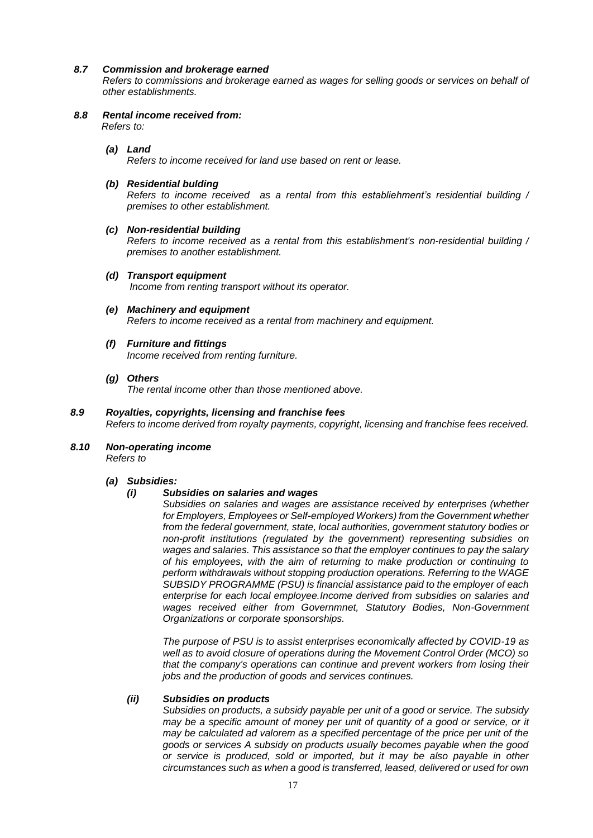# *8.7 Commission and brokerage earned*

*Refers to commissions and brokerage earned as wages for selling goods or services on behalf of other establishments.*

*8.8 Rental income received from: Refers to:*

### *(a) Land*

*Refers to income received for land use based on rent or lease.*

# *(b) Residential bulding*

*Refers to income received as a rental from this establiehment's residential building / premises to other establishment.*

# *(c) Non-residential building*

*Refers to income received as a rental from this establishment's non-residential building / premises to another establishment.*

- *(d) Transport equipment Income from renting transport without its operator.*
- *(e) Machinery and equipment Refers to income received as a rental from machinery and equipment.*

# *(f) Furniture and fittings*

*Income received from renting furniture.*

# *(g) Others*

*The rental income other than those mentioned above.*

# *8.9 Royalties, copyrights, licensing and franchise fees*

*Refers to income derived from royalty payments, copyright, licensing and franchise fees received.*

#### *8.10 Non-operating income Refers to*

### *(a) Subsidies:*

### *(i) Subsidies on salaries and wages*

*Subsidies on salaries and wages are assistance received by enterprises (whether for Employers, Employees or Self-employed Workers) from the Government whether from the federal government, state, local authorities, government statutory bodies or non-profit institutions (regulated by the government) representing subsidies on wages and salaries. This assistance so that the employer continues to pay the salary of his employees, with the aim of returning to make production or continuing to perform withdrawals without stopping production operations. Referring to the WAGE SUBSIDY PROGRAMME (PSU) is financial assistance paid to the employer of each enterprise for each local employee.Income derived from subsidies on salaries and wages received either from Governmnet, Statutory Bodies, Non-Government Organizations or corporate sponsorships.*

*The purpose of PSU is to assist enterprises economically affected by COVID-19 as well as to avoid closure of operations during the Movement Control Order (MCO) so that the company's operations can continue and prevent workers from losing their jobs and the production of goods and services continues.*

### *(ii) Subsidies on products*

*Subsidies on products, a subsidy payable per unit of a good or service. The subsidy may be a specific amount of money per unit of quantity of a good or service, or it may be calculated ad valorem as a specified percentage of the price per unit of the goods or services A subsidy on products usually becomes payable when the good or service is produced, sold or imported, but it may be also payable in other circumstances such as when a good is transferred, leased, delivered or used for own*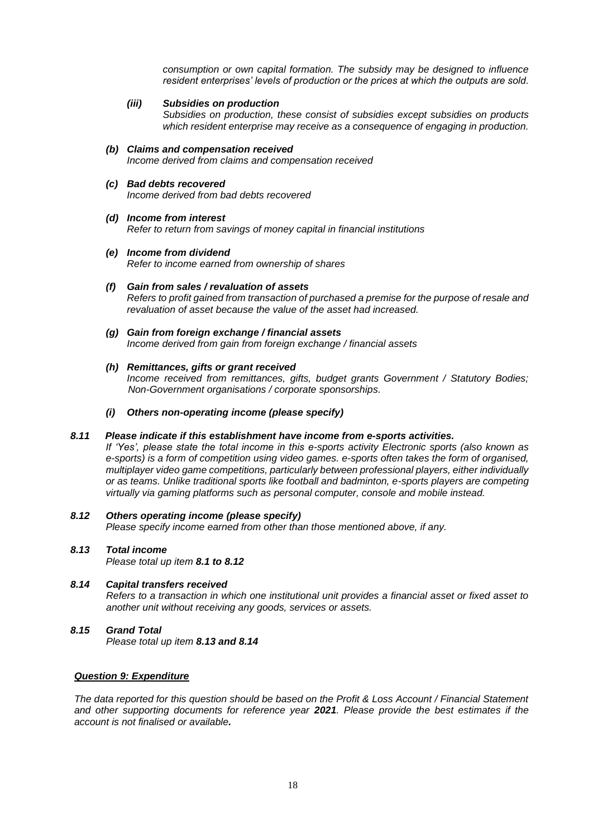*consumption or own capital formation. The subsidy may be designed to influence resident enterprises' levels of production or the prices at which the outputs are sold.*

*(iii) Subsidies on production*

*Subsidies on production, these consist of subsidies except subsidies on products which resident enterprise may receive as a consequence of engaging in production.*

- *(b) Claims and compensation received Income derived from claims and compensation received*
- *(c) Bad debts recovered Income derived from bad debts recovered*
- *(d) Income from interest Refer to return from savings of money capital in financial institutions*
- *(e) Income from dividend Refer to income earned from ownership of shares*
- *(f) Gain from sales / revaluation of assets Refers to profit gained from transaction of purchased a premise for the purpose of resale and revaluation of asset because the value of the asset had increased.*
- *(g) Gain from foreign exchange / financial assets Income derived from gain from foreign exchange / financial assets*
- *(h) Remittances, gifts or grant received*

*Income received from remittances, gifts, budget grants Government / Statutory Bodies; Non-Government organisations / corporate sponsorships.*

*(i) Others non-operating income (please specify)*

### *8.11 Please indicate if this establishment have income from e-sports activities.*

*If 'Yes', please state the total income in this e-sports activity Electronic sports (also known as e-sports) is a form of competition using video games. e-sports often takes the form of organised, multiplayer video game competitions, particularly between professional players, either individually or as teams. Unlike traditional sports like football and badminton, e-sports players are competing virtually via gaming platforms such as personal computer, console and mobile instead.*

- *8.12 Others operating income (please specify) Please specify income earned from other than those mentioned above, if any.*
- *8.13 Total income Please total up item 8.1 to 8.12*
- *8.14 Capital transfers received Refers to a transaction in which one institutional unit provides a financial asset or fixed asset to another unit without receiving any goods, services or assets.*
- *8.15 Grand Total Please total up item 8.13 and 8.14*

### *Question 9: Expenditure*

*The data reported for this question should be based on the Profit & Loss Account / Financial Statement and other supporting documents for reference year 2021. Please provide the best estimates if the account is not finalised or available.*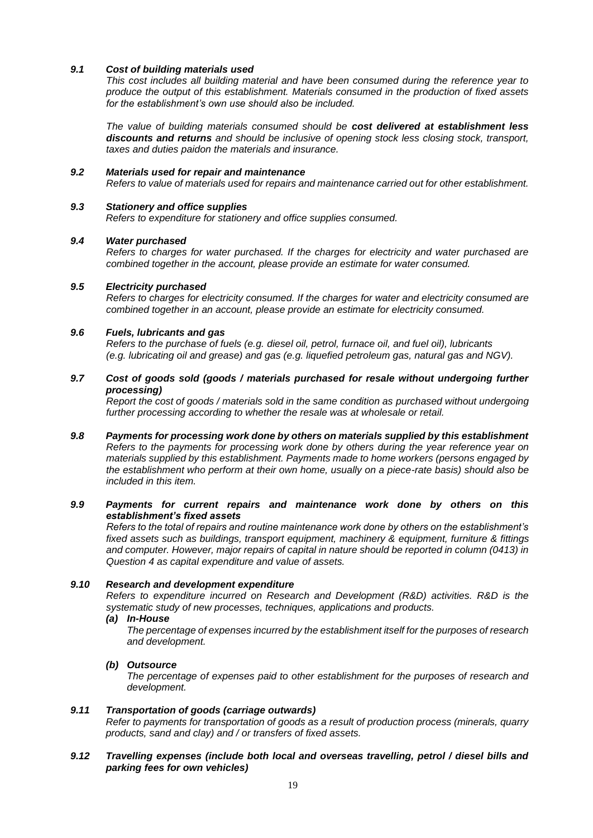### *9.1 Cost of building materials used*

*This cost includes all building material and have been consumed during the reference year to produce the output of this establishment. Materials consumed in the production of fixed assets for the establishment's own use should also be included.*

*The value of building materials consumed should be cost delivered at establishment less discounts and returns and should be inclusive of opening stock less closing stock, transport, taxes and duties paidon the materials and insurance.*

### *9.2 Materials used for repair and maintenance*

*Refers to value of materials used for repairs and maintenance carried out for other establishment.*

# *9.3 Stationery and office supplies*

*Refers to expenditure for stationery and office supplies consumed.*

# *9.4 Water purchased*

*Refers to charges for water purchased. If the charges for electricity and water purchased are combined together in the account, please provide an estimate for water consumed.*

# *9.5 Electricity purchased*

*Refers to charges for electricity consumed. If the charges for water and electricity consumed are combined together in an account, please provide an estimate for electricity consumed.*

# *9.6 Fuels, lubricants and gas*

*Refers to the purchase of fuels (e.g. diesel oil, petrol, furnace oil, and fuel oil), lubricants (e.g. lubricating oil and grease) and gas (e.g. liquefied petroleum gas, natural gas and NGV).*

# *9.7 Cost of goods sold (goods / materials purchased for resale without undergoing further processing)*

*Report the cost of goods / materials sold in the same condition as purchased without undergoing further processing according to whether the resale was at wholesale or retail.*

*9.8 Payments for processing work done by others on materials supplied by this establishment Refers to the payments for processing work done by others during the year reference year on materials supplied by this establishment. Payments made to home workers (persons engaged by the establishment who perform at their own home, usually on a piece-rate basis) should also be included in this item.*

### *9.9 Payments for current repairs and maintenance work done by others on this establishment's fixed assets*

*Refers to the total of repairs and routine maintenance work done by others on the establishment's fixed assets such as buildings, transport equipment, machinery & equipment, furniture & fittings and computer. However, major repairs of capital in nature should be reported in column (0413) in Question 4 as capital expenditure and value of assets.*

### *9.10 Research and development expenditure*

*Refers to expenditure incurred on Research and Development (R&D) activities. R&D is the systematic study of new processes, techniques, applications and products.*

# *(a) In-House*

*The percentage of expenses incurred by the establishment itself for the purposes of research and development.*

### *(b) Outsource*

*The percentage of expenses paid to other establishment for the purposes of research and development.*

### *9.11 Transportation of goods (carriage outwards)*

*Refer to payments for transportation of goods as a result of production process (minerals, quarry products, sand and clay) and / or transfers of fixed assets.*

### *9.12 Travelling expenses (include both local and overseas travelling, petrol / diesel bills and parking fees for own vehicles)*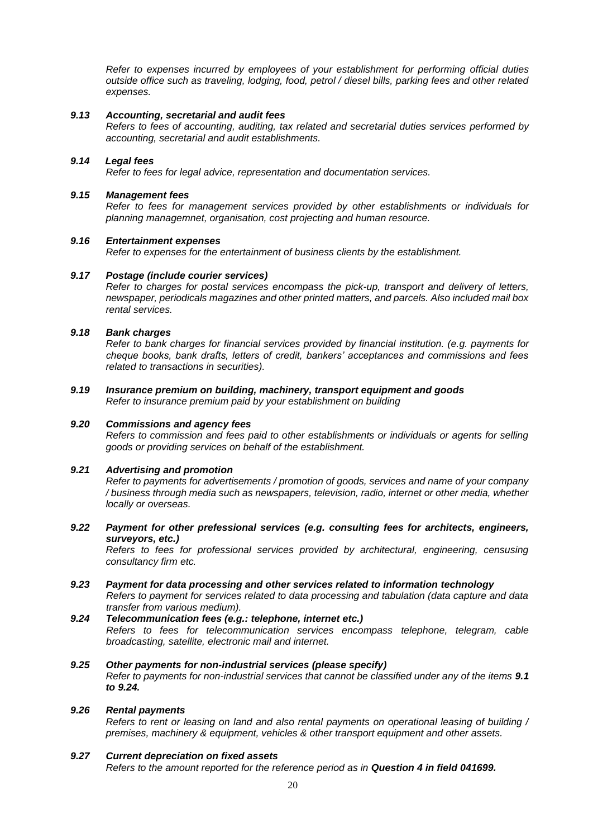*Refer to expenses incurred by employees of your establishment for performing official duties outside office such as traveling, lodging, food, petrol / diesel bills, parking fees and other related expenses.*

### *9.13 Accounting, secretarial and audit fees*

*Refers to fees of accounting, auditing, tax related and secretarial duties services performed by accounting, secretarial and audit establishments.*

# *9.14 Legal fees*

*Refer to fees for legal advice, representation and documentation services.*

### *9.15 Management fees*

*Refer to fees for management services provided by other establishments or individuals for planning managemnet, organisation, cost projecting and human resource.*

### *9.16 Entertainment expenses*

*Refer to expenses for the entertainment of business clients by the establishment.*

### *9.17 Postage (include courier services)*

*Refer to charges for postal services encompass the pick-up, transport and delivery of letters, newspaper, periodicals magazines and other printed matters, and parcels. Also included mail box rental services.*

# *9.18 Bank charges*

*Refer to bank charges for financial services provided by financial institution. (e.g. payments for cheque books, bank drafts, letters of credit, bankers' acceptances and commissions and fees related to transactions in securities).*

# *9.19 Insurance premium on building, machinery, transport equipment and goods Refer to insurance premium paid by your establishment on building*

### *9.20 Commissions and agency fees*

*Refers to commission and fees paid to other establishments or individuals or agents for selling goods or providing services on behalf of the establishment.*

### *9.21 Advertising and promotion*

*Refer to payments for advertisements / promotion of goods, services and name of your company / business through media such as newspapers, television, radio, internet or other media, whether locally or overseas.*

*9.22 Payment for other prefessional services (e.g. consulting fees for architects, engineers, surveyors, etc.)*

*Refers to fees for professional services provided by architectural, engineering, censusing consultancy firm etc.*

- *9.23 Payment for data processing and other services related to information technology Refers to payment for services related to data processing and tabulation (data capture and data transfer from various medium).*
- *9.24 Telecommunication fees (e.g.: telephone, internet etc.) Refers to fees for telecommunication services encompass telephone, telegram, cable broadcasting, satellite, electronic mail and internet.*
- *9.25 Other payments for non-industrial services (please specify) Refer to payments for non-industrial services that cannot be classified under any of the items 9.1 to 9.24.*

### *9.26 Rental payments*

*Refers to rent or leasing on land and also rental payments on operational leasing of building / premises, machinery & equipment, vehicles & other transport equipment and other assets.*

# *9.27 Current depreciation on fixed assets*

*Refers to the amount reported for the reference period as in Question 4 in field 041699.*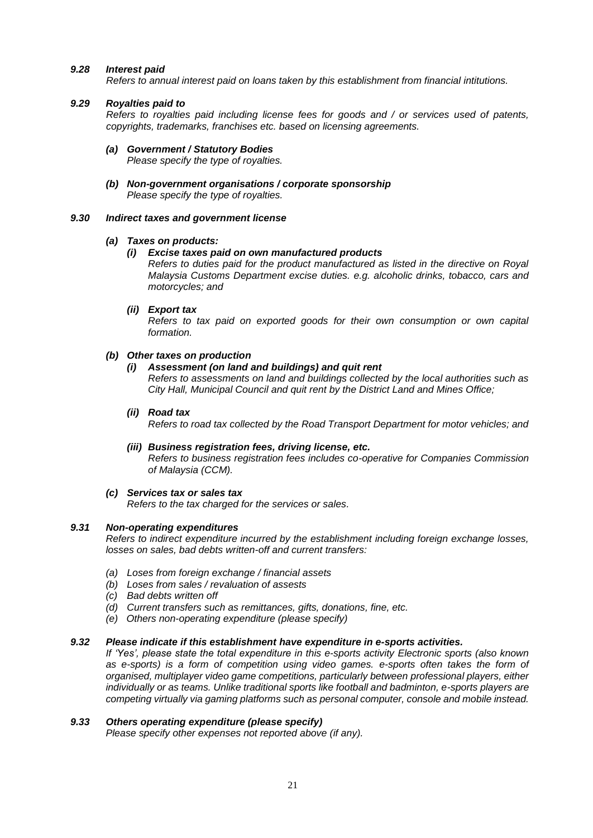### *9.28 Interest paid*

*Refers to annual interest paid on loans taken by this establishment from financial intitutions.*

### *9.29 Royalties paid to*

*Refers to royalties paid including license fees for goods and / or services used of patents, copyrights, trademarks, franchises etc. based on licensing agreements.*

- *(a) Government / Statutory Bodies Please specify the type of royalties.*
- *(b) Non-government organisations / corporate sponsorship Please specify the type of royalties.*

#### *9.30 Indirect taxes and government license*

#### *(a) Taxes on products:*

### *(i) Excise taxes paid on own manufactured products*

*Refers to duties paid for the product manufactured as listed in the directive on Royal Malaysia Customs Department excise duties. e.g. alcoholic drinks, tobacco, cars and motorcycles; and*

#### *(ii) Export tax*

*Refers to tax paid on exported goods for their own consumption or own capital formation.*

### *(b) Other taxes on production*

### *(i) Assessment (on land and buildings) and quit rent*

*Refers to assessments on land and buildings collected by the local authorities such as City Hall, Municipal Council and quit rent by the District Land and Mines Office;*

### *(ii) Road tax*

*Refers to road tax collected by the Road Transport Department for motor vehicles; and*

#### *(iii) Business registration fees, driving license, etc. Refers to business registration fees includes co-operative for Companies Commission of Malaysia (CCM).*

*(c) Services tax or sales tax*

*Refers to the tax charged for the services or sales.*

### *9.31 Non-operating expenditures*

*Refers to indirect expenditure incurred by the establishment including foreign exchange losses, losses on sales, bad debts written-off and current transfers:*

- *(a) Loses from foreign exchange / financial assets*
- *(b) Loses from sales / revaluation of assests*
- *(c) Bad debts written off*
- *(d) Current transfers such as remittances, gifts, donations, fine, etc.*
- *(e) Others non-operating expenditure (please specify)*

### *9.32 Please indicate if this establishment have expenditure in e-sports activities.*

*If 'Yes', please state the total expenditure in this e-sports activity Electronic sports (also known as e-sports) is a form of competition using video games. e-sports often takes the form of organised, multiplayer video game competitions, particularly between professional players, either individually or as teams. Unlike traditional sports like football and badminton, e-sports players are competing virtually via gaming platforms such as personal computer, console and mobile instead.*

# *9.33 Others operating expenditure (please specify)*

*Please specify other expenses not reported above (if any).*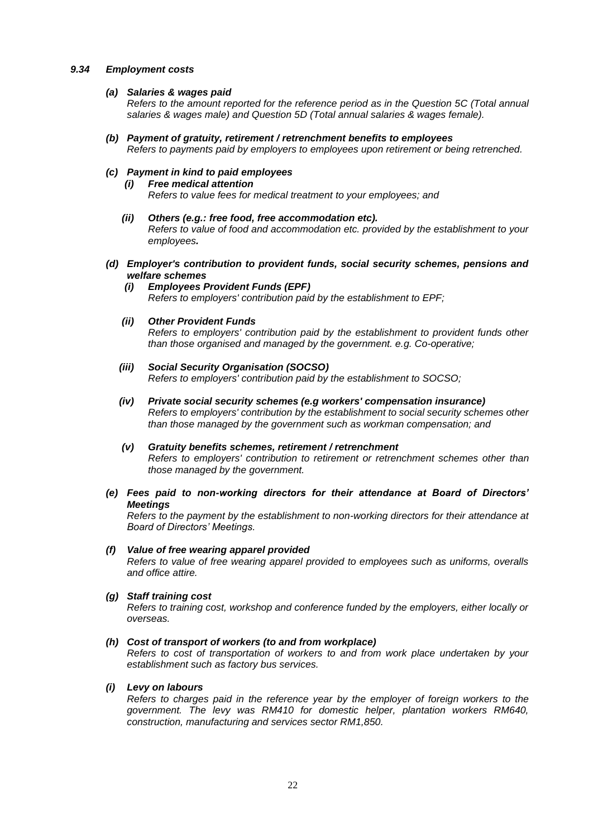### *9.34 Employment costs*

### *(a) Salaries & wages paid*

*Refers to the amount reported for the reference period as in the Question 5C (Total annual salaries & wages male) and Question 5D (Total annual salaries & wages female).*

*(b) Payment of gratuity, retirement / retrenchment benefits to employees Refers to payments paid by employers to employees upon retirement or being retrenched.*

# *(c) Payment in kind to paid employees*

# *(i) Free medical attention*

*Refers to value fees for medical treatment to your employees; and*

- *(ii) Others (e.g.: free food, free accommodation etc). Refers to value of food and accommodation etc. provided by the establishment to your employees.*
- *(d) Employer's contribution to provident funds, social security schemes, pensions and welfare schemes*
	- *(i) Employees Provident Funds (EPF) Refers to employers' contribution paid by the establishment to EPF;*

# *(ii) Other Provident Funds*

*Refers to employers' contribution paid by the establishment to provident funds other than those organised and managed by the government. e.g. Co-operative;*

- *(iii) Social Security Organisation (SOCSO) Refers to employers' contribution paid by the establishment to SOCSO;*
- *(iv) Private social security schemes (e.g workers' compensation insurance) Refers to employers' contribution by the establishment to social security schemes other than those managed by the government such as workman compensation; and*
- *(v) Gratuity benefits schemes, retirement / retrenchment Refers to employers' contribution to retirement or retrenchment schemes other than those managed by the government.*
- *(e) Fees paid to non-working directors for their attendance at Board of Directors' Meetings*

*Refers to the payment by the establishment to non-working directors for their attendance at Board of Directors' Meetings.*

# *(f) Value of free wearing apparel provided*

*Refers to value of free wearing apparel provided to employees such as uniforms, overalls and office attire.*

### *(g) Staff training cost*

*Refers to training cost, workshop and conference funded by the employers, either locally or overseas.*

### *(h) Cost of transport of workers (to and from workplace)*

*Refers to cost of transportation of workers to and from work place undertaken by your establishment such as factory bus services.*

### *(i) Levy on labours*

*Refers to charges paid in the reference year by the employer of foreign workers to the government. The levy was RM410 for domestic helper, plantation workers RM640, construction, manufacturing and services sector RM1,850.*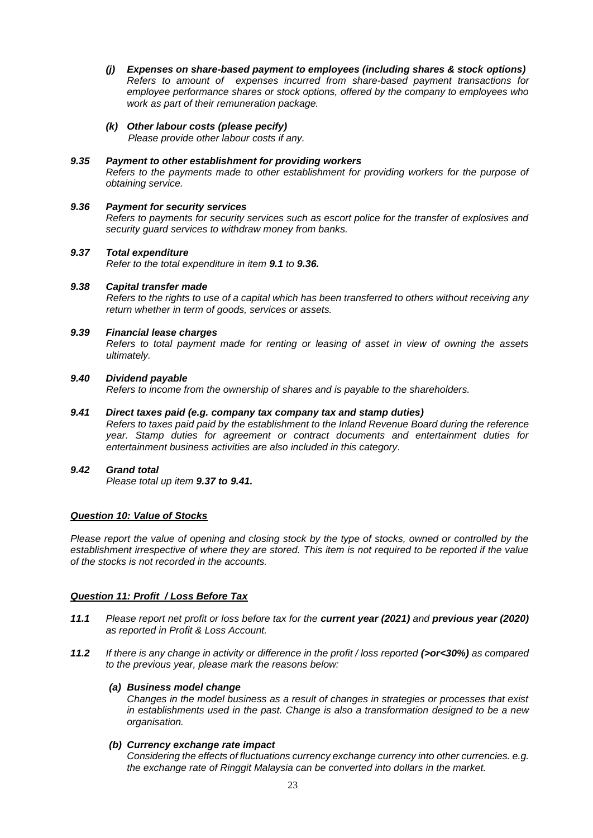- *(j) Expenses on share-based payment to employees (including shares & stock options) Refers to amount of expenses incurred from share-based payment transactions for employee performance shares or stock options, offered by the company to employees who work as part of their remuneration package.*
- *(k) Other labour costs (please pecify)*

*Please provide other labour costs if any.*

# *9.35 Payment to other establishment for providing workers*

*Refers to the payments made to other establishment for providing workers for the purpose of obtaining service.*

# *9.36 Payment for security services*

*Refers to payments for security services such as escort police for the transfer of explosives and security guard services to withdraw money from banks.*

# *9.37 Total expenditure*

*Refer to the total expenditure in item 9.1 to 9.36.*

# *9.38 Capital transfer made*

*Refers to the rights to use of a capital which has been transferred to others without receiving any return whether in term of goods, services or assets.*

# *9.39 Financial lease charges*

*Refers to total payment made for renting or leasing of asset in view of owning the assets ultimately.*

# *9.40 Dividend payable*

*Refers to income from the ownership of shares and is payable to the shareholders.*

# *9.41 Direct taxes paid (e.g. company tax company tax and stamp duties)*

*Refers to taxes paid paid by the establishment to the Inland Revenue Board during the reference year. Stamp duties for agreement or contract documents and entertainment duties for entertainment business activities are also included in this category.*

# *9.42 Grand total*

*Please total up item 9.37 to 9.41.*

# *Question 10: Value of Stocks*

*Please report the value of opening and closing stock by the type of stocks, owned or controlled by the establishment irrespective of where they are stored. This item is not required to be reported if the value of the stocks is not recorded in the accounts.*

# *Question 11: Profit / Loss Before Tax*

- *11.1 Please report net profit or loss before tax for the current year (2021) and previous year (2020) as reported in Profit & Loss Account.*
- *11.2 If there is any change in activity or difference in the profit / loss reported (>or<30%) as compared to the previous year, please mark the reasons below:*

# *(a) Business model change*

*Changes in the model business as a result of changes in strategies or processes that exist in establishments used in the past. Change is also a transformation designed to be a new organisation.*

# *(b) Currency exchange rate impact*

*Considering the effects of fluctuations currency exchange currency into other currencies. e.g. the exchange rate of Ringgit Malaysia can be converted into dollars in the market.*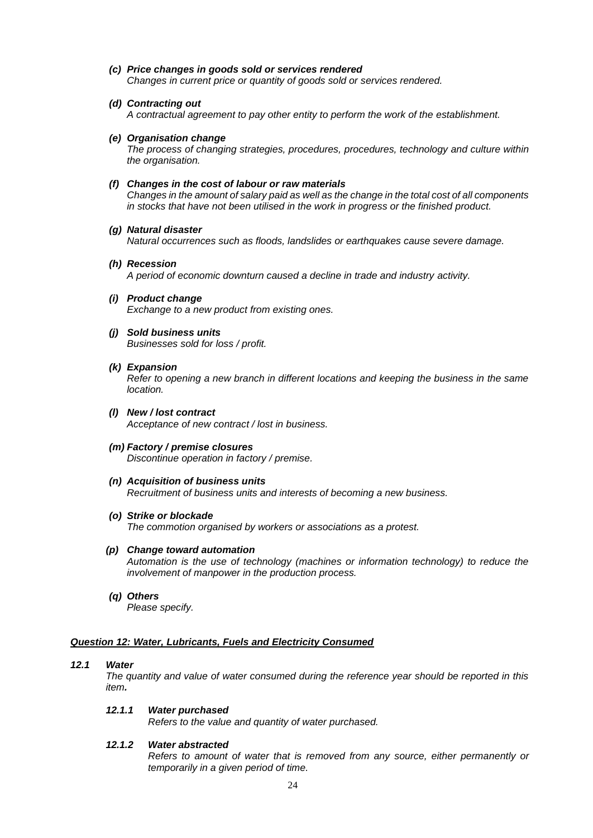- *(c) Price changes in goods sold or services rendered Changes in current price or quantity of goods sold or services rendered.*
- *(d) Contracting out A contractual agreement to pay other entity to perform the work of the establishment.*
- *(e) Organisation change*

*The process of changing strategies, procedures, procedures, technology and culture within the organisation.*

#### *(f) Changes in the cost of labour or raw materials*

*Changes in the amount of salary paid as well as the change in the total cost of all components in stocks that have not been utilised in the work in progress or the finished product.*

#### *(g) Natural disaster*

*Natural occurrences such as floods, landslides or earthquakes cause severe damage.*

- *(h) Recession A period of economic downturn caused a decline in trade and industry activity.*
- *(i) Product change Exchange to a new product from existing ones.*
	-
- *(j) Sold business units Businesses sold for loss / profit.*
- *(k) Expansion*

*Refer to opening a new branch in different locations and keeping the business in the same location.*

- *(l) New / lost contract Acceptance of new contract / lost in business.*
- *(m) Factory / premise closures Discontinue operation in factory / premise.*
- *(n) Acquisition of business units Recruitment of business units and interests of becoming a new business.*
- *(o) Strike or blockade The commotion organised by workers or associations as a protest.*

*(p) Change toward automation*

*Automation is the use of technology (machines or information technology) to reduce the involvement of manpower in the production process.*

*(q) Others*

*Please specify.*

### *Question 12: Water, Lubricants, Fuels and Electricity Consumed*

### *12.1 Water*

*The quantity and value of water consumed during the reference year should be reported in this item.* 

#### *12.1.1 Water purchased*

*Refers to the value and quantity of water purchased.*

### *12.1.2 Water abstracted*

*Refers to amount of water that is removed from any source, either permanently or temporarily in a given period of time.*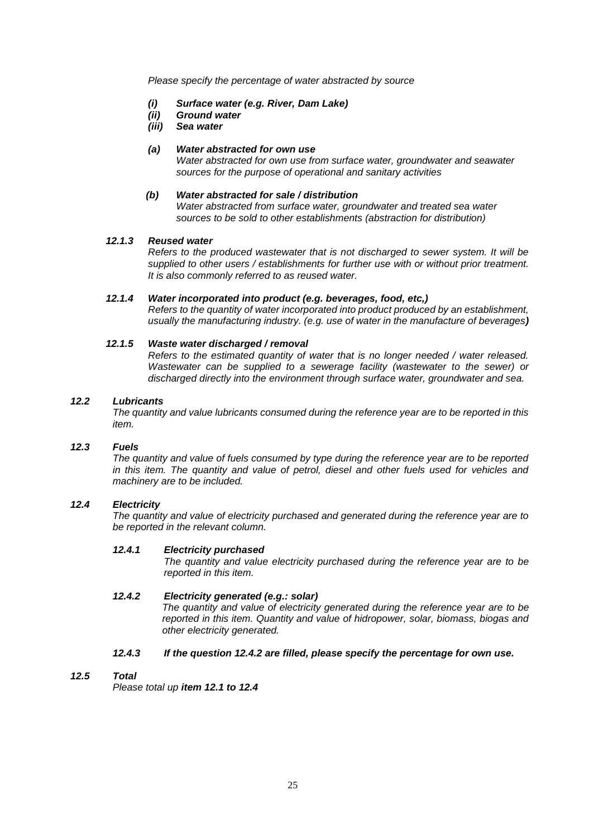*Please specify the percentage of water abstracted by source*

- *(i) Surface water (e.g. River, Dam Lake)*
- *(ii) Ground water*
- *(iii) Sea water*

# *(a) Water abstracted for own use*

*Water abstracted for own use from surface water, groundwater and seawater sources for the purpose of operational and sanitary activities*

# *(b) Water abstracted for sale / distribution*

*Water abstracted from surface water, groundwater and treated sea water sources to be sold to other establishments (abstraction for distribution)*

# *12.1.3 Reused water*

*Refers to the produced wastewater that is not discharged to sewer system. It will be supplied to other users / establishments for further use with or without prior treatment. It is also commonly referred to as reused water.*

# *12.1.4 Water incorporated into product (e.g. beverages, food, etc,)*

*Refers to the quantity of water incorporated into product produced by an establishment, usually the manufacturing industry. (e.g. use of water in the manufacture of beverages)*

# *12.1.5 Waste water discharged / removal*

*Refers to the estimated quantity of water that is no longer needed / water released. Wastewater can be supplied to a sewerage facility (wastewater to the sewer) or discharged directly into the environment through surface water, groundwater and sea.*

# *12.2 Lubricants*

*The quantity and value lubricants consumed during the reference year are to be reported in this item.*

# *12.3 Fuels*

*The quantity and value of fuels consumed by type during the reference year are to be reported in this item. The quantity and value of petrol, diesel and other fuels used for vehicles and machinery are to be included.*

### *12.4 Electricity*

*The quantity and value of electricity purchased and generated during the reference year are to be reported in the relevant column.*

### *12.4.1 Electricity purchased*

*The quantity and value electricity purchased during the reference year are to be reported in this item.*

# *12.4.2 Electricity generated (e.g.: solar)*

*The quantity and value of electricity generated during the reference year are to be reported in this item. Quantity and value of hidropower, solar, biomass, biogas and other electricity generated.*

# *12.4.3 If the question 12.4.2 are filled, please specify the percentage for own use.*

### *12.5 Total*

*Please total up item 12.1 to 12.4*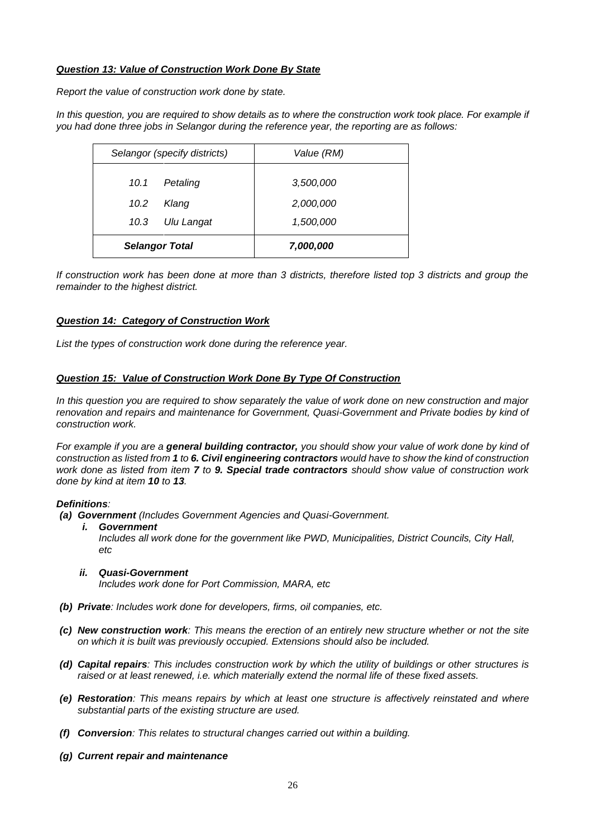# *Question 13: Value of Construction Work Done By State*

*Report the value of construction work done by state.*

*In this question, you are required to show details as to where the construction work took place. For example if you had done three jobs in Selangor during the reference year, the reporting are as follows:*

| Selangor (specify districts) |            | Value (RM) |  |
|------------------------------|------------|------------|--|
| 10.1                         | Petaling   | 3,500,000  |  |
| 10.2                         | Klang      | 2,000,000  |  |
| 10.3                         | Ulu Langat | 1,500,000  |  |
| <b>Selangor Total</b>        |            | 7,000,000  |  |

*If construction work has been done at more than 3 districts, therefore listed top 3 districts and group the remainder to the highest district.*

### *Question 14: Category of Construction Work*

*List the types of construction work done during the reference year.*

# *Question 15: Value of Construction Work Done By Type Of Construction*

*In this question you are required to show separately the value of work done on new construction and major renovation and repairs and maintenance for Government, Quasi-Government and Private bodies by kind of construction work.* 

*For example if you are a general building contractor, you should show your value of work done by kind of construction as listed from 1 to 6. Civil engineering contractors would have to show the kind of construction work done as listed from item 7 to 9. Special trade contractors should show value of construction work done by kind at item 10 to 13.*

### *Definitions:*

- *(a) Government (Includes Government Agencies and Quasi-Government.*
	- *i. Government*

*Includes all work done for the government like PWD, Municipalities, District Councils, City Hall, etc*

### *ii. Quasi-Government*

*Includes work done for Port Commission, MARA, etc*

- *(b) Private: Includes work done for developers, firms, oil companies, etc.*
- *(c) New construction work: This means the erection of an entirely new structure whether or not the site on which it is built was previously occupied. Extensions should also be included.*
- *(d) Capital repairs: This includes construction work by which the utility of buildings or other structures is raised or at least renewed, i.e. which materially extend the normal life of these fixed assets.*
- *(e) Restoration: This means repairs by which at least one structure is affectively reinstated and where substantial parts of the existing structure are used.*
- *(f) Conversion: This relates to structural changes carried out within a building.*
- *(g) Current repair and maintenance*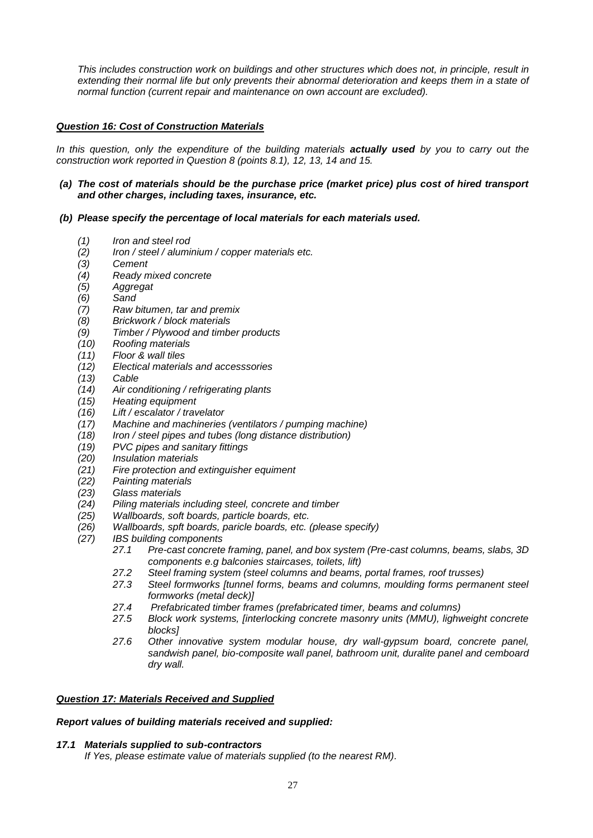*This includes construction work on buildings and other structures which does not, in principle, result in extending their normal life but only prevents their abnormal deterioration and keeps them in a state of normal function (current repair and maintenance on own account are excluded).*

# *Question 16: Cost of Construction Materials*

*In this question, only the expenditure of the building materials actually used by you to carry out the construction work reported in Question 8 (points 8.1), 12, 13, 14 and 15.*

# *(a) The cost of materials should be the purchase price (market price) plus cost of hired transport and other charges, including taxes, insurance, etc.*

# *(b) Please specify the percentage of local materials for each materials used.*

- *(1) Iron and steel rod*
- *(2) Iron / steel / aluminium / copper materials etc.*
- *(3) Cement*
- *(4) Ready mixed concrete*
- *(5) Aggregat*
- *(6) Sand*
- *(7) Raw bitumen, tar and premix*
- *(8) Brickwork / block materials*
- *(9) Timber / Plywood and timber products*
- *(10) Roofing materials*
- *(11) Floor & wall tiles*
- *(12) Electical materials and accesssories*
- *(13) Cable*
- *(14) Air conditioning / refrigerating plants*
- *(15) Heating equipment*
- *(16) Lift / escalator / travelator*
- *(17) Machine and machineries (ventilators / pumping machine)*
- *(18) Iron / steel pipes and tubes (long distance distribution)*
- *(19) PVC pipes and sanitary fittings*
- *(20) Insulation materials*
- *(21) Fire protection and extinguisher equiment*
- *(22) Painting materials*
- *(23) Glass materials*
- *(24) Piling materials including steel, concrete and timber*
- *(25) Wallboards, soft boards, particle boards, etc.*
- *(26) Wallboards, spft boards, paricle boards, etc. (please specify)*
- *(27) IBS building components*
	- *27.1 Pre-cast concrete framing, panel, and box system (Pre-cast columns, beams, slabs, 3D components e.g balconies staircases, toilets, lift)*
	- *27.2 Steel framing system (steel columns and beams, portal frames, roof trusses)*
	- *27.3 Steel formworks [tunnel forms, beams and columns, moulding forms permanent steel formworks (metal deck)]*
	- *27.4 Prefabricated timber frames (prefabricated timer, beams and columns)*
	- *27.5 Block work systems, [interlocking concrete masonry units (MMU), lighweight concrete blocks]*
	- *27.6 Other innovative system modular house, dry wall-gypsum board, concrete panel, sandwish panel, bio-composite wall panel, bathroom unit, duralite panel and cemboard dry wall.*

# *Question 17: Materials Received and Supplied*

# *Report values of building materials received and supplied:*

### *17.1 Materials supplied to sub-contractors*

*If Yes, please estimate value of materials supplied (to the nearest RM).*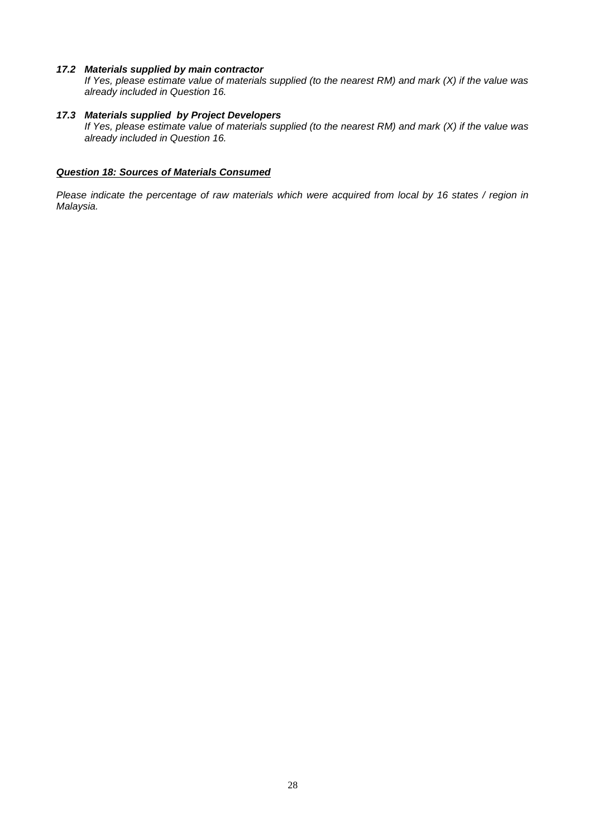### *17.2 Materials supplied by main contractor*

*If Yes, please estimate value of materials supplied (to the nearest RM) and mark (X) if the value was already included in Question 16.*

# *17.3 Materials supplied by Project Developers*

*If Yes, please estimate value of materials supplied (to the nearest RM) and mark (X) if the value was already included in Question 16.*

# *Question 18: Sources of Materials Consumed*

*Please indicate the percentage of raw materials which were acquired from local by 16 states / region in Malaysia.*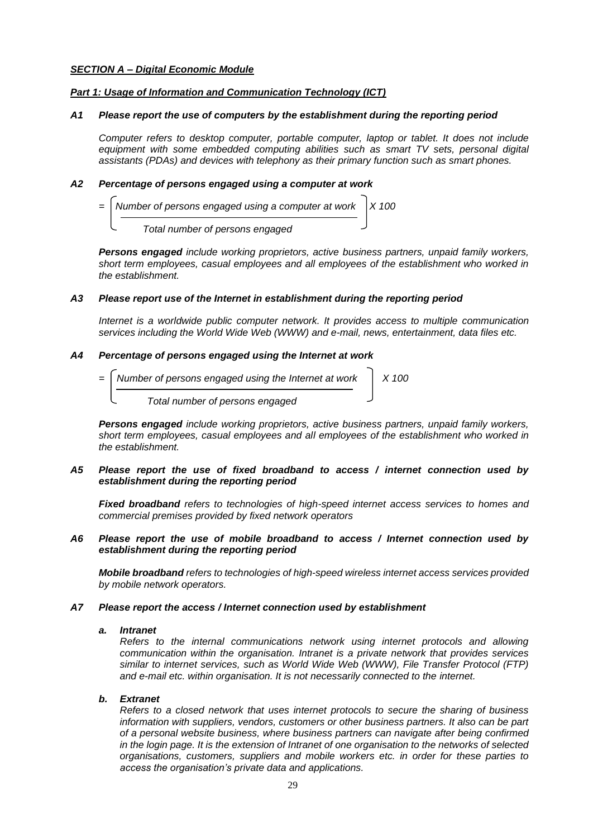# *SECTION A – Digital Economic Module*

# *Part 1: Usage of Information and Communication Technology (ICT)*

# *A1 Please report the use of computers by the establishment during the reporting period*

*Computer refers to desktop computer, portable computer, laptop or tablet. It does not include equipment with some embedded computing abilities such as smart TV sets, personal digital assistants (PDAs) and devices with telephony as their primary function such as smart phones.*

# *A2 Percentage of persons engaged using a computer at work*



*Persons engaged include working proprietors, active business partners, unpaid family workers, short term employees, casual employees and all employees of the establishment who worked in the establishment.*

### *A3 Please report use of the Internet in establishment during the reporting period*

*Internet is a worldwide public computer network. It provides access to multiple communication services including the World Wide Web (WWW) and e-mail, news, entertainment, data files etc.*

### *A4 Percentage of persons engaged using the Internet at work*

*Number of persons engaged using the Internet at work*  $\begin{vmatrix} X & 100 \\ \end{vmatrix}$  *Total number of persons engaged*

*Persons engaged include working proprietors, active business partners, unpaid family workers, short term employees, casual employees and all employees of the establishment who worked in the establishment.*

### *A5 Please report the use of fixed broadband to access / internet connection used by establishment during the reporting period*

*Fixed broadband refers to technologies of high-speed internet access services to homes and commercial premises provided by fixed network operators*

### *A6 Please report the use of mobile broadband to access / Internet connection used by establishment during the reporting period*

*Mobile broadband refers to technologies of high-speed wireless internet access services provided by mobile network operators.*

### *A7 Please report the access / Internet connection used by establishment*

### *a. Intranet*

*Refers to the internal communications network using internet protocols and allowing communication within the organisation. Intranet is a private network that provides services similar to internet services, such as World Wide Web (WWW), File Transfer Protocol (FTP) and e-mail etc. within organisation. It is not necessarily connected to the internet.*

### *b. Extranet*

*Refers to a closed network that uses internet protocols to secure the sharing of business information with suppliers, vendors, customers or other business partners. It also can be part of a personal website business, where business partners can navigate after being confirmed in the login page. It is the extension of Intranet of one organisation to the networks of selected organisations, customers, suppliers and mobile workers etc. in order for these parties to access the organisation's private data and applications.*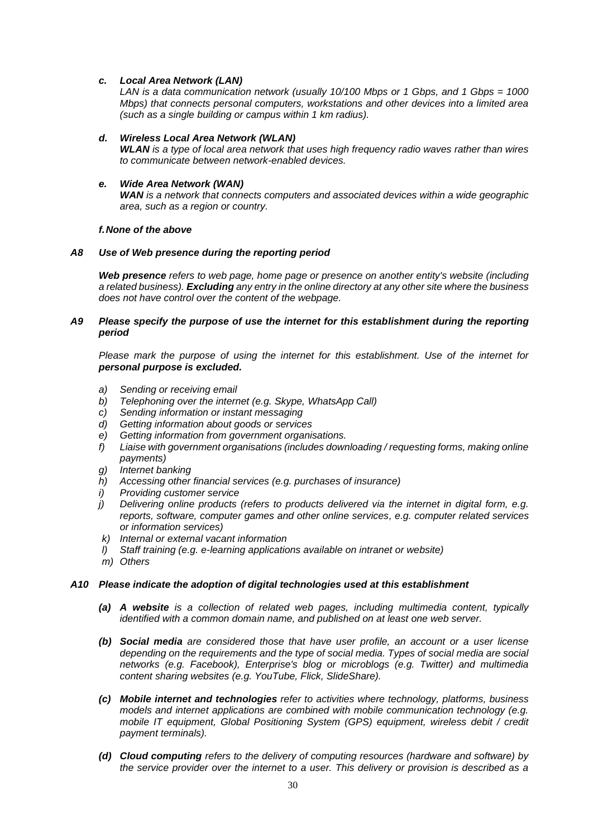### *c. Local Area Network (LAN)*

*LAN is a data communication network (usually 10/100 Mbps or 1 Gbps, and 1 Gbps = 1000 Mbps) that connects personal computers, workstations and other devices into a limited area (such as a single building or campus within 1 km radius).*

#### *d. Wireless Local Area Network (WLAN)*

*WLAN is a type of local area network that uses high frequency radio waves rather than wires to communicate between network-enabled devices.*

#### *e. Wide Area Network (WAN)*

*WAN is a network that connects computers and associated devices within a wide geographic area, such as a region or country.*

#### *f.None of the above*

### *A8 Use of Web presence during the reporting period*

*Web presence refers to web page, home page or presence on another entity's website (including a related business). Excluding any entry in the online directory at any other site where the business does not have control over the content of the webpage.*

### *A9 Please specify the purpose of use the internet for this establishment during the reporting period*

*Please mark the purpose of using the internet for this establishment. Use of the internet for personal purpose is excluded.*

- *a) Sending or receiving email*
- *b) Telephoning over the internet (e.g. Skype, WhatsApp Call)*
- *c) Sending information or instant messaging*
- *d) Getting information about goods or services*
- *e) Getting information from government organisations.*
- *f) Liaise with government organisations (includes downloading / requesting forms, making online payments)*
- *g) Internet banking*
- *h) Accessing other financial services (e.g. purchases of insurance)*
- *i) Providing customer service*
- *j) Delivering online products (refers to products delivered via the internet in digital form, e.g. reports, software, computer games and other online services, e.g. computer related services or information services)*
- *k) Internal or external vacant information*
- *l) Staff training (e.g. e-learning applications available on intranet or website)*
- *m) Others*

### *A10 Please indicate the adoption of digital technologies used at this establishment*

- *(a) A website is a collection of related web pages, including multimedia content, typically identified with a common domain name, and published on at least one web server.*
- *(b) Social media are considered those that have user profile, an account or a user license depending on the requirements and the type of social media. Types of social media are social networks (e.g. Facebook), Enterprise's blog or microblogs (e.g. Twitter) and multimedia content sharing websites (e.g. YouTube, Flick, SlideShare).*
- *(c) Mobile internet and technologies refer to activities where technology, platforms, business models and internet applications are combined with mobile communication technology (e.g. mobile IT equipment, Global Positioning System (GPS) equipment, wireless debit / credit payment terminals).*
- *(d) Cloud computing refers to the delivery of computing resources (hardware and software) by the service provider over the internet to a user. This delivery or provision is described as a*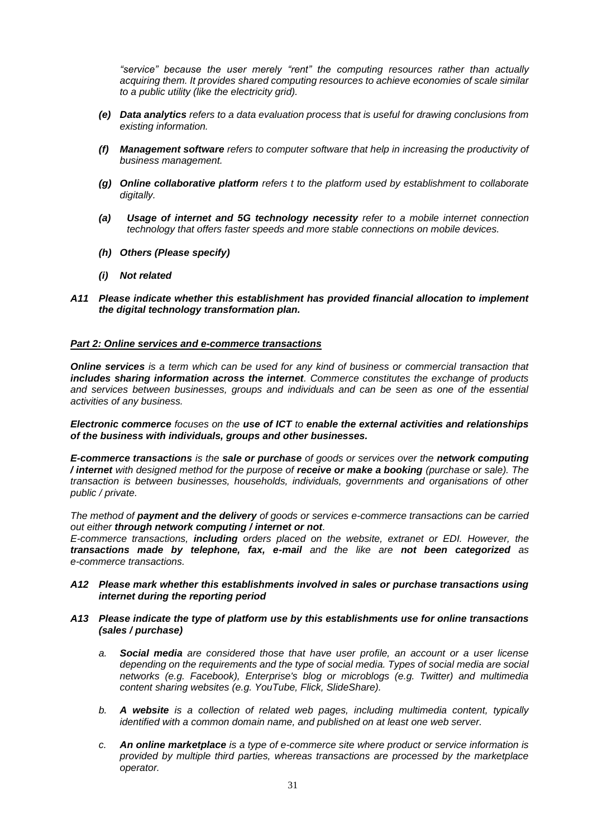*"service" because the user merely "rent" the computing resources rather than actually acquiring them. It provides shared computing resources to achieve economies of scale similar to a public utility (like the electricity grid).*

- *(e) Data analytics refers to a data evaluation process that is useful for drawing conclusions from existing information.*
- *(f) Management software refers to computer software that help in increasing the productivity of business management.*
- *(g) Online collaborative platform refers t to the platform used by establishment to collaborate digitally.*
- *(a) Usage of internet and 5G technology necessity refer to a mobile internet connection technology that offers faster speeds and more stable connections on mobile devices.*
- *(h) Others (Please specify)*
- *(i) Not related*
- *A11 Please indicate whether this establishment has provided financial allocation to implement the digital technology transformation plan.*

### *Part 2: Online services and e-commerce transactions*

*Online services is a term which can be used for any kind of business or commercial transaction that includes sharing information across the internet. Commerce constitutes the exchange of products and services between businesses, groups and individuals and can be seen as one of the essential activities of any business.* 

### *Electronic commerce focuses on the use of ICT to enable the external activities and relationships of the business with individuals, groups and other businesses.*

*E-commerce transactions is the sale or purchase of goods or services over the network computing / internet with designed method for the purpose of receive or make a booking (purchase or sale). The transaction is between businesses, households, individuals, governments and organisations of other public / private.* 

*The method of payment and the delivery of goods or services e-commerce transactions can be carried out either through network computing / internet or not.* 

*E-commerce transactions, including orders placed on the website, extranet or EDI. However, the transactions made by telephone, fax, e-mail and the like are not been categorized as e-commerce transactions.*

### *A12 Please mark whether this establishments involved in sales or purchase transactions using internet during the reporting period*

### *A13 Please indicate the type of platform use by this establishments use for online transactions (sales / purchase)*

- *a. Social media are considered those that have user profile, an account or a user license depending on the requirements and the type of social media. Types of social media are social networks (e.g. Facebook), Enterprise's blog or microblogs (e.g. Twitter) and multimedia content sharing websites (e.g. YouTube, Flick, SlideShare).*
- *b. A website is a collection of related web pages, including multimedia content, typically identified with a common domain name, and published on at least one web server.*
- *c. An online marketplace is a type of e-commerce site where product or service information is provided by multiple third parties, whereas transactions are processed by the marketplace operator.*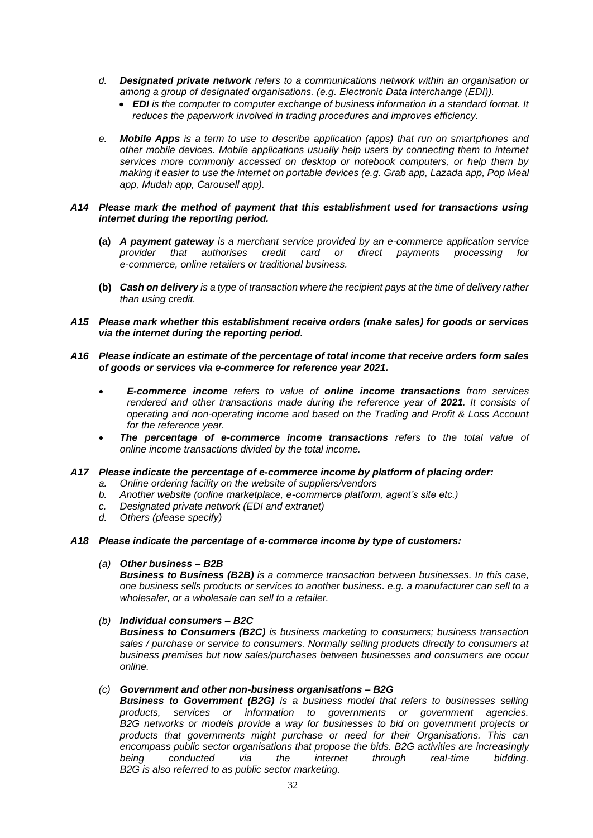- *d. Designated private network refers to a communications network within an organisation or among a group of designated organisations. (e.g. Electronic Data Interchange (EDI)).*
	- *EDI is the computer to computer exchange of business information in a standard format. It reduces the paperwork involved in trading procedures and improves efficiency.*
- *e. Mobile Apps is a term to use to describe application (apps) that run on smartphones and other mobile devices. Mobile applications usually help users by connecting them to internet services more commonly accessed on desktop or notebook computers, or help them by making it easier to use the internet on portable devices (e.g. Grab app, Lazada app, Pop Meal app, Mudah app, Carousell app).*

### *A14 Please mark the method of payment that this establishment used for transactions using internet during the reporting period.*

- **(a)** *A payment gateway is a merchant service provided by an e-commerce application service provider that authorises credit card or direct payments processing for e-commerce, online retailers or traditional business.*
- **(b)** *Cash on delivery is a type of transaction where the recipient pays at the time of delivery rather than using credit.*
- *A15 Please mark whether this establishment receive orders (make sales) for goods or services via the internet during the reporting period.*
- *A16 Please indicate an estimate of the percentage of total income that receive orders form sales of goods or services via e-commerce for reference year 2021.*
	- *E-commerce income refers to value of online income transactions from services rendered and other transactions made during the reference year of 2021. It consists of operating and non-operating income and based on the Trading and Profit & Loss Account for the reference year.*
	- *The percentage of e-commerce income transactions refers to the total value of online income transactions divided by the total income.*
- *A17 Please indicate the percentage of e-commerce income by platform of placing order:*
	- *a. Online ordering facility on the website of suppliers/vendors*
	- *b. Another website (online marketplace, e-commerce platform, agent's site etc.)*
	- *c. Designated private network (EDI and extranet)*
	- *d. Others (please specify)*
- *A18 Please indicate the percentage of e-commerce income by type of customers:*

# *(a) Other business – B2B*

*Business to Business (B2B) is a commerce transaction between businesses. In this case, one business sells products or services to another business. e.g. a manufacturer can sell to a wholesaler, or a wholesale can sell to a retailer.*

# *(b) Individual consumers – B2C*

*Business to Consumers (B2C) is business marketing to consumers; business transaction sales / purchase or service to consumers. Normally selling products directly to consumers at business premises but now sales/purchases between businesses and consumers are occur online.*

### *(c) Government and other non-business organisations – B2G*

*Business to Government (B2G) is a business model that refers to businesses selling products, services or information to governments or government agencies. B2G networks or models provide a way for businesses to bid on government projects or products that governments might purchase or need for their Organisations. This can encompass public sector organisations that propose the bids. B2G activities are increasingly being conducted via the internet through real-time bidding. B2G is also referred to as public sector marketing.*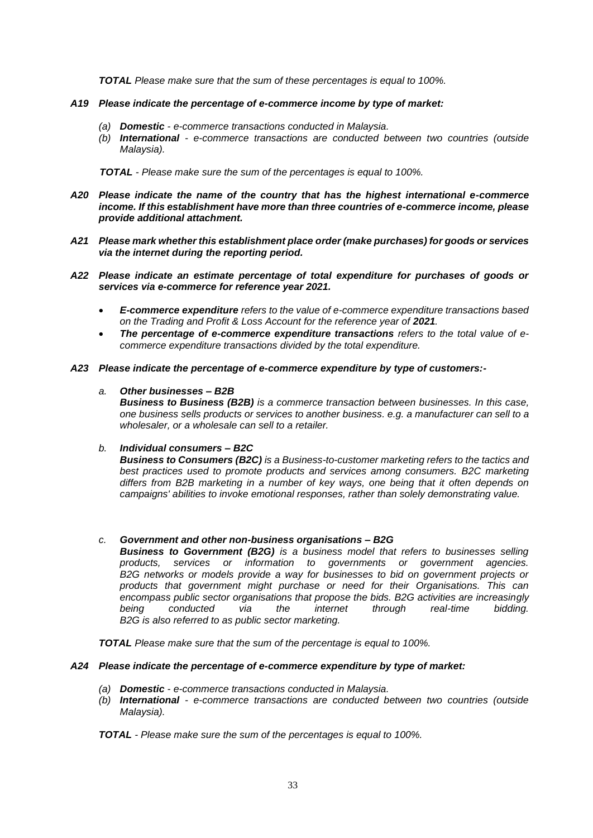*TOTAL Please make sure that the sum of these percentages is equal to 100%.*

### *A19 Please indicate the percentage of e-commerce income by type of market:*

- *(a) Domestic - e-commerce transactions conducted in Malaysia.*
- *(b) International - e-commerce transactions are conducted between two countries (outside Malaysia).*

 *TOTAL - Please make sure the sum of the percentages is equal to 100%.*

- *A20 Please indicate the name of the country that has the highest international e-commerce income. If this establishment have more than three countries of e-commerce income, please provide additional attachment.*
- *A21 Please mark whether this establishment place order (make purchases) for goods or services via the internet during the reporting period.*
- *A22 Please indicate an estimate percentage of total expenditure for purchases of goods or services via e-commerce for reference year 2021.*
	- *E-commerce expenditure refers to the value of e-commerce expenditure transactions based on the Trading and Profit & Loss Account for the reference year of 2021.*
	- *The percentage of e-commerce expenditure transactions refers to the total value of ecommerce expenditure transactions divided by the total expenditure.*
- *A23 Please indicate the percentage of e-commerce expenditure by type of customers:-*

# *a. Other businesses – B2B*

*Business to Business (B2B) is a commerce transaction between businesses. In this case, one business sells products or services to another business. e.g. a manufacturer can sell to a wholesaler, or a wholesale can sell to a retailer.*

# *b. Individual consumers – B2C*

*Business to Consumers (B2C) is a Business-to-customer marketing refers to the tactics and best practices used to promote products and services among consumers. B2C marketing differs from B2B marketing in a number of key ways, one being that it often depends on campaigns' abilities to invoke emotional responses, rather than solely demonstrating value.*

# *c. Government and other non-business organisations – B2G*

*Business to Government (B2G) is a business model that refers to businesses selling products, services or information to governments or government agencies. B2G networks or models provide a way for businesses to bid on government projects or products that government might purchase or need for their Organisations. This can encompass public sector organisations that propose the bids. B2G activities are increasingly being conducted via the internet through real-time bidding. B2G is also referred to as public sector marketing.*

*TOTAL Please make sure that the sum of the percentage is equal to 100%.*

### *A24 Please indicate the percentage of e-commerce expenditure by type of market:*

- *(a) Domestic - e-commerce transactions conducted in Malaysia.*
- *(b) International - e-commerce transactions are conducted between two countries (outside Malaysia).*

*TOTAL - Please make sure the sum of the percentages is equal to 100%.*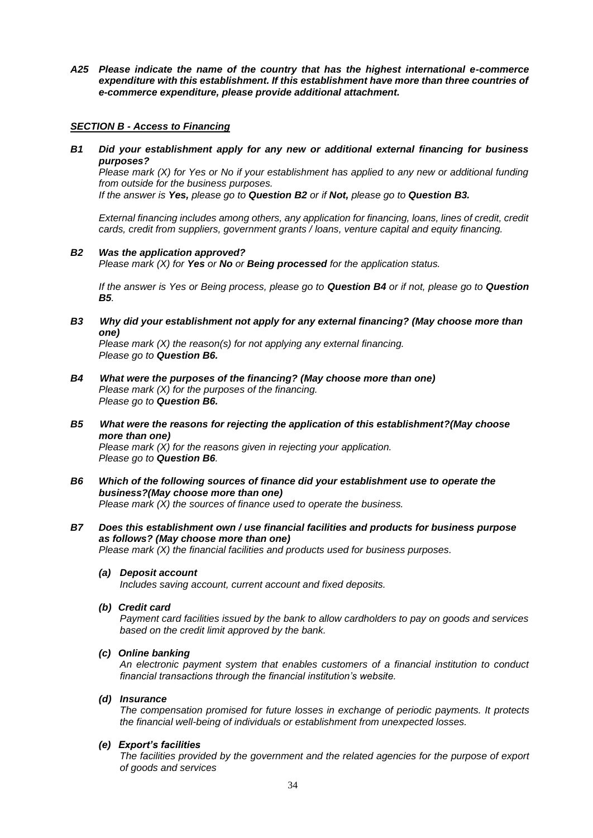*A25 Please indicate the name of the country that has the highest international e-commerce expenditure with this establishment. If this establishment have more than three countries of e-commerce expenditure, please provide additional attachment.*

#### *SECTION B - Access to Financing*

*B1 Did your establishment apply for any new or additional external financing for business purposes?*

 *Please mark (X) for Yes or No if your establishment has applied to any new or additional funding from outside for the business purposes.* 

*If the answer is Yes, please go to Question B2 or if Not, please go to Question B3.*

*External financing includes among others, any application for financing, loans, lines of credit, credit cards, credit from suppliers, government grants / loans, venture capital and equity financing.*

# *B2 Was the application approved?*

*Please mark (X) for Yes or No or Being processed for the application status.*

*If the answer is Yes or Being process, please go to Question B4 or if not, please go to Question B5.*

*B3 Why did your establishment not apply for any external financing? (May choose more than one)*

*Please mark (X) the reason(s) for not applying any external financing. Please go to Question B6.*

- *B4 What were the purposes of the financing? (May choose more than one) Please mark (X) for the purposes of the financing. Please go to Question B6.*
- *B5 What were the reasons for rejecting the application of this establishment?(May choose more than one)*

*Please mark (X) for the reasons given in rejecting your application. Please go to Question B6.*

- *B6 Which of the following sources of finance did your establishment use to operate the business?(May choose more than one) Please mark (X) the sources of finance used to operate the business.*
- *B7 Does this establishment own / use financial facilities and products for business purpose as follows? (May choose more than one) Please mark (X) the financial facilities and products used for business purposes.* 
	- *(a) Deposit account*

*Includes saving account, current account and fixed deposits.*

*(b) Credit card*

*Payment card facilities issued by the bank to allow cardholders to pay on goods and services based on the credit limit approved by the bank.*

### *(c) Online banking*

*An electronic payment system that enables customers of a financial institution to conduct financial transactions through the financial institution's website.*

*(d) Insurance*

*The compensation promised for future losses in exchange of periodic payments. It protects the financial well-being of individuals or establishment from unexpected losses.*

### *(e) Export's facilities*

*The facilities provided by the government and the related agencies for the purpose of export of goods and services*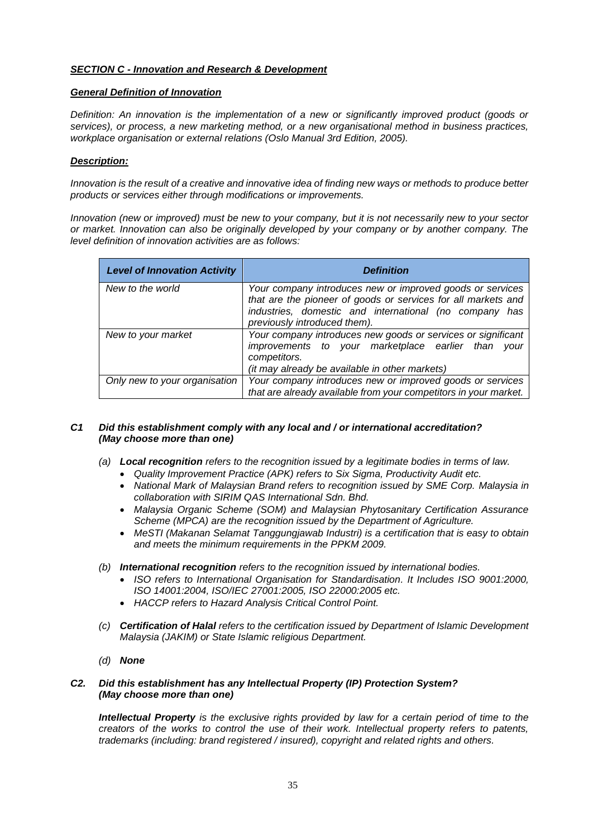# *SECTION C - Innovation and Research & Development*

# *General Definition of Innovation*

*Definition: An innovation is the implementation of a new or significantly improved product (goods or services), or process, a new marketing method, or a new organisational method in business practices, workplace organisation or external relations (Oslo Manual 3rd Edition, 2005).*

# *Description:*

*Innovation is the result of a creative and innovative idea of finding new ways or methods to produce better products or services either through modifications or improvements.*

*Innovation (new or improved) must be new to your company, but it is not necessarily new to your sector or market. Innovation can also be originally developed by your company or by another company. The level definition of innovation activities are as follows:*

| <b>Level of Innovation Activity</b> | <b>Definition</b>                                                                                                                                                                                                    |  |  |
|-------------------------------------|----------------------------------------------------------------------------------------------------------------------------------------------------------------------------------------------------------------------|--|--|
| New to the world                    | Your company introduces new or improved goods or services<br>that are the pioneer of goods or services for all markets and<br>industries, domestic and international (no company has<br>previously introduced them). |  |  |
| New to your market                  | Your company introduces new goods or services or significant<br>improvements to your marketplace earlier than<br>vour<br>competitors.<br>(it may already be available in other markets)                              |  |  |
| Only new to your organisation       | Your company introduces new or improved goods or services<br>that are already available from your competitors in your market.                                                                                        |  |  |

# *C1 Did this establishment comply with any local and / or international accreditation? (May choose more than one)*

- *(a) Local recognition refers to the recognition issued by a legitimate bodies in terms of law.* 
	- *Quality Improvement Practice (APK) refers to Six Sigma, Productivity Audit etc.*
	- *National Mark of Malaysian Brand refers to recognition issued by SME Corp. Malaysia in collaboration with SIRIM QAS International Sdn. Bhd.*
	- *Malaysia Organic Scheme (SOM) and Malaysian Phytosanitary Certification Assurance Scheme (MPCA) are the recognition issued by the Department of Agriculture.*
	- *MeSTI (Makanan Selamat Tanggungjawab Industri) is a certification that is easy to obtain and meets the minimum requirements in the PPKM 2009.*
- *(b) International recognition refers to the recognition issued by international bodies.*
	- **ISO refers to International Organisation for Standardisation. It Includes ISO 9001:2000,** *ISO 14001:2004, ISO/IEC 27001:2005, ISO 22000:2005 etc.*
	- *HACCP refers to Hazard Analysis Critical Control Point.*
- *(c) Certification of Halal refers to the certification issued by Department of Islamic Development Malaysia (JAKIM) or State Islamic religious Department.*
- *(d) None*

# *C2. Did this establishment has any Intellectual Property (IP) Protection System? (May choose more than one)*

*Intellectual Property is the exclusive rights provided by law for a certain period of time to the creators of the works to control the use of their work. Intellectual property refers to patents, trademarks (including: brand registered / insured), copyright and related rights and others.*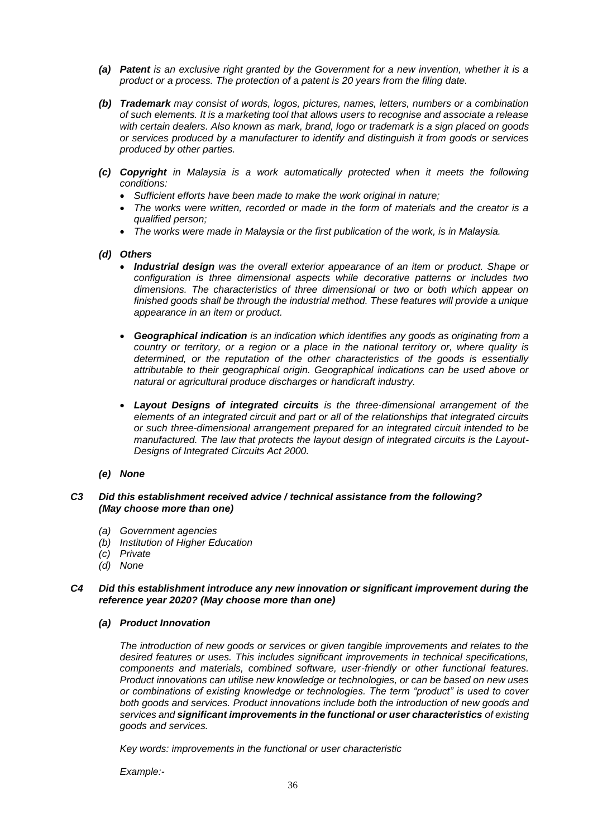- *(a) Patent is an exclusive right granted by the Government for a new invention, whether it is a product or a process. The protection of a patent is 20 years from the filing date.*
- *(b) Trademark may consist of words, logos, pictures, names, letters, numbers or a combination of such elements. It is a marketing tool that allows users to recognise and associate a release with certain dealers. Also known as mark, brand, logo or trademark is a sign placed on goods or services produced by a manufacturer to identify and distinguish it from goods or services produced by other parties.*
- *(c) Copyright in Malaysia is a work automatically protected when it meets the following conditions:*
	- *Sufficient efforts have been made to make the work original in nature;*
	- *The works were written, recorded or made in the form of materials and the creator is a qualified person;*
	- *The works were made in Malaysia or the first publication of the work, is in Malaysia.*
- *(d) Others*
	- *Industrial design was the overall exterior appearance of an item or product. Shape or configuration is three dimensional aspects while decorative patterns or includes two dimensions. The characteristics of three dimensional or two or both which appear on finished goods shall be through the industrial method. These features will provide a unique appearance in an item or product.*
	- *Geographical indication is an indication which identifies any goods as originating from a country or territory, or a region or a place in the national territory or, where quality is determined, or the reputation of the other characteristics of the goods is essentially attributable to their geographical origin. Geographical indications can be used above or natural or agricultural produce discharges or handicraft industry.*
	- *Layout Designs of integrated circuits is the three-dimensional arrangement of the elements of an integrated circuit and part or all of the relationships that integrated circuits or such three-dimensional arrangement prepared for an integrated circuit intended to be manufactured. The law that protects the layout design of integrated circuits is the Layout-Designs of Integrated Circuits Act 2000.*
- *(e) None*

#### *C3 Did this establishment received advice / technical assistance from the following? (May choose more than one)*

- *(a) Government agencies*
- *(b) Institution of Higher Education*
- *(c) Private*
- *(d) None*

### *C4 Did this establishment introduce any new innovation or significant improvement during the reference year 2020? (May choose more than one)*

*(a) Product Innovation*

*The introduction of new goods or services or given tangible improvements and relates to the desired features or uses. This includes significant improvements in technical specifications, components and materials, combined software, user-friendly or other functional features. Product innovations can utilise new knowledge or technologies, or can be based on new uses or combinations of existing knowledge or technologies. The term "product" is used to cover both goods and services. Product innovations include both the introduction of new goods and services and significant improvements in the functional or user characteristics of existing goods and services.*

*Key words: improvements in the functional or user characteristic*

*Example:-*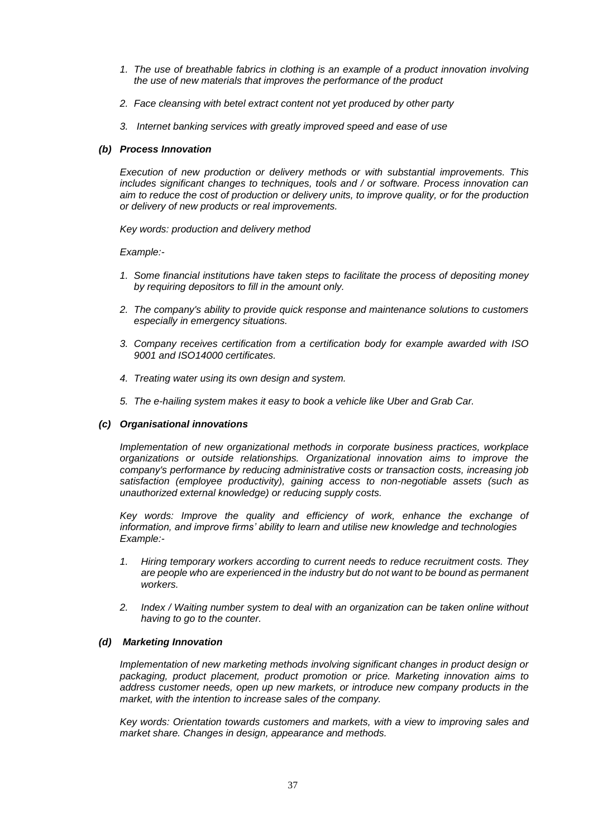- *1. The use of breathable fabrics in clothing is an example of a product innovation involving the use of new materials that improves the performance of the product*
- *2. Face cleansing with betel extract content not yet produced by other party*
- *3. Internet banking services with greatly improved speed and ease of use*

# *(b) Process Innovation*

*Execution of new production or delivery methods or with substantial improvements. This includes significant changes to techniques, tools and / or software. Process innovation can aim to reduce the cost of production or delivery units, to improve quality, or for the production or delivery of new products or real improvements.*

*Key words: production and delivery method*

*Example:-*

- *1. Some financial institutions have taken steps to facilitate the process of depositing money by requiring depositors to fill in the amount only.*
- *2. The company's ability to provide quick response and maintenance solutions to customers especially in emergency situations.*
- *3. Company receives certification from a certification body for example awarded with ISO 9001 and ISO14000 certificates.*
- *4. Treating water using its own design and system.*
- *5. The e-hailing system makes it easy to book a vehicle like Uber and Grab Car.*

# *(c) Organisational innovations*

*Implementation of new organizational methods in corporate business practices, workplace organizations or outside relationships. Organizational innovation aims to improve the company's performance by reducing administrative costs or transaction costs, increasing job satisfaction (employee productivity), gaining access to non-negotiable assets (such as unauthorized external knowledge) or reducing supply costs.*

Key words: Improve the quality and efficiency of work, enhance the exchange of *information, and improve firms' ability to learn and utilise new knowledge and technologies Example:-*

- *1. Hiring temporary workers according to current needs to reduce recruitment costs. They are people who are experienced in the industry but do not want to be bound as permanent workers.*
- *2. Index / Waiting number system to deal with an organization can be taken online without having to go to the counter.*

# *(d) Marketing Innovation*

*Implementation of new marketing methods involving significant changes in product design or packaging, product placement, product promotion or price. Marketing innovation aims to address customer needs, open up new markets, or introduce new company products in the market, with the intention to increase sales of the company.*

*Key words: Orientation towards customers and markets, with a view to improving sales and market share. Changes in design, appearance and methods.*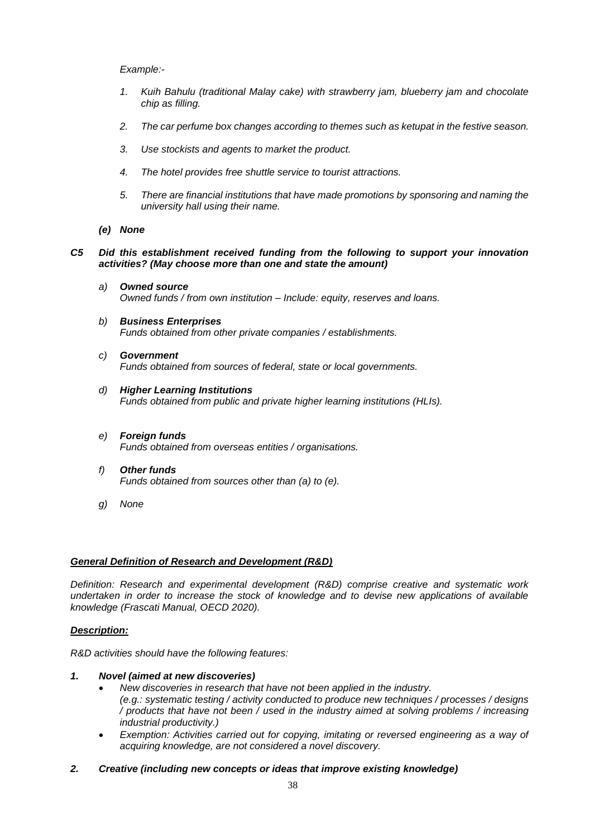# *Example:-*

- *1. Kuih Bahulu (traditional Malay cake) with strawberry jam, blueberry jam and chocolate chip as filling.*
- *2. The car perfume box changes according to themes such as ketupat in the festive season.*
- *3. Use stockists and agents to market the product.*
- *4. The hotel provides free shuttle service to tourist attractions.*
- *5. There are financial institutions that have made promotions by sponsoring and naming the university hall using their name.*
- *(e) None*

### *C5 Did this establishment received funding from the following to support your innovation activities? (May choose more than one and state the amount)*

- *a) Owned source Owned funds / from own institution – Include: equity, reserves and loans.*
- *b) Business Enterprises Funds obtained from other private companies / establishments.*
- *c) Government Funds obtained from sources of federal, state or local governments.*
- *d) Higher Learning Institutions Funds obtained from public and private higher learning institutions (HLIs).*
- *e) Foreign funds Funds obtained from overseas entities / organisations.*
- *f) Other funds Funds obtained from sources other than (a) to (e).*
- *g) None*

### *General Definition of Research and Development (R&D)*

*Definition: Research and experimental development (R&D) comprise creative and systematic work undertaken in order to increase the stock of knowledge and to devise new applications of available knowledge (Frascati Manual, OECD 2020).*

# *Description:*

*R&D activities should have the following features:*

- *1. Novel (aimed at new discoveries)*
	- *New discoveries in research that have not been applied in the industry. (e.g.: systematic testing / activity conducted to produce new techniques / processes / designs / products that have not been / used in the industry aimed at solving problems / increasing industrial productivity.)*
	- *Exemption: Activities carried out for copying, imitating or reversed engineering as a way of acquiring knowledge, are not considered a novel discovery.*
- *2. Creative (including new concepts or ideas that improve existing knowledge)*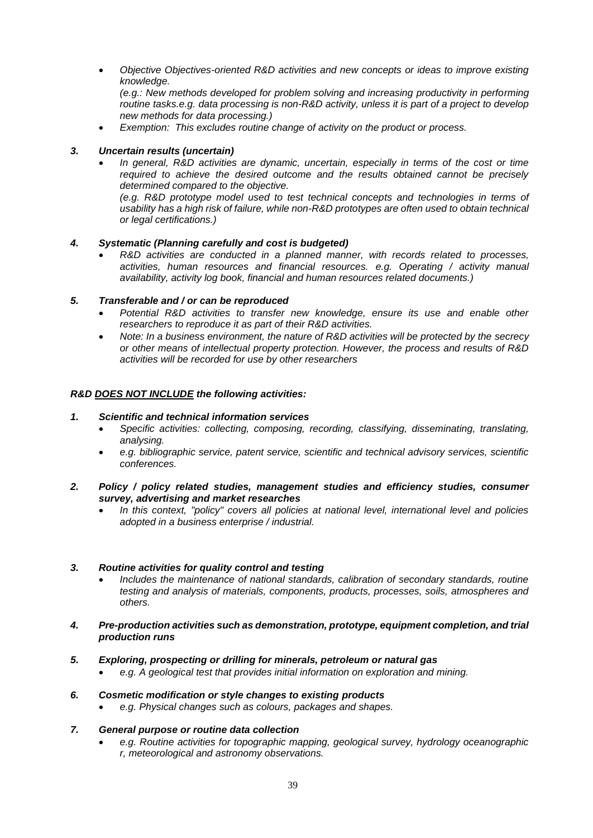*Objective Objectives-oriented R&D activities and new concepts or ideas to improve existing knowledge.*

*(e.g.: New methods developed for problem solving and increasing productivity in performing routine tasks.e.g. data processing is non-R&D activity, unless it is part of a project to develop new methods for data processing.)*

*Exemption: This excludes routine change of activity on the product or process.*

# *3. Uncertain results (uncertain)*

*In general, R&D activities are dynamic, uncertain, especially in terms of the cost or time required to achieve the desired outcome and the results obtained cannot be precisely determined compared to the objective.*

*(e.g. R&D prototype model used to test technical concepts and technologies in terms of usability has a high risk of failure, while non-R&D prototypes are often used to obtain technical or legal certifications.)*

# *4. Systematic (Planning carefully and cost is budgeted)*

 *R&D activities are conducted in a planned manner, with records related to processes, activities, human resources and financial resources. e.g. Operating / activity manual availability, activity log book, financial and human resources related documents.)*

# *5. Transferable and / or can be reproduced*

- *Potential R&D activities to transfer new knowledge, ensure its use and enable other researchers to reproduce it as part of their R&D activities.*
- *Note: In a business environment, the nature of R&D activities will be protected by the secrecy or other means of intellectual property protection. However, the process and results of R&D activities will be recorded for use by other researchers*

# *R&D DOES NOT INCLUDE the following activities:*

### *1. Scientific and technical information services*

- *Specific activities: collecting, composing, recording, classifying, disseminating, translating, analysing.*
- *e.g. bibliographic service, patent service, scientific and technical advisory services, scientific conferences.*
- *2. Policy / policy related studies, management studies and efficiency studies, consumer survey, advertising and market researches*
	- *In this context, "policy" covers all policies at national level, international level and policies adopted in a business enterprise / industrial.*

### *3. Routine activities for quality control and testing*

- *Includes the maintenance of national standards, calibration of secondary standards, routine testing and analysis of materials, components, products, processes, soils, atmospheres and others.*
- *4. Pre-production activities such as demonstration, prototype, equipment completion, and trial production runs*
- *5. Exploring, prospecting or drilling for minerals, petroleum or natural gas*
	- *e.g. A geological test that provides initial information on exploration and mining.*

### *6. Cosmetic modification or style changes to existing products*

*e.g. Physical changes such as colours, packages and shapes.*

### *7. General purpose or routine data collection*

 *e.g. Routine activities for topographic mapping, geological survey, hydrology oceanographic r, meteorological and astronomy observations.*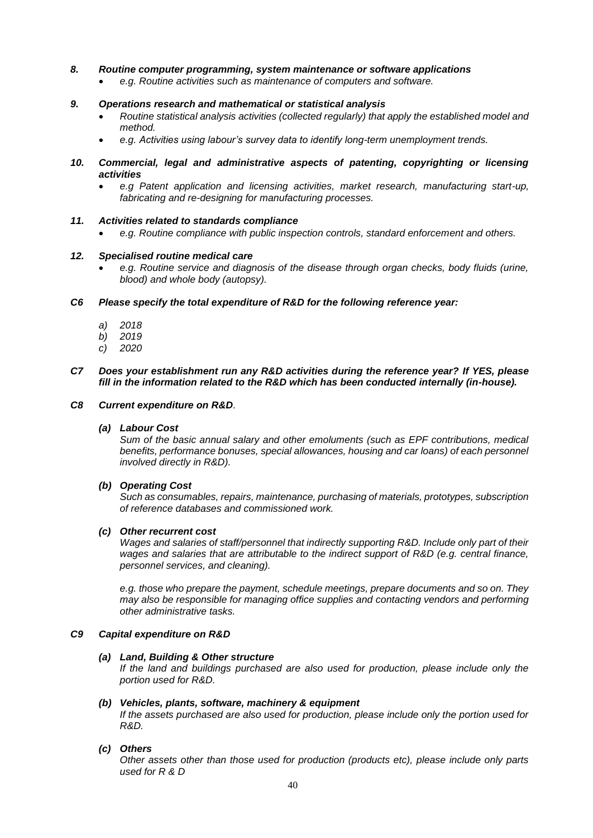# *8. Routine computer programming, system maintenance or software applications*

*e.g. Routine activities such as maintenance of computers and software.*

### *9. Operations research and mathematical or statistical analysis*

- *Routine statistical analysis activities (collected regularly) that apply the established model and method.*
- *e.g. Activities using labour's survey data to identify long-term unemployment trends.*
- *10. Commercial, legal and administrative aspects of patenting, copyrighting or licensing activities*
	- *e.g Patent application and licensing activities, market research, manufacturing start-up, fabricating and re-designing for manufacturing processes.*

#### *11. Activities related to standards compliance*

*e.g. Routine compliance with public inspection controls, standard enforcement and others.*

#### *12. Specialised routine medical care*

 *e.g. Routine service and diagnosis of the disease through organ checks, body fluids (urine, blood) and whole body (autopsy).*

*C6 Please specify the total expenditure of R&D for the following reference year:*

- *a) 2018*
- *b) 2019*
- *c) 2020*

#### *C7 Does your establishment run any R&D activities during the reference year? If YES, please fill in the information related to the R&D which has been conducted internally (in-house).*

#### *C8 Current expenditure on R&D.*

#### *(a) Labour Cost*

*Sum of the basic annual salary and other emoluments (such as EPF contributions, medical benefits, performance bonuses, special allowances, housing and car loans) of each personnel involved directly in R&D).* 

### *(b) Operating Cost*

*Such as consumables, repairs, maintenance, purchasing of materials, prototypes, subscription of reference databases and commissioned work.*

#### *(c) Other recurrent cost*

*Wages and salaries of staff/personnel that indirectly supporting R&D. Include only part of their wages and salaries that are attributable to the indirect support of R&D (e.g. central finance, personnel services, and cleaning).*

*e.g. those who prepare the payment, schedule meetings, prepare documents and so on. They may also be responsible for managing office supplies and contacting vendors and performing other administrative tasks.*

#### *C9 Capital expenditure on R&D*

#### *(a) Land, Building & Other structure*

*If the land and buildings purchased are also used for production, please include only the portion used for R&D.*

#### *(b) Vehicles, plants, software, machinery & equipment*

*If the assets purchased are also used for production, please include only the portion used for R&D.*

### *(c) Others*

*Other assets other than those used for production (products etc), please include only parts used for R & D*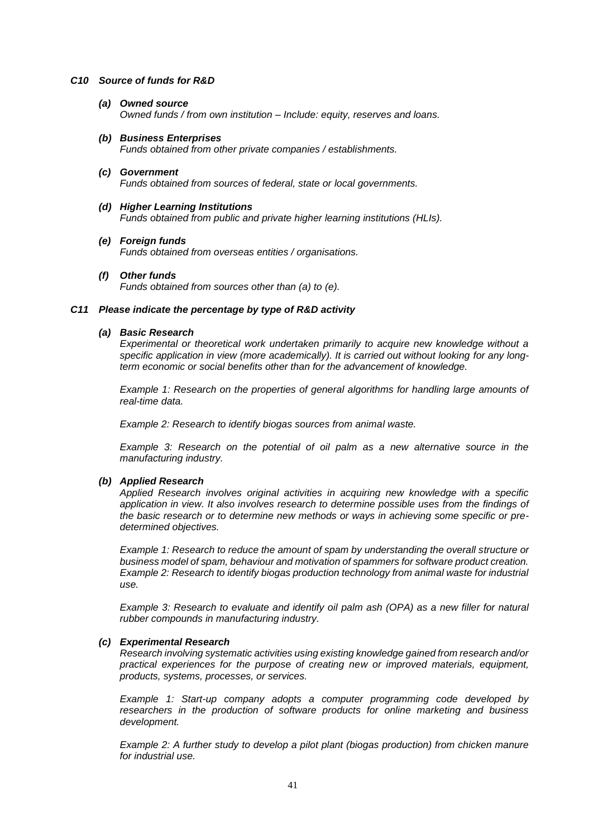### *C10 Source of funds for R&D*

- *(a) Owned source Owned funds / from own institution – Include: equity, reserves and loans.*
- *(b) Business Enterprises Funds obtained from other private companies / establishments.*
- *(c) Government Funds obtained from sources of federal, state or local governments.*
- *(d) Higher Learning Institutions Funds obtained from public and private higher learning institutions (HLIs).*
- *(e) Foreign funds Funds obtained from overseas entities / organisations.*
- *(f) Other funds*

*Funds obtained from sources other than (a) to (e).*

# *C11 Please indicate the percentage by type of R&D activity*

# *(a) Basic Research*

*Experimental or theoretical work undertaken primarily to acquire new knowledge without a specific application in view (more academically). It is carried out without looking for any longterm economic or social benefits other than for the advancement of knowledge.*

*Example 1: Research on the properties of general algorithms for handling large amounts of real-time data.*

*Example 2: Research to identify biogas sources from animal waste.*

*Example 3: Research on the potential of oil palm as a new alternative source in the manufacturing industry.*

# *(b) Applied Research*

*Applied Research involves original activities in acquiring new knowledge with a specific application in view. It also involves research to determine possible uses from the findings of the basic research or to determine new methods or ways in achieving some specific or predetermined objectives.*

*Example 1: Research to reduce the amount of spam by understanding the overall structure or business model of spam, behaviour and motivation of spammers for software product creation. Example 2: Research to identify biogas production technology from animal waste for industrial use.*

*Example 3: Research to evaluate and identify oil palm ash (OPA) as a new filler for natural rubber compounds in manufacturing industry.*

# *(c) Experimental Research*

*Research involving systematic activities using existing knowledge gained from research and/or practical experiences for the purpose of creating new or improved materials, equipment, products, systems, processes, or services.*

*Example 1: Start-up company adopts a computer programming code developed by researchers in the production of software products for online marketing and business development.*

*Example 2: A further study to develop a pilot plant (biogas production) from chicken manure for industrial use.*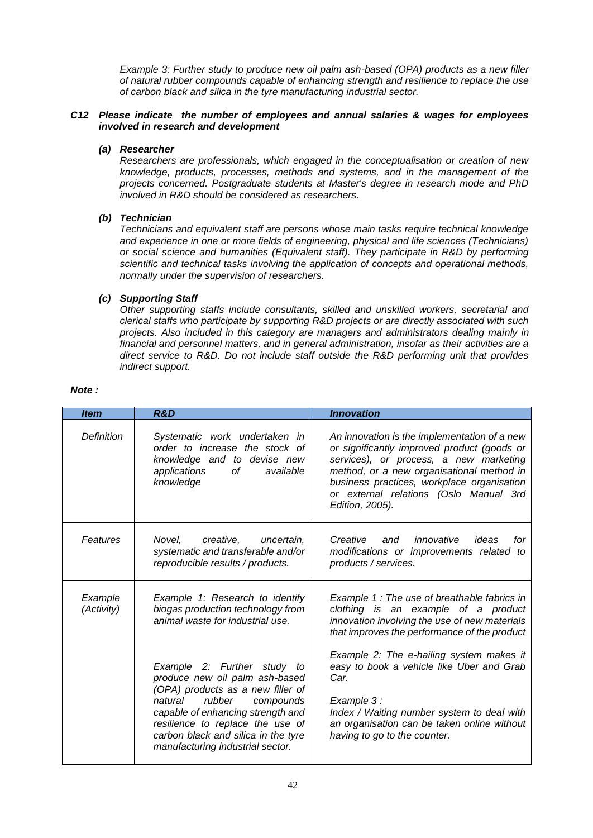*Example 3: Further study to produce new oil palm ash-based (OPA) products as a new filler of natural rubber compounds capable of enhancing strength and resilience to replace the use of carbon black and silica in the tyre manufacturing industrial sector.*

# *C12 Please indicate the number of employees and annual salaries & wages for employees involved in research and development*

# *(a) Researcher*

*Researchers are professionals, which engaged in the conceptualisation or creation of new knowledge, products, processes, methods and systems, and in the management of the projects concerned. Postgraduate students at Master's degree in research mode and PhD involved in R&D should be considered as researchers.*

# *(b) Technician*

*Technicians and equivalent staff are persons whose main tasks require technical knowledge and experience in one or more fields of engineering, physical and life sciences (Technicians) or social science and humanities (Equivalent staff). They participate in R&D by performing scientific and technical tasks involving the application of concepts and operational methods, normally under the supervision of researchers.*

# *(c) Supporting Staff*

*Other supporting staffs include consultants, skilled and unskilled workers, secretarial and clerical staffs who participate by supporting R&D projects or are directly associated with such projects. Also included in this category are managers and administrators dealing mainly in financial and personnel matters, and in general administration, insofar as their activities are a direct service to R&D. Do not include staff outside the R&D performing unit that provides indirect support.*

| <b>Item</b>           | <b>R&amp;D</b>                                                                                                                                                                                                                                                                           | <b>Innovation</b>                                                                                                                                                                                                                                                                             |  |
|-----------------------|------------------------------------------------------------------------------------------------------------------------------------------------------------------------------------------------------------------------------------------------------------------------------------------|-----------------------------------------------------------------------------------------------------------------------------------------------------------------------------------------------------------------------------------------------------------------------------------------------|--|
| Definition            | Systematic work undertaken in<br>order to increase the stock of<br>knowledge and to devise new<br>applications<br>οf<br>available<br>knowledge                                                                                                                                           | An innovation is the implementation of a new<br>or significantly improved product (goods or<br>services), or process, a new marketing<br>method, or a new organisational method in<br>business practices, workplace organisation<br>or external relations (Oslo Manual 3rd<br>Edition, 2005). |  |
| Features              | Novel.<br>creative.<br>uncertain.<br>systematic and transferable and/or<br>reproducible results / products.                                                                                                                                                                              | Creative<br>innovative<br>ideas<br>and<br>for<br>modifications or improvements related to<br>products / services.                                                                                                                                                                             |  |
| Example<br>(Activity) | Example 1: Research to identify<br>biogas production technology from<br>animal waste for industrial use.                                                                                                                                                                                 | Example 1: The use of breathable fabrics in<br>clothing is an example of a product<br>innovation involving the use of new materials<br>that improves the performance of the product                                                                                                           |  |
|                       | Example 2: Further study to<br>produce new oil palm ash-based<br>(OPA) products as a new filler of<br>rubber<br>natural<br>compounds<br>capable of enhancing strength and<br>resilience to replace the use of<br>carbon black and silica in the tyre<br>manufacturing industrial sector. | Example 2: The e-hailing system makes it<br>easy to book a vehicle like Uber and Grab<br>Car.<br>Example 3:<br>Index / Waiting number system to deal with<br>an organisation can be taken online without<br>having to go to the counter.                                                      |  |

### *Note :*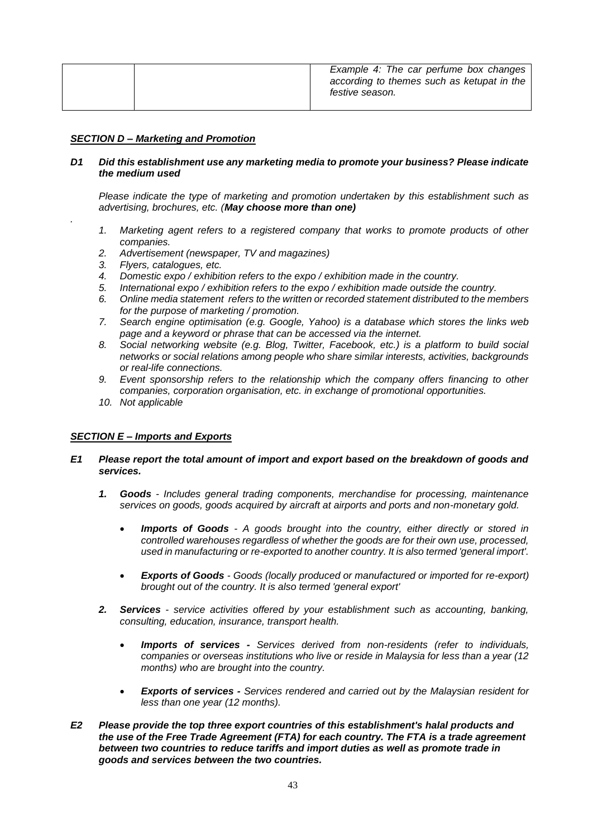| according to themes such as ketupat in the<br>festive season. |  |
|---------------------------------------------------------------|--|
|---------------------------------------------------------------|--|

### *SECTION D – Marketing and Promotion*

### *D1 Did this establishment use any marketing media to promote your business? Please indicate the medium used*

*Please indicate the type of marketing and promotion undertaken by this establishment such as advertising, brochures, etc. (May choose more than one)*

- *1. Marketing agent refers to a registered company that works to promote products of other companies.*
- *2. Advertisement (newspaper, TV and magazines)*
- *3. Flyers, catalogues, etc.*

*.*

- *4. Domestic expo / exhibition refers to the expo / exhibition made in the country.*
- *5. International expo / exhibition refers to the expo / exhibition made outside the country.*
- *6. Online media statement refers to the written or recorded statement distributed to the members for the purpose of marketing / promotion.*
- *7. Search engine optimisation (e.g. Google, Yahoo) is a database which stores the links web page and a keyword or phrase that can be accessed via the internet.*
- *8. Social networking website (e.g. Blog, Twitter, Facebook, etc.) is a platform to build social networks or social relations among people who share similar interests, activities, backgrounds or real-life connections.*
- *9. Event sponsorship refers to the relationship which the company offers financing to other companies, corporation organisation, etc. in exchange of promotional opportunities.*
- *10. Not applicable*

### *SECTION E – Imports and Exports*

- *E1 Please report the total amount of import and export based on the breakdown of goods and services.*
	- *1. Goods - Includes general trading components, merchandise for processing, maintenance services on goods, goods acquired by aircraft at airports and ports and non-monetary gold.*
		- *Imports of Goods - A goods brought into the country, either directly or stored in controlled warehouses regardless of whether the goods are for their own use, processed, used in manufacturing or re-exported to another country. It is also termed 'general import'.*
		- *Exports of Goods - Goods (locally produced or manufactured or imported for re-export) brought out of the country. It is also termed 'general export'*
	- *2. Services - service activities offered by your establishment such as accounting, banking, consulting, education, insurance, transport health.*
		- *Imports of services - Services derived from non-residents (refer to individuals, companies or overseas institutions who live or reside in Malaysia for less than a year (12 months) who are brought into the country.*
		- *Exports of services - Services rendered and carried out by the Malaysian resident for less than one year (12 months).*
- *E2 Please provide the top three export countries of this establishment's halal products and the use of the Free Trade Agreement (FTA) for each country. The FTA is a trade agreement between two countries to reduce tariffs and import duties as well as promote trade in goods and services between the two countries.*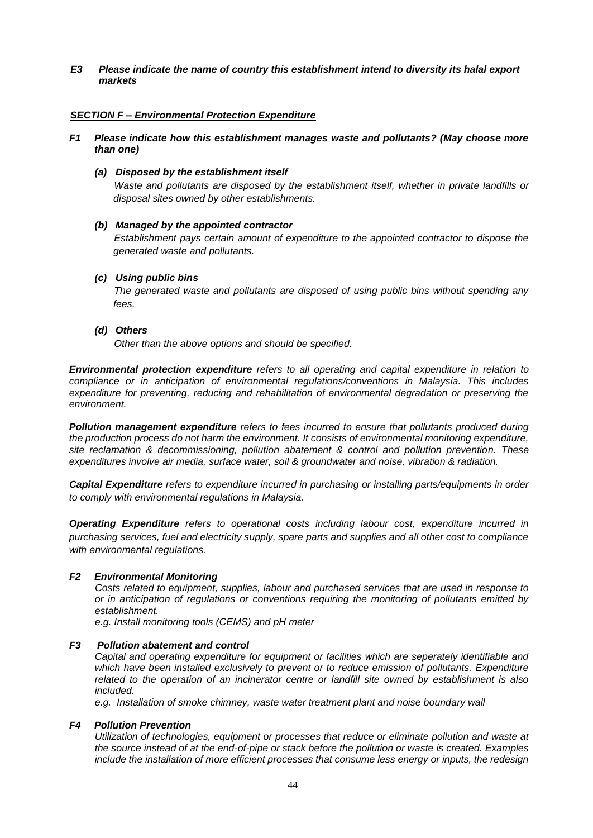*E3 Please indicate the name of country this establishment intend to diversity its halal export markets*

### *SECTION F – Environmental Protection Expenditure*

*F1 Please indicate how this establishment manages waste and pollutants? (May choose more than one)*

### *(a) Disposed by the establishment itself*

*Waste and pollutants are disposed by the establishment itself, whether in private landfills or disposal sites owned by other establishments.*

# *(b) Managed by the appointed contractor*

*Establishment pays certain amount of expenditure to the appointed contractor to dispose the generated waste and pollutants.*

# *(c) Using public bins*

*The generated waste and pollutants are disposed of using public bins without spending any fees.* 

# *(d) Others*

*Other than the above options and should be specified.*

*Environmental protection expenditure refers to all operating and capital expenditure in relation to compliance or in anticipation of environmental regulations/conventions in Malaysia. This includes expenditure for preventing, reducing and rehabilitation of environmental degradation or preserving the environment.*

*Pollution management expenditure refers to fees incurred to ensure that pollutants produced during the production process do not harm the environment. It consists of environmental monitoring expenditure, site reclamation & decommissioning, pollution abatement & control and pollution prevention. These expenditures involve air media, surface water, soil & groundwater and noise, vibration & radiation.*

*Capital Expenditure refers to expenditure incurred in purchasing or installing parts/equipments in order to comply with environmental regulations in Malaysia.*

*Operating Expenditure refers to operational costs including labour cost, expenditure incurred in purchasing services, fuel and electricity supply, spare parts and supplies and all other cost to compliance with environmental regulations.*

### *F2 Environmental Monitoring*

*Costs related to equipment, supplies, labour and purchased services that are used in response to or in anticipation of regulations or conventions requiring the monitoring of pollutants emitted by establishment.*

*e.g. Install monitoring tools (CEMS) and pH meter*

### *F3 Pollution abatement and control*

*Capital and operating expenditure for equipment or facilities which are seperately identifiable and which have been installed exclusively to prevent or to reduce emission of pollutants. Expenditure related to the operation of an incinerator centre or landfill site owned by establishment is also included.* 

*e.g. Installation of smoke chimney, waste water treatment plant and noise boundary wall*

### *F4 Pollution Prevention*

*Utilization of technologies, equipment or processes that reduce or eliminate pollution and waste at the source instead of at the end-of-pipe or stack before the pollution or waste is created. Examples include the installation of more efficient processes that consume less energy or inputs, the redesign*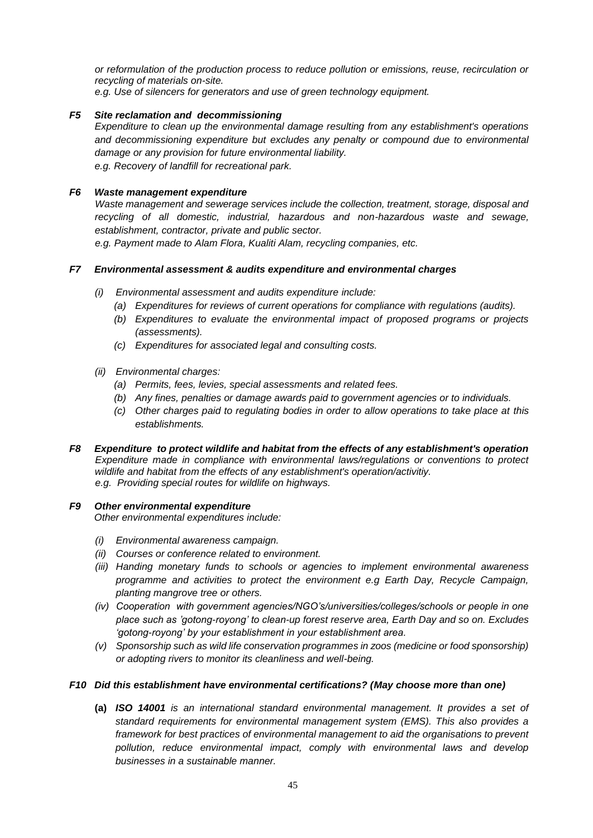*or reformulation of the production process to reduce pollution or emissions, reuse, recirculation or recycling of materials on-site. e.g. Use of silencers for generators and use of green technology equipment.*

*F5 Site reclamation and decommissioning*

*Expenditure to clean up the environmental damage resulting from any establishment's operations and decommissioning expenditure but excludes any penalty or compound due to environmental damage or any provision for future environmental liability.*

*e.g. Recovery of landfill for recreational park.*

# *F6 Waste management expenditure*

*Waste management and sewerage services include the collection, treatment, storage, disposal and recycling of all domestic, industrial, hazardous and non-hazardous waste and sewage, establishment, contractor, private and public sector.*

*e.g. Payment made to Alam Flora, Kualiti Alam, recycling companies, etc.*

# *F7 Environmental assessment & audits expenditure and environmental charges*

- *(i) Environmental assessment and audits expenditure include:*
	- *(a) Expenditures for reviews of current operations for compliance with regulations (audits).*
	- *(b) Expenditures to evaluate the environmental impact of proposed programs or projects (assessments).*
	- *(c) Expenditures for associated legal and consulting costs.*
- *(ii) Environmental charges:*
	- *(a) Permits, fees, levies, special assessments and related fees.*
	- *(b) Any fines, penalties or damage awards paid to government agencies or to individuals.*
	- *(c) Other charges paid to regulating bodies in order to allow operations to take place at this establishments.*
- *F8 Expenditure to protect wildlife and habitat from the effects of any establishment's operation Expenditure made in compliance with environmental laws/regulations or conventions to protect wildlife and habitat from the effects of any establishment's operation/activitiy. e.g. Providing special routes for wildlife on highways.*

# *F9 Other environmental expenditure*

*Other environmental expenditures include:*

- *(i) Environmental awareness campaign.*
- *(ii) Courses or conference related to environment.*
- *(iii) Handing monetary funds to schools or agencies to implement environmental awareness programme and activities to protect the environment e.g Earth Day, Recycle Campaign, planting mangrove tree or others.*
- *(iv) Cooperation with government agencies/NGO's/universities/colleges/schools or people in one place such as 'gotong-royong' to clean-up forest reserve area, Earth Day and so on. Excludes 'gotong-royong' by your establishment in your establishment area.*
- *(v) Sponsorship such as wild life conservation programmes in zoos (medicine or food sponsorship) or adopting rivers to monitor its cleanliness and well-being.*

### *F10 Did this establishment have environmental certifications? (May choose more than one)*

**(a)** *ISO 14001 is an international standard environmental management. It provides a set of standard requirements for environmental management system (EMS). This also provides a framework for best practices of environmental management to aid the organisations to prevent pollution, reduce environmental impact, comply with environmental laws and develop businesses in a sustainable manner.*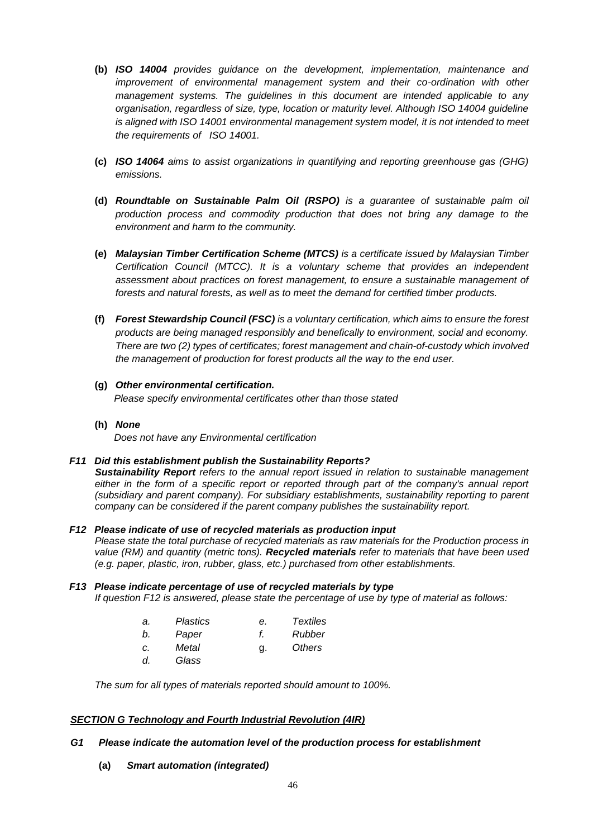- **(b)** *ISO 14004 provides guidance on the development, implementation, maintenance and improvement of environmental management system and their co-ordination with other management systems. The guidelines in this document are intended applicable to any organisation, regardless of size, type, location or maturity level. Although ISO 14004 guideline*  is aligned with ISO 14001 environmental management system model, it is not intended to meet *the requirements of ISO 14001.*
- **(c)** *ISO 14064 aims to assist organizations in quantifying and reporting greenhouse gas (GHG) emissions.*
- **(d)** *Roundtable on Sustainable Palm Oil (RSPO) is a guarantee of sustainable palm oil production process and commodity production that does not bring any damage to the environment and harm to the community.*
- **(e)** *Malaysian Timber Certification Scheme (MTCS) is a certificate issued by Malaysian Timber Certification Council (MTCC). It is a voluntary scheme that provides an independent assessment about practices on forest management, to ensure a sustainable management of forests and natural forests, as well as to meet the demand for certified timber products.*
- **(f)** *Forest Stewardship Council (FSC) is a voluntary certification, which aims to ensure the forest products are being managed responsibly and benefically to environment, social and economy. There are two (2) types of certificates; forest management and chain-of-custody which involved the management of production for forest products all the way to the end user.*
- **(g)** *Other environmental certification. Please specify environmental certificates other than those stated*
- **(h)** *None*

*Does not have any Environmental certification*

# *F11 Did this establishment publish the Sustainability Reports?*

*Sustainability Report refers to the annual report issued in relation to sustainable management*  either in the form of a specific report or reported through part of the company's annual report *(subsidiary and parent company). For subsidiary establishments, sustainability reporting to parent company can be considered if the parent company publishes the sustainability report.*

*F12 Please indicate of use of recycled materials as production input Please state the total purchase of recycled materials as raw materials for the Production process in value (RM) and quantity (metric tons). Recycled materials refer to materials that have been used (e.g. paper, plastic, iron, rubber, glass, etc.) purchased from other establishments.*

### *F13 Please indicate percentage of use of recycled materials by type If question F12 is answered, please state the percentage of use by type of material as follows:*

| а. | <b>Plastics</b> | е. | <b>Textiles</b> |
|----|-----------------|----|-----------------|
| b. | Paper           | t. | Rubber          |
| c. | Metal           | g. | Others          |
| d. | Glass           |    |                 |

*The sum for all types of materials reported should amount to 100%.*

# *SECTION G Technology and Fourth Industrial Revolution (4IR)*

# *G1 Please indicate the automation level of the production process for establishment*

**(a)** *Smart automation (integrated)*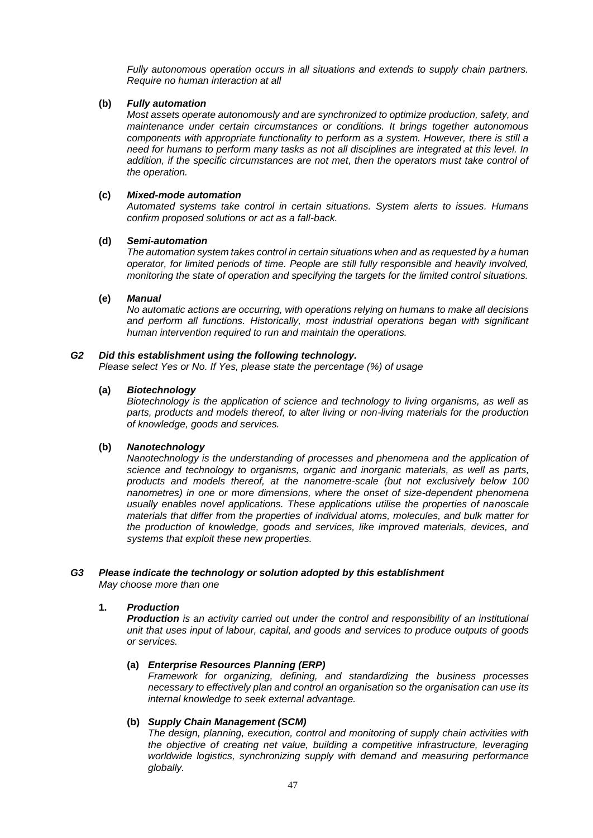*Fully autonomous operation occurs in all situations and extends to supply chain partners. Require no human interaction at all*

# **(b)** *Fully automation*

*Most assets operate autonomously and are synchronized to optimize production, safety, and maintenance under certain circumstances or conditions. It brings together autonomous components with appropriate functionality to perform as a system. However, there is still a need for humans to perform many tasks as not all disciplines are integrated at this level. In addition, if the specific circumstances are not met, then the operators must take control of the operation.* 

# **(c)** *Mixed-mode automation*

*Automated systems take control in certain situations. System alerts to issues. Humans confirm proposed solutions or act as a fall-back.*

### **(d)** *Semi-automation*

*The automation system takes control in certain situations when and as requested by a human operator, for limited periods of time. People are still fully responsible and heavily involved, monitoring the state of operation and specifying the targets for the limited control situations.*

# **(e)** *Manual*

*No automatic actions are occurring, with operations relying on humans to make all decisions and perform all functions. Historically, most industrial operations began with significant human intervention required to run and maintain the operations.*

# *G2 Did this establishment using the following technology.*

*Please select Yes or No. If Yes, please state the percentage (%) of usage*

# **(a)** *Biotechnology*

*Biotechnology is the application of science and technology to living organisms, as well as parts, products and models thereof, to alter living or non-living materials for the production of knowledge, goods and services.*

# **(b)** *Nanotechnology*

*Nanotechnology is the understanding of processes and phenomena and the application of science and technology to organisms, organic and inorganic materials, as well as parts, products and models thereof, at the nanometre-scale (but not exclusively below 100 nanometres) in one or more dimensions, where the onset of size-dependent phenomena usually enables novel applications. These applications utilise the properties of nanoscale materials that differ from the properties of individual atoms, molecules, and bulk matter for the production of knowledge, goods and services, like improved materials, devices, and systems that exploit these new properties.*

# *G3 Please indicate the technology or solution adopted by this establishment*

*May choose more than one*

# **1.** *Production*

*Production is an activity carried out under the control and responsibility of an institutional unit that uses input of labour, capital, and goods and services to produce outputs of goods or services.*

# **(a)** *Enterprise Resources Planning (ERP)*

*Framework for organizing, defining, and standardizing the business processes necessary to effectively plan and control an organisation so the organisation can use its internal knowledge to seek external advantage.*

# **(b)** *Supply Chain Management (SCM)*

*The design, planning, execution, control and monitoring of supply chain activities with the objective of creating net value, building a competitive infrastructure, leveraging worldwide logistics, synchronizing supply with demand and measuring performance globally.*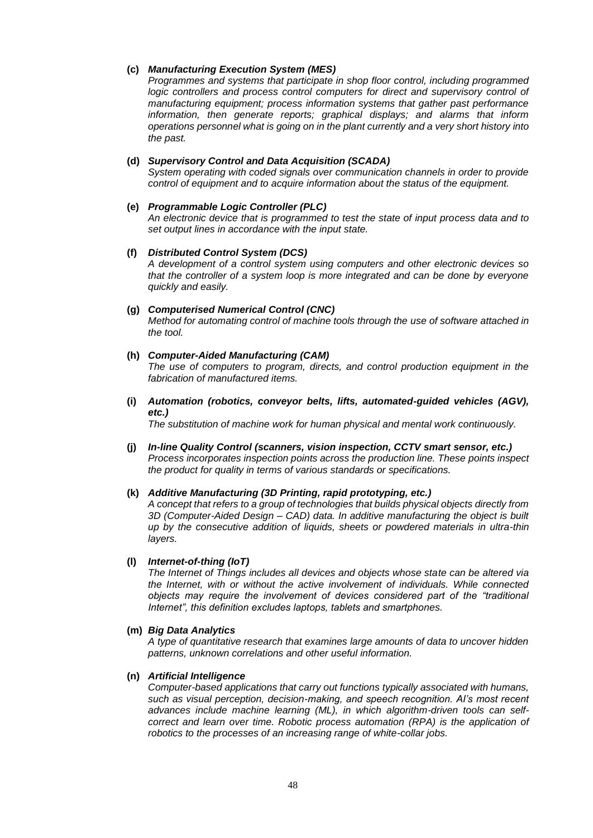### **(c)** *Manufacturing Execution System (MES)*

*Programmes and systems that participate in shop floor control, including programmed logic controllers and process control computers for direct and supervisory control of manufacturing equipment; process information systems that gather past performance information, then generate reports; graphical displays; and alarms that inform operations personnel what is going on in the plant currently and a very short history into the past.*

# **(d)** *Supervisory Control and Data Acquisition (SCADA)*

*System operating with coded signals over communication channels in order to provide control of equipment and to acquire information about the status of the equipment.*

# **(e)** *Programmable Logic Controller (PLC)*

*An electronic device that is programmed to test the state of input process data and to set output lines in accordance with the input state.*

# **(f)** *Distributed Control System (DCS)*

*A development of a control system using computers and other electronic devices so that the controller of a system loop is more integrated and can be done by everyone quickly and easily.*

# **(g)** *Computerised Numerical Control (CNC)*

*Method for automating control of machine tools through the use of software attached in the tool.*

# **(h)** *Computer-Aided Manufacturing (CAM)*

*The use of computers to program, directs, and control production equipment in the fabrication of manufactured items.*

**(i)** *Automation (robotics, conveyor belts, lifts, automated-guided vehicles (AGV), etc.)*

*The substitution of machine work for human physical and mental work continuously.*

**(j)** *In-line Quality Control (scanners, vision inspection, CCTV smart sensor, etc.) Process incorporates inspection points across the production line. These points inspect the product for quality in terms of various standards or specifications.*

### **(k)** *Additive Manufacturing (3D Printing, rapid prototyping, etc.)*

*A concept that refers to a group of technologies that builds physical objects directly from 3D (Computer-Aided Design – CAD) data. In additive manufacturing the object is built up by the consecutive addition of liquids, sheets or powdered materials in ultra-thin layers.*

### **(l)** *Internet-of-thing (IoT)*

*The Internet of Things includes all devices and objects whose state can be altered via the Internet, with or without the active involvement of individuals. While connected objects may require the involvement of devices considered part of the "traditional Internet", this definition excludes laptops, tablets and smartphones.*

### **(m)** *Big Data Analytics*

*A type of quantitative research that examines large amounts of data to uncover hidden patterns, unknown correlations and other useful information.*

### **(n)** *Artificial Intelligence*

*Computer-based applications that carry out functions typically associated with humans, such as visual perception, decision-making, and speech recognition. AI's most recent advances include machine learning (ML), in which algorithm-driven tools can selfcorrect and learn over time. Robotic process automation (RPA) is the application of robotics to the processes of an increasing range of white-collar jobs.*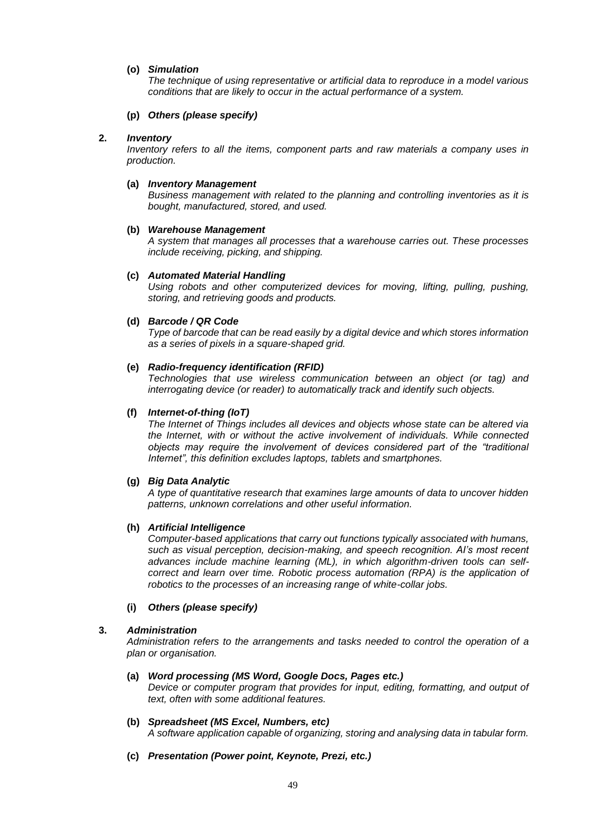# **(o)** *Simulation*

*The technique of using representative or artificial data to reproduce in a model various conditions that are likely to occur in the actual performance of a system.*

### **(p)** *Others (please specify)*

# **2.** *Inventory*

*Inventory refers to all the items, component parts and raw materials a company uses in production.*

#### **(a)** *Inventory Management*

*Business management with related to the planning and controlling inventories as it is bought, manufactured, stored, and used.*

### **(b)** *Warehouse Management*

*A system that manages all processes that a warehouse carries out. These processes include receiving, picking, and shipping.*

#### **(c)** *Automated Material Handling*

*Using robots and other computerized devices for moving, lifting, pulling, pushing, storing, and retrieving goods and products.*

#### **(d)** *Barcode / QR Code*

*Type of barcode that can be read easily by a digital device and which stores information as a series of pixels in a square-shaped grid.*

# **(e)** *Radio-frequency identification (RFID)*

*Technologies that use wireless communication between an object (or tag) and interrogating device (or reader) to automatically track and identify such objects.*

#### **(f)** *Internet-of-thing (IoT)*

*The Internet of Things includes all devices and objects whose state can be altered via the Internet, with or without the active involvement of individuals. While connected objects may require the involvement of devices considered part of the "traditional Internet", this definition excludes laptops, tablets and smartphones.*

### **(g)** *Big Data Analytic*

*A type of quantitative research that examines large amounts of data to uncover hidden patterns, unknown correlations and other useful information.*

### **(h)** *Artificial Intelligence*

*Computer-based applications that carry out functions typically associated with humans, such as visual perception, decision-making, and speech recognition. AI's most recent advances include machine learning (ML), in which algorithm-driven tools can selfcorrect and learn over time. Robotic process automation (RPA) is the application of robotics to the processes of an increasing range of white-collar jobs.*

### **(i)** *Others (please specify)*

### **3.** *Administration*

*Administration refers to the arrangements and tasks needed to control the operation of a plan or organisation.*

### **(a)** *Word processing (MS Word, Google Docs, Pages etc.)*

*Device or computer program that provides for input, editing, formatting, and output of text, often with some additional features.*

#### **(b)** *Spreadsheet (MS Excel, Numbers, etc) A software application capable of organizing, storing and analysing data in tabular form.*

**(c)** *Presentation (Power point, Keynote, Prezi, etc.)*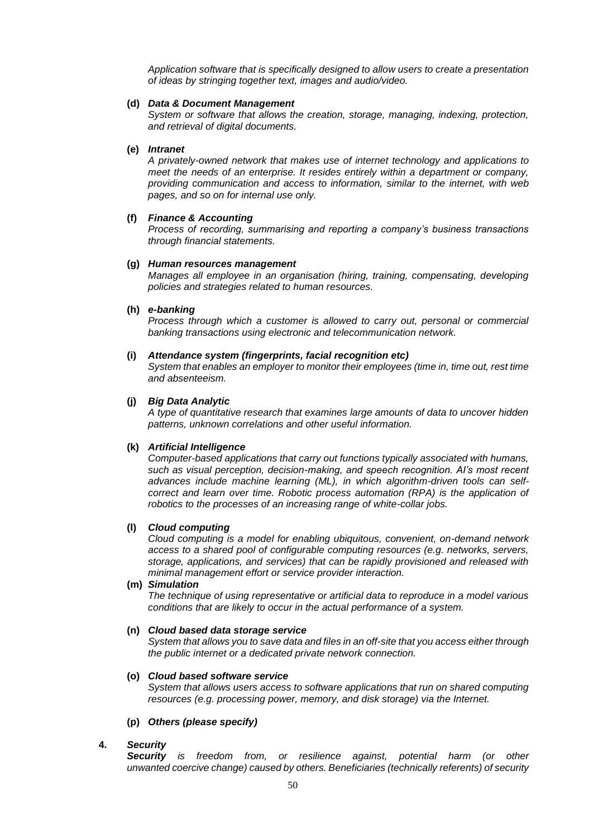*Application software that is specifically designed to allow users to create a presentation of ideas by stringing together text, images and audio/video.*

#### **(d)** *Data & Document Management*

*System or software that allows the creation, storage, managing, indexing, protection, and retrieval of digital documents.*

### **(e)** *Intranet*

*A privately-owned network that makes use of internet technology and applications to meet the needs of an enterprise. It resides entirely within a department or company, providing communication and access to information, similar to the internet, with web pages, and so on for internal use only.*

### **(f)** *Finance & Accounting*

*Process of recording, summarising and reporting a company's business transactions through financial statements.*

#### **(g)** *Human resources management*

*Manages all employee in an organisation (hiring, training, compensating, developing policies and strategies related to human resources.*

#### **(h)** *e-banking*

*Process through which a customer is allowed to carry out, personal or commercial banking transactions using electronic and telecommunication network.*

#### **(i)** *Attendance system (fingerprints, facial recognition etc)*

*System that enables an employer to monitor their employees (time in, time out, rest time and absenteeism.*

#### **(j)** *Big Data Analytic*

*A type of quantitative research that examines large amounts of data to uncover hidden patterns, unknown correlations and other useful information.*

### **(k)** *Artificial Intelligence*

*Computer-based applications that carry out functions typically associated with humans, such as visual perception, decision-making, and speech recognition. AI's most recent advances include machine learning (ML), in which algorithm-driven tools can selfcorrect and learn over time. Robotic process automation (RPA) is the application of robotics to the processes of an increasing range of white-collar jobs.*

#### **(l)** *Cloud computing*

*Cloud computing is a model for enabling ubiquitous, convenient, on-demand network access to a shared pool of configurable computing resources (e.g. networks, servers, storage, applications, and services) that can be rapidly provisioned and released with minimal management effort or service provider interaction.*

# **(m)** *Simulation*

*The technique of using representative or artificial data to reproduce in a model various conditions that are likely to occur in the actual performance of a system.*

#### **(n)** *Cloud based data storage service*

*System that allows you to save data and files in an off-site that you access either through the public internet or a dedicated private network connection.*

# **(o)** *Cloud based software service*

*System that allows users access to software applications that run on shared computing resources (e.g. processing power, memory, and disk storage) via the Internet.*

### **(p)** *Others (please specify)*

#### **4.** *Security*

*Security is freedom from, or resilience against, potential harm (or other unwanted coercive change) caused by others. Beneficiaries (technically referents) of security*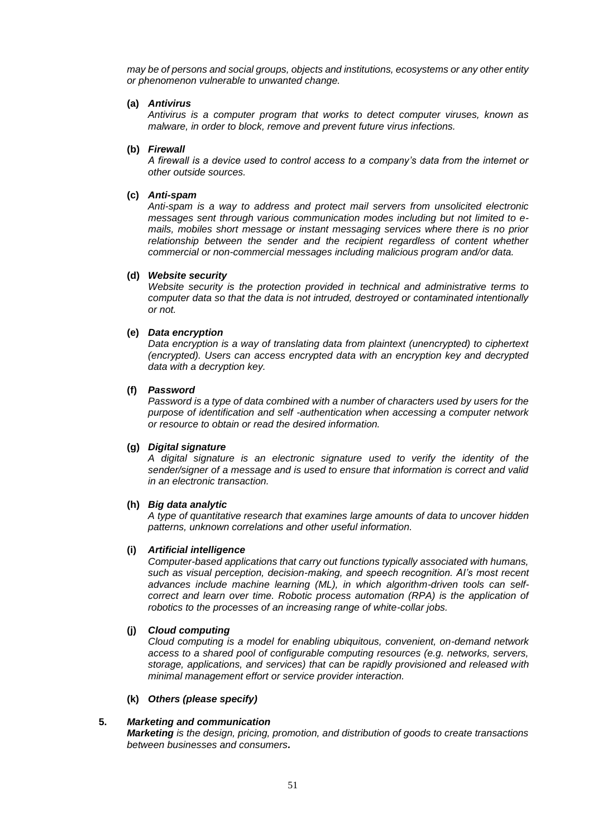*may be of persons and social groups, objects and institutions, ecosystems or any other entity or phenomenon vulnerable to unwanted change.*

#### **(a)** *Antivirus*

*Antivirus is a computer program that works to detect computer viruses, known as malware, in order to block, remove and prevent future virus infections.*

#### **(b)** *Firewall*

*A firewall is a device used to control access to a company's data from the internet or other outside sources.*

#### **(c)** *Anti-spam*

*Anti-spam is a way to address and protect mail servers from unsolicited electronic messages sent through various communication modes including but not limited to emails, mobiles short message or instant messaging services where there is no prior relationship between the sender and the recipient regardless of content whether commercial or non-commercial messages including malicious program and/or data.*

#### **(d)** *Website security*

*Website security is the protection provided in technical and administrative terms to computer data so that the data is not intruded, destroyed or contaminated intentionally or not.*

### **(e)** *Data encryption*

*Data encryption is a way of translating data from plaintext (unencrypted) to ciphertext (encrypted). Users can access encrypted data with an encryption key and decrypted data with a decryption key.*

# **(f)** *Password*

*Password is a type of data combined with a number of characters used by users for the purpose of identification and self -authentication when accessing a computer network or resource to obtain or read the desired information.*

# **(g)** *Digital signature*

*A digital signature is an electronic signature used to verify the identity of the sender/signer of a message and is used to ensure that information is correct and valid in an electronic transaction.*

# **(h)** *Big data analytic*

*A type of quantitative research that examines large amounts of data to uncover hidden patterns, unknown correlations and other useful information.*

### **(i)** *Artificial intelligence*

*Computer-based applications that carry out functions typically associated with humans, such as visual perception, decision-making, and speech recognition. AI's most recent advances include machine learning (ML), in which algorithm-driven tools can selfcorrect and learn over time. Robotic process automation (RPA) is the application of robotics to the processes of an increasing range of white-collar jobs.*

### **(j)** *Cloud computing*

*Cloud computing is a model for enabling ubiquitous, convenient, on-demand network access to a shared pool of configurable computing resources (e.g. networks, servers, storage, applications, and services) that can be rapidly provisioned and released with minimal management effort or service provider interaction.*

### **(k)** *Others (please specify)*

### **5.** *Marketing and communication*

*Marketing is the design, pricing, promotion, and distribution of goods to create transactions between businesses and consumers.*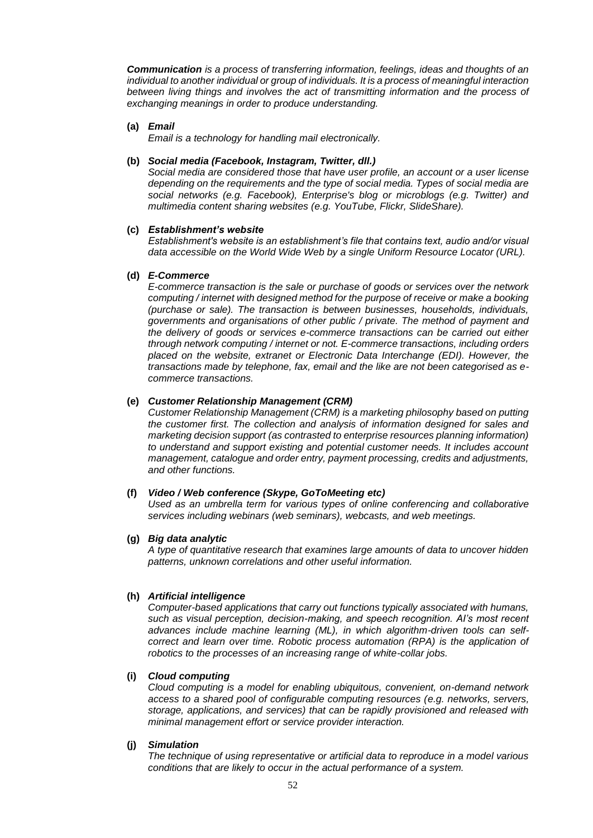*Communication is a process of transferring information, feelings, ideas and thoughts of an individual to another individual or group of individuals. It is a process of meaningful interaction between living things and involves the act of transmitting information and the process of exchanging meanings in order to produce understanding.*

**(a)** *Email*

*Email is a technology for handling mail electronically.*

# **(b)** *Social media (Facebook, Instagram, Twitter, dll.)*

*Social media are considered those that have user profile, an account or a user license depending on the requirements and the type of social media. Types of social media are social networks (e.g. Facebook), Enterprise's blog or microblogs (e.g. Twitter) and multimedia content sharing websites (e.g. YouTube, Flickr, SlideShare).*

# **(c)** *Establishment's website*

*Establishment's website is an establishment's file that contains text, audio and/or visual data accessible on the World Wide Web by a single Uniform Resource Locator (URL).*

### **(d)** *E-Commerce*

*E-commerce transaction is the sale or purchase of goods or services over the network computing / internet with designed method for the purpose of receive or make a booking (purchase or sale). The transaction is between businesses, households, individuals, governments and organisations of other public / private. The method of payment and the delivery of goods or services e-commerce transactions can be carried out either through network computing / internet or not. E-commerce transactions, including orders placed on the website, extranet or Electronic Data Interchange (EDI). However, the transactions made by telephone, fax, email and the like are not been categorised as ecommerce transactions.*

### **(e)** *Customer Relationship Management (CRM)*

*Customer Relationship Management (CRM) is a marketing philosophy based on putting the customer first. The collection and analysis of information designed for sales and marketing decision support (as contrasted to enterprise resources planning information) to understand and support existing and potential customer needs. It includes account management, catalogue and order entry, payment processing, credits and adjustments, and other functions.* 

#### **(f)** *Video / Web conference (Skype, GoToMeeting etc)*

*Used as an umbrella term for various types of online conferencing and collaborative services including webinars (web seminars), webcasts, and web meetings.*

### **(g)** *Big data analytic*

*A type of quantitative research that examines large amounts of data to uncover hidden patterns, unknown correlations and other useful information.*

#### **(h)** *Artificial intelligence*

*Computer-based applications that carry out functions typically associated with humans, such as visual perception, decision-making, and speech recognition. AI's most recent advances include machine learning (ML), in which algorithm-driven tools can selfcorrect and learn over time. Robotic process automation (RPA) is the application of robotics to the processes of an increasing range of white-collar jobs.*

# **(i)** *Cloud computing*

*Cloud computing is a model for enabling ubiquitous, convenient, on-demand network access to a shared pool of configurable computing resources (e.g. networks, servers, storage, applications, and services) that can be rapidly provisioned and released with minimal management effort or service provider interaction.* 

#### **(j)** *Simulation*

*The technique of using representative or artificial data to reproduce in a model various conditions that are likely to occur in the actual performance of a system.*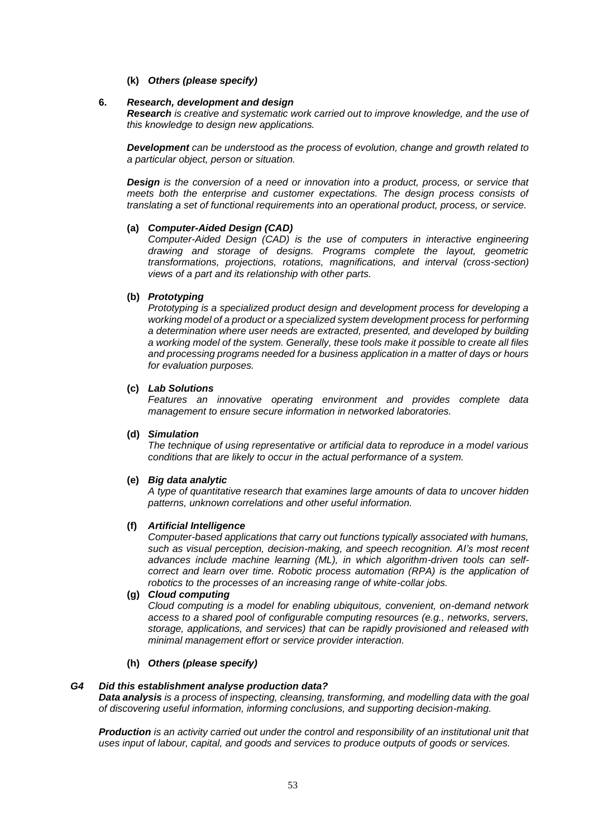**(k)** *Others (please specify)*

#### **6.** *Research, development and design*

*Research is creative and systematic work carried out to improve knowledge, and the use of this knowledge to design new applications.*

*Development can be understood as the process of evolution, change and growth related to a particular object, person or situation.*

*Design is the conversion of a need or innovation into a product, process, or service that meets both the enterprise and customer expectations. The design process consists of translating a set of functional requirements into an operational product, process, or service.*

### **(a)** *Computer-Aided Design (CAD)*

*Computer-Aided Design (CAD) is the use of computers in interactive engineering drawing and storage of designs. Programs complete the layout, geometric transformations, projections, rotations, magnifications, and interval (cross-section) views of a part and its relationship with other parts.*

# **(b)** *Prototyping*

*Prototyping is a specialized product design and development process for developing a working model of a product or a specialized system development process for performing a determination where user needs are extracted, presented, and developed by building a working model of the system. Generally, these tools make it possible to create all files and processing programs needed for a business application in a matter of days or hours for evaluation purposes.*

#### **(c)** *Lab Solutions*

*Features an innovative operating environment and provides complete data management to ensure secure information in networked laboratories.*

#### **(d)** *Simulation*

*The technique of using representative or artificial data to reproduce in a model various conditions that are likely to occur in the actual performance of a system.*

#### **(e)** *Big data analytic*

*A type of quantitative research that examines large amounts of data to uncover hidden patterns, unknown correlations and other useful information.*

#### **(f)** *Artificial Intelligence*

*Computer-based applications that carry out functions typically associated with humans, such as visual perception, decision-making, and speech recognition. AI's most recent advances include machine learning (ML), in which algorithm-driven tools can selfcorrect and learn over time. Robotic process automation (RPA) is the application of robotics to the processes of an increasing range of white-collar jobs.* 

### **(g)** *Cloud computing*

*Cloud computing is a model for enabling ubiquitous, convenient, on-demand network access to a shared pool of configurable computing resources (e.g., networks, servers, storage, applications, and services) that can be rapidly provisioned and released with minimal management effort or service provider interaction.*

#### **(h)** *Others (please specify)*

#### *G4 Did this establishment analyse production data?*

*Data analysis is a process of inspecting, cleansing, transforming, and modelling data with the goal of discovering useful information, informing conclusions, and supporting decision-making.*

*Production is an activity carried out under the control and responsibility of an institutional unit that uses input of labour, capital, and goods and services to produce outputs of goods or services.*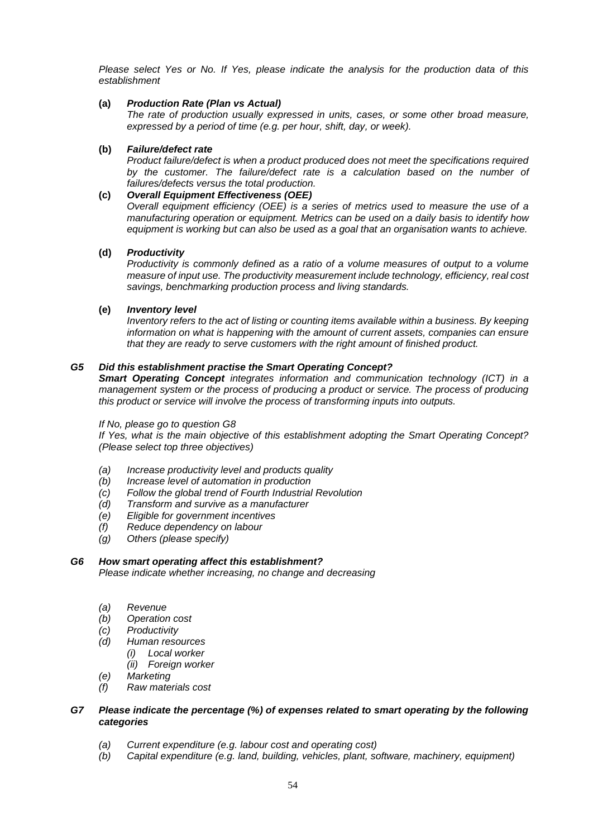*Please select Yes or No. If Yes, please indicate the analysis for the production data of this establishment*

# **(a)** *Production Rate (Plan vs Actual)*

*The rate of production usually expressed in units, cases, or some other broad measure, expressed by a period of time (e.g. per hour, shift, day, or week).*

# **(b)** *Failure/defect rate*

*Product failure/defect is when a product produced does not meet the specifications required*  by the customer. The failure/defect rate is a calculation based on the number of *failures/defects versus the total production.*

# **(c)** *Overall Equipment Effectiveness (OEE)*

*Overall equipment efficiency (OEE) is a series of metrics used to measure the use of a manufacturing operation or equipment. Metrics can be used on a daily basis to identify how equipment is working but can also be used as a goal that an organisation wants to achieve.*

# **(d)** *Productivity*

*Productivity is commonly defined as a ratio of a volume measures of output to a volume measure of input use. The productivity measurement include technology, efficiency, real cost savings, benchmarking production process and living standards.*

# **(e)** *Inventory level*

*Inventory refers to the act of listing or counting items available within a business. By keeping information on what is happening with the amount of current assets, companies can ensure that they are ready to serve customers with the right amount of finished product.*

# *G5 Did this establishment practise the Smart Operating Concept?*

*Smart Operating Concept integrates information and communication technology (ICT) in a management system or the process of producing a product or service. The process of producing this product or service will involve the process of transforming inputs into outputs.*

### *If No, please go to question G8*

*If Yes, what is the main objective of this establishment adopting the Smart Operating Concept? (Please select top three objectives)*

- *(a) Increase productivity level and products quality*
- *(b) Increase level of automation in production*
- *(c) Follow the global trend of Fourth Industrial Revolution*
- *(d) Transform and survive as a manufacturer*
- *(e) Eligible for government incentives*
- *(f) Reduce dependency on labour*
- *(g) Others (please specify)*

# *G6 How smart operating affect this establishment?*

*Please indicate whether increasing, no change and decreasing*

- *(a) Revenue*
- *(b) Operation cost*
- *(c) Productivity*
- *(d) Human resources*
	- *(i) Local worker*
	- *(ii) Foreign worker*
- *(e) Marketing*
- *(f) Raw materials cost*

# *G7 Please indicate the percentage (%) of expenses related to smart operating by the following categories*

- *(a) Current expenditure (e.g. labour cost and operating cost)*
- *(b) Capital expenditure (e.g. land, building, vehicles, plant, software, machinery, equipment)*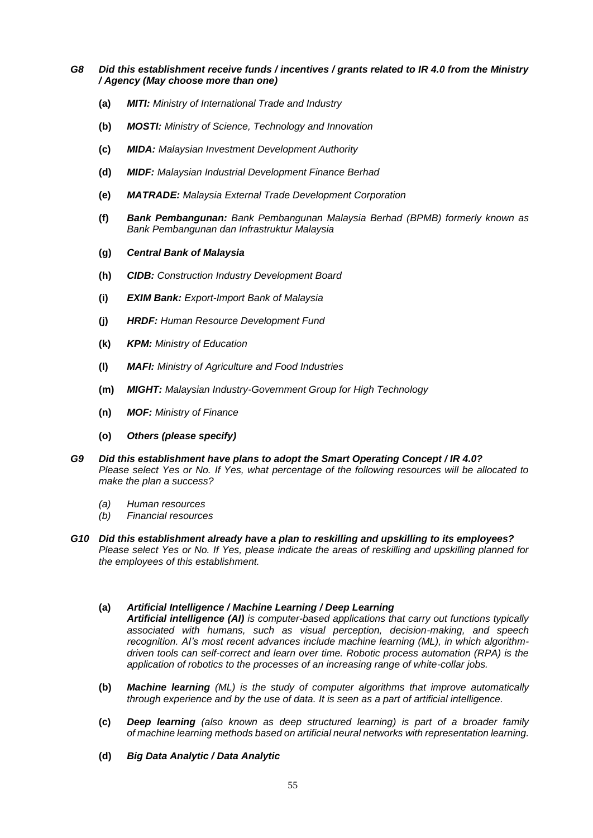### *G8 Did this establishment receive funds / incentives / grants related to IR 4.0 from the Ministry / Agency (May choose more than one)*

- **(a)** *MITI: Ministry of International Trade and Industry*
- **(b)** *MOSTI: Ministry of Science, Technology and Innovation*
- **(c)** *MIDA: Malaysian Investment Development Authority*
- **(d)** *MIDF: Malaysian Industrial Development Finance Berhad*
- **(e)** *MATRADE: Malaysia External Trade Development Corporation*
- **(f)** *Bank Pembangunan: Bank Pembangunan Malaysia Berhad (BPMB) formerly known as Bank Pembangunan dan Infrastruktur Malaysia*
- **(g)** *Central Bank of Malaysia*
- **(h)** *CIDB: Construction Industry Development Board*
- **(i)** *EXIM Bank: Export-Import Bank of Malaysia*
- **(j)** *HRDF: Human Resource Development Fund*
- **(k)** *KPM: Ministry of Education*
- **(l)** *MAFI: Ministry of Agriculture and Food Industries*
- **(m)** *MIGHT: Malaysian Industry-Government Group for High Technology*
- **(n)** *MOF: Ministry of Finance*
- **(o)** *Others (please specify)*
- *G9 Did this establishment have plans to adopt the Smart Operating Concept / IR 4.0? Please select Yes or No. If Yes, what percentage of the following resources will be allocated to make the plan a success?*
	- *(a) Human resources*
	- *(b) Financial resources*
- *G10 Did this establishment already have a plan to reskilling and upskilling to its employees? Please select Yes or No. If Yes, please indicate the areas of reskilling and upskilling planned for the employees of this establishment.*

### **(a)** *Artificial Intelligence / Machine Learning / Deep Learning*

*Artificial intelligence (AI) is computer-based applications that carry out functions typically associated with humans, such as visual perception, decision-making, and speech recognition. AI's most recent advances include machine learning (ML), in which algorithmdriven tools can self-correct and learn over time. Robotic process automation (RPA) is the application of robotics to the processes of an increasing range of white-collar jobs.*

- **(b)** *Machine learning (ML) is the study of computer algorithms that improve automatically through experience and by the use of data. It is seen as a part of artificial intelligence.*
- **(c)** *Deep learning (also known as deep structured learning) is part of a broader family of machine learning methods based on artificial neural networks with representation learning.*
- **(d)** *Big Data Analytic / Data Analytic*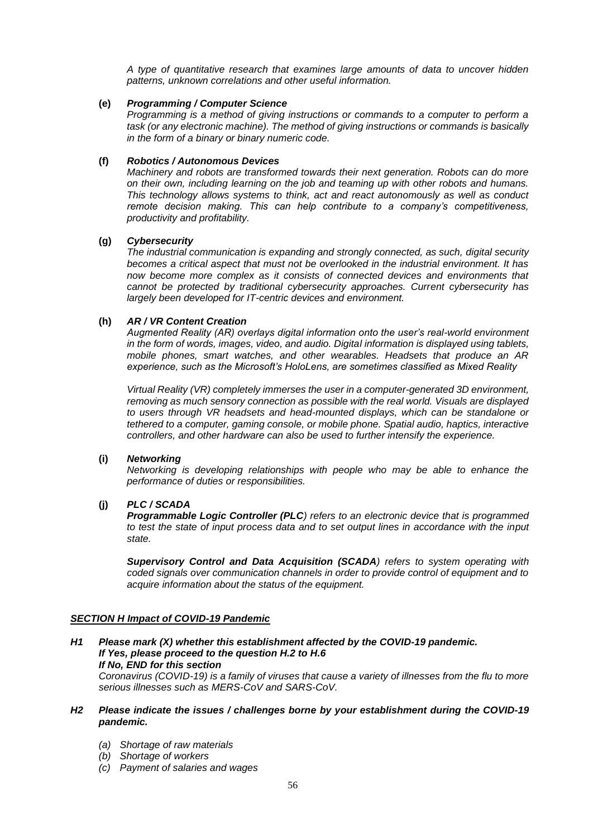*A type of quantitative research that examines large amounts of data to uncover hidden patterns, unknown correlations and other useful information.*

# **(e)** *Programming / Computer Science*

*Programming is a method of giving instructions or commands to a computer to perform a task (or any electronic machine). The method of giving instructions or commands is basically in the form of a binary or binary numeric code.*

# **(f)** *Robotics / Autonomous Devices*

*Machinery and robots are transformed towards their next generation. Robots can do more on their own, including learning on the job and teaming up with other robots and humans. This technology allows systems to think, act and react autonomously as well as conduct remote decision making. This can help contribute to a company's competitiveness, productivity and profitability.*

# **(g)** *Cybersecurity*

*The industrial communication is expanding and strongly connected, as such, digital security becomes a critical aspect that must not be overlooked in the industrial environment. It has now become more complex as it consists of connected devices and environments that cannot be protected by traditional cybersecurity approaches. Current cybersecurity has largely been developed for IT-centric devices and environment.*

# **(h)** *AR / VR Content Creation*

*Augmented Reality (AR) overlays digital information onto the user's real-world environment in the form of words, images, video, and audio. Digital information is displayed using tablets, mobile phones, smart watches, and other wearables. Headsets that produce an AR experience, such as the Microsoft's HoloLens, are sometimes classified as Mixed Reality*

*Virtual Reality (VR) completely immerses the user in a computer-generated 3D environment, removing as much sensory connection as possible with the real world. Visuals are displayed to users through VR headsets and head-mounted displays, which can be standalone or tethered to a computer, gaming console, or mobile phone. Spatial audio, haptics, interactive controllers, and other hardware can also be used to further intensify the experience.*

### **(i)** *Networking*

*Networking is developing relationships with people who may be able to enhance the performance of duties or responsibilities.*

# **(j)** *PLC / SCADA*

*Programmable Logic Controller (PLC) refers to an electronic device that is programmed to test the state of input process data and to set output lines in accordance with the input state.*

*Supervisory Control and Data Acquisition (SCADA) refers to system operating with coded signals over communication channels in order to provide control of equipment and to acquire information about the status of the equipment.*

### *SECTION H Impact of COVID-19 Pandemic*

*H1 Please mark (X) whether this establishment affected by the COVID-19 pandemic. If Yes, please proceed to the question H.2 to H.6 If No, END for this section*

*Coronavirus (COVID-19) is a family of viruses that cause a variety of illnesses from the flu to more serious illnesses such as MERS-CoV and SARS-CoV.*

# *H2 Please indicate the issues / challenges borne by your establishment during the COVID-19 pandemic.*

- *(a) Shortage of raw materials*
- *(b) Shortage of workers*
- *(c) Payment of salaries and wages*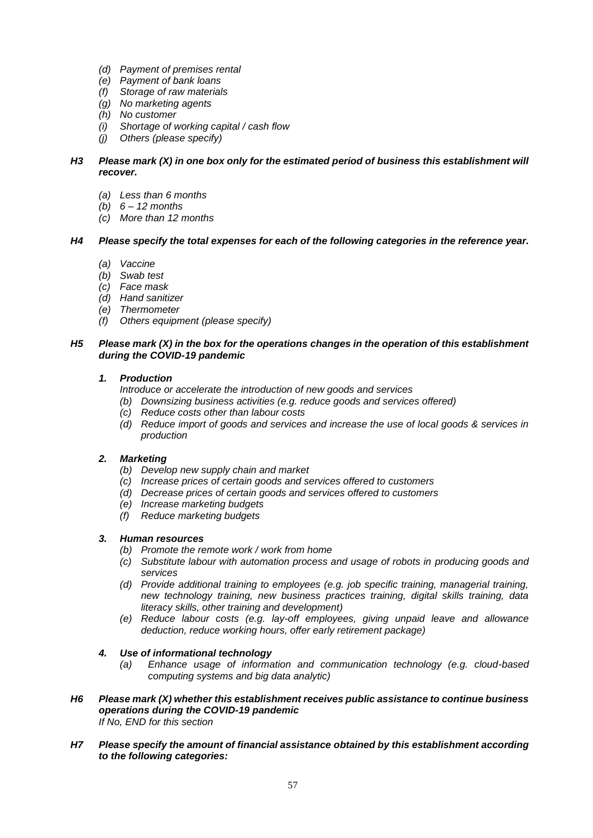- *(d) Payment of premises rental*
- *(e) Payment of bank loans*
- *(f) Storage of raw materials*
- *(g) No marketing agents*
- *(h) No customer*
- *(i) Shortage of working capital / cash flow*
- *(j) Others (please specify)*

# *H3 Please mark (X) in one box only for the estimated period of business this establishment will recover.*

- *(a) Less than 6 months*
- *(b) 6 – 12 months*
- *(c) More than 12 months*

# *H4 Please specify the total expenses for each of the following categories in the reference year.*

- *(a) Vaccine*
- *(b) Swab test*
- *(c) Face mask*
- *(d) Hand sanitizer*
- *(e) Thermometer*
- *(f) Others equipment (please specify)*

### *H5 Please mark (X) in the box for the operations changes in the operation of this establishment during the COVID-19 pandemic*

# *1. Production*

*Introduce or accelerate the introduction of new goods and services*

- *(b) Downsizing business activities (e.g. reduce goods and services offered)*
- *(c) Reduce costs other than labour costs*
- *(d) Reduce import of goods and services and increase the use of local goods & services in production*

# *2. Marketing*

- *(b) Develop new supply chain and market*
- *(c) Increase prices of certain goods and services offered to customers*
- *(d) Decrease prices of certain goods and services offered to customers*
- *(e) Increase marketing budgets*
- *(f) Reduce marketing budgets*

# *3. Human resources*

- *(b) Promote the remote work / work from home*
- *(c) Substitute labour with automation process and usage of robots in producing goods and services*
- *(d) Provide additional training to employees (e.g. job specific training, managerial training, new technology training, new business practices training, digital skills training, data literacy skills, other training and development)*
- *(e) Reduce labour costs (e.g. lay-off employees, giving unpaid leave and allowance deduction, reduce working hours, offer early retirement package)*

# *4. Use of informational technology*

- *(a) Enhance usage of information and communication technology (e.g. cloud-based computing systems and big data analytic)*
- *H6 Please mark (X) whether this establishment receives public assistance to continue business operations during the COVID-19 pandemic If No, END for this section*
- *H7 Please specify the amount of financial assistance obtained by this establishment according to the following categories:*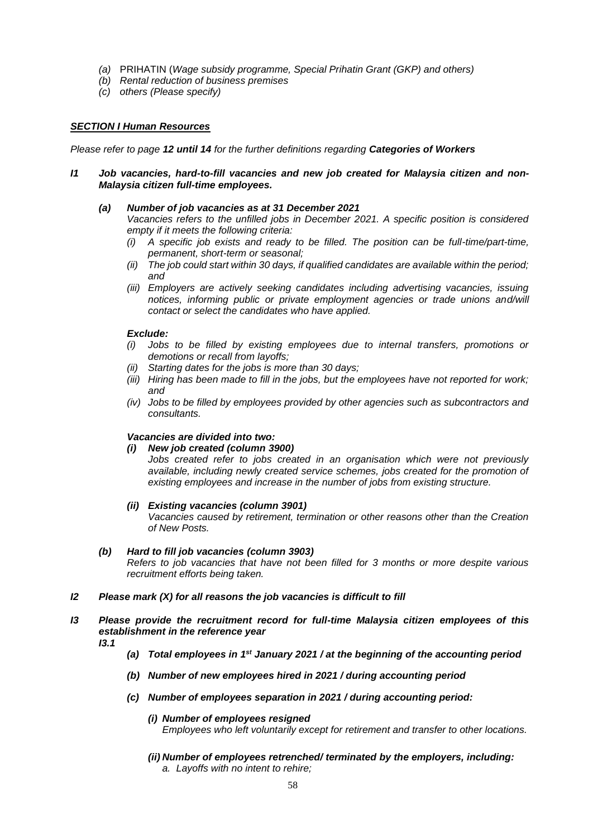- *(a)* PRIHATIN (*Wage subsidy programme, Special Prihatin Grant (GKP) and others)*
- *(b) Rental reduction of business premises*
- *(c) others (Please specify)*

# *SECTION I Human Resources*

*Please refer to page 12 until 14 for the further definitions regarding Categories of Workers*

### *I1 Job vacancies, hard-to-fill vacancies and new job created for Malaysia citizen and non-Malaysia citizen full-time employees.*

### *(a) Number of job vacancies as at 31 December 2021*

*Vacancies refers to the unfilled jobs in December 2021. A specific position is considered empty if it meets the following criteria:* 

- *(i) A specific job exists and ready to be filled. The position can be full-time/part-time, permanent, short-term or seasonal;*
- *(ii) The job could start within 30 days, if qualified candidates are available within the period; and*
- *(iii) Employers are actively seeking candidates including advertising vacancies, issuing notices, informing public or private employment agencies or trade unions and/will contact or select the candidates who have applied.*

#### *Exclude:*

- *(i) Jobs to be filled by existing employees due to internal transfers, promotions or demotions or recall from layoffs;*
- *(ii) Starting dates for the jobs is more than 30 days;*
- *(iii) Hiring has been made to fill in the jobs, but the employees have not reported for work; and*
- *(iv) Jobs to be filled by employees provided by other agencies such as subcontractors and consultants.*

### *Vacancies are divided into two:*

### *(i) New job created (column 3900)*

Jobs created refer to jobs created in an organisation which were not previously *available, including newly created service schemes, jobs created for the promotion of existing employees and increase in the number of jobs from existing structure.*

### *(ii) Existing vacancies (column 3901)*

*Vacancies caused by retirement, termination or other reasons other than the Creation of New Posts.*

### *(b) Hard to fill job vacancies (column 3903)*

*Refers to job vacancies that have not been filled for 3 months or more despite various recruitment efforts being taken.*

### *I2 Please mark (X) for all reasons the job vacancies is difficult to fill*

# *I3 Please provide the recruitment record for full-time Malaysia citizen employees of this establishment in the reference year*

- *I3.1*
- *(a) Total employees in 1st January 2021 / at the beginning of the accounting period*
- *(b) Number of new employees hired in 2021 / during accounting period*
- *(c) Number of employees separation in 2021 / during accounting period:* 
	- *(i) Number of employees resigned Employees who left voluntarily except for retirement and transfer to other locations.*
	- *(ii) Number of employees retrenched/ terminated by the employers, including: a. Layoffs with no intent to rehire;*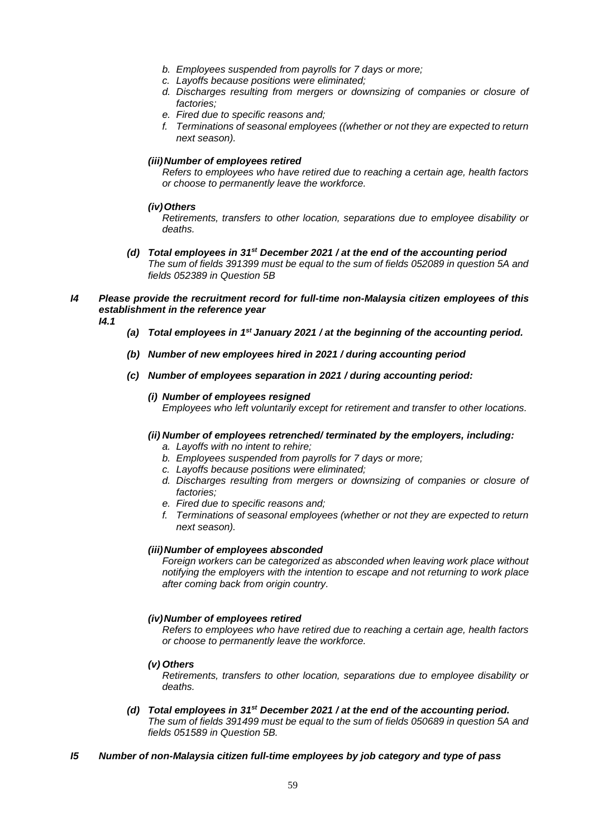- *b. Employees suspended from payrolls for 7 days or more;*
- *c. Layoffs because positions were eliminated;*
- *d. Discharges resulting from mergers or downsizing of companies or closure of factories;*
- *e. Fired due to specific reasons and;*
- *f. Terminations of seasonal employees ((whether or not they are expected to return next season).*

# *(iii)Number of employees retired*

*Refers to employees who have retired due to reaching a certain age, health factors or choose to permanently leave the workforce.*

### *(iv)Others*

*Retirements, transfers to other location, separations due to employee disability or deaths.*

- *(d) Total employees in 31st December 2021 / at the end of the accounting period The sum of fields 391399 must be equal to the sum of fields 052089 in question 5A and fields 052389 in Question 5B*
- *I4 Please provide the recruitment record for full-time non-Malaysia citizen employees of this establishment in the reference year*
	- *I4.1*
- *(a) Total employees in 1st January 2021 / at the beginning of the accounting period.*
- *(b) Number of new employees hired in 2021 / during accounting period*
- *(c) Number of employees separation in 2021 / during accounting period:*

### *(i) Number of employees resigned Employees who left voluntarily except for retirement and transfer to other locations.*

# *(ii) Number of employees retrenched/ terminated by the employers, including:*

- *a. Layoffs with no intent to rehire;*
- *b. Employees suspended from payrolls for 7 days or more;*
- *c. Layoffs because positions were eliminated;*
- *d. Discharges resulting from mergers or downsizing of companies or closure of factories;*
- *e. Fired due to specific reasons and;*
- *f. Terminations of seasonal employees (whether or not they are expected to return next season).*

### *(iii)Number of employees absconded*

*Foreign workers can be categorized as absconded when leaving work place without notifying the employers with the intention to escape and not returning to work place after coming back from origin country.*

### *(iv)Number of employees retired*

*Refers to employees who have retired due to reaching a certain age, health factors or choose to permanently leave the workforce.*

*(v) Others*

*Retirements, transfers to other location, separations due to employee disability or deaths.*

- *(d) Total employees in 31st December 2021 / at the end of the accounting period. The sum of fields 391499 must be equal to the sum of fields 050689 in question 5A and fields 051589 in Question 5B.*
- *I5 Number of non-Malaysia citizen full-time employees by job category and type of pass*